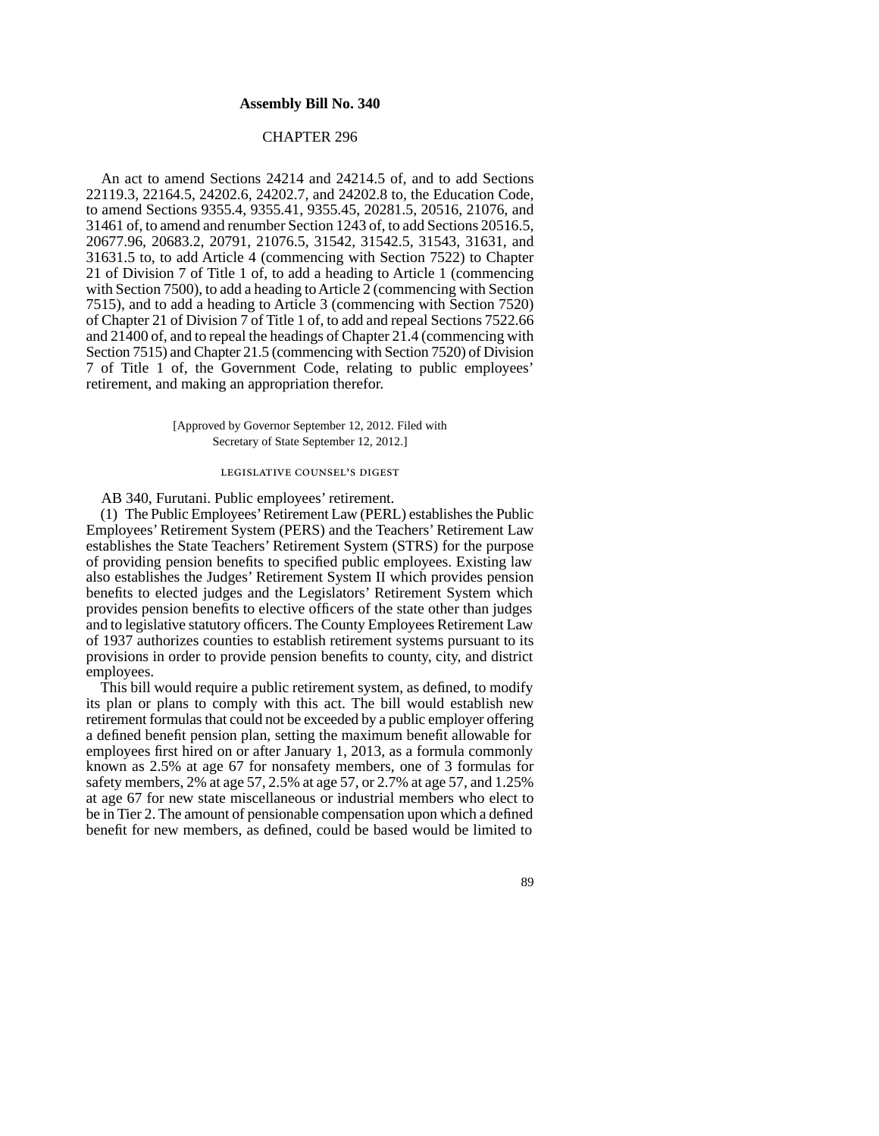## **Assembly Bill No. 340**

## CHAPTER 296

An act to amend Sections 24214 and 24214.5 of, and to add Sections 22119.3, 22164.5, 24202.6, 24202.7, and 24202.8 to, the Education Code, to amend Sections 9355.4, 9355.41, 9355.45, 20281.5, 20516, 21076, and 31461 of, to amend and renumber Section 1243 of, to add Sections 20516.5, 20677.96, 20683.2, 20791, 21076.5, 31542, 31542.5, 31543, 31631, and 31631.5 to, to add Article 4 (commencing with Section 7522) to Chapter 21 of Division 7 of Title 1 of, to add a heading to Article 1 (commencing with Section 7500), to add a heading to Article 2 (commencing with Section 7515), and to add a heading to Article 3 (commencing with Section 7520) of Chapter 21 of Division 7 of Title 1 of, to add and repeal Sections 7522.66 and 21400 of, and to repeal the headings of Chapter 21.4 (commencing with Section 7515) and Chapter 21.5 (commencing with Section 7520) of Division 7 of Title 1 of, the Government Code, relating to public employees' retirement, and making an appropriation therefor.

> [Approved by Governor September 12, 2012. Filed with Secretary of State September 12, 2012.]

# legislative counsel' s digest

AB 340, Furutani. Public employees' retirement.

(1) The Public Employees' Retirement Law (PERL) establishes the Public Employees' Retirement System (PERS) and the Teachers' Retirement Law establishes the State Teachers' Retirement System (STRS) for the purpose of providing pension benefits to specified public employees. Existing law also establishes the Judges' Retirement System II which provides pension benefits to elected judges and the Legislators' Retirement System which provides pension benefits to elective officers of the state other than judges and to legislative statutory officers. The County Employees Retirement Law of 1937 authorizes counties to establish retirement systems pursuant to its provisions in order to provide pension benefits to county, city, and district employees.

This bill would require a public retirement system, as defined, to modify its plan or plans to comply with this act. The bill would establish new retirement formulas that could not be exceeded by a public employer offering a defined benefit pension plan, setting the maximum benefit allowable for employees first hired on or after January 1, 2013, as a formula commonly known as 2.5% at age 67 for nonsafety members, one of 3 formulas for safety members, 2% at age 57, 2.5% at age 57, or 2.7% at age 57, and 1.25% at age 67 for new state miscellaneous or industrial members who elect to be in Tier 2. The amount of pensionable compensation upon which a defined benefit for new members, as defined, could be based would be limited to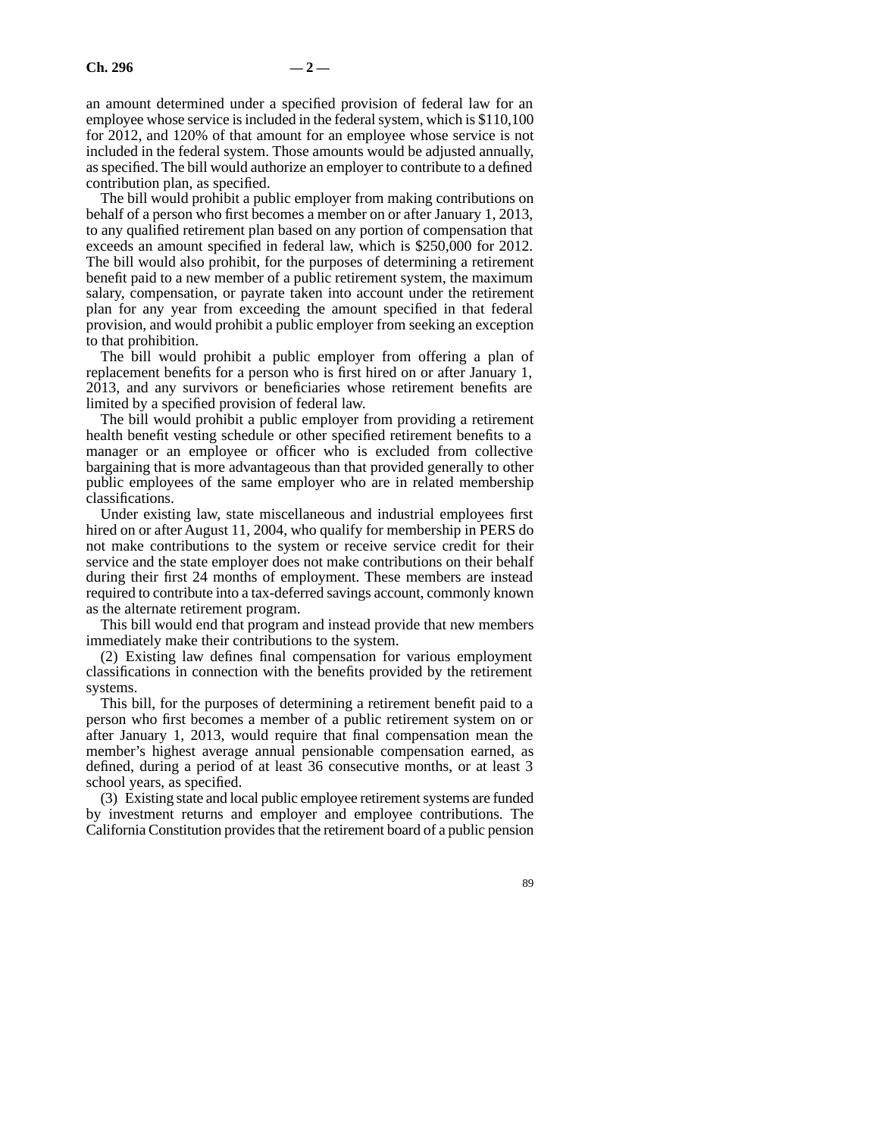an amount determined under a specified provision of federal law for an employee whose service is included in the federal system, which is \$110,100 for 2012, and 120% of that amount for an employee whose service is not included in the federal system. Those amounts would be adjusted annually, as specified. The bill would authorize an employer to contribute to a defined contribution plan, as specified.

The bill would prohibit a public employer from making contributions on behalf of a person who first becomes a member on or after January 1, 2013, to any qualified retirement plan based on any portion of compensation that exceeds an amount specified in federal law, which is \$250,000 for 2012. The bill would also prohibit, for the purposes of determining a retirement benefit paid to a new member of a public retirement system, the maximum salary, compensation, or payrate taken into account under the retirement plan for any year from exceeding the amount specified in that federal provision, and would prohibit a public employer from seeking an exception to that prohibition.

The bill would prohibit a public employer from offering a plan of replacement benefits for a person who is first hired on or after January 1, 2013, and any survivors or beneficiaries whose retirement benefits are limited by a specified provision of federal law.

The bill would prohibit a public employer from providing a retirement health benefit vesting schedule or other specified retirement benefits to a manager or an employee or officer who is excluded from collective bargaining that is more advantageous than that provided generally to other public employees of the same employer who are in related membership classifications.

Under existing law, state miscellaneous and industrial employees first hired on or after August 11, 2004, who qualify for membership in PERS do not make contributions to the system or receive service credit for their service and the state employer does not make contributions on their behalf during their first 24 months of employment. These members are instead required to contribute into a tax-deferred savings account, commonly known as the alternate retirement program.

This bill would end that program and instead provide that new members immediately make their contributions to the system.

(2) Existing law defines final compensation for various employment classifications in connection with the benefits provided by the retirement systems.

This bill, for the purposes of determining a retirement benefit paid to a person who first becomes a member of a public retirement system on or after January 1, 2013, would require that final compensation mean the member's highest average annual pensionable compensation earned, as defined, during a period of at least 36 consecutive months, or at least 3 school years, as specified.

(3) Existing state and local public employee retirement systems are funded by investment returns and employer and employee contributions. The California Constitution provides that the retirement board of a public pension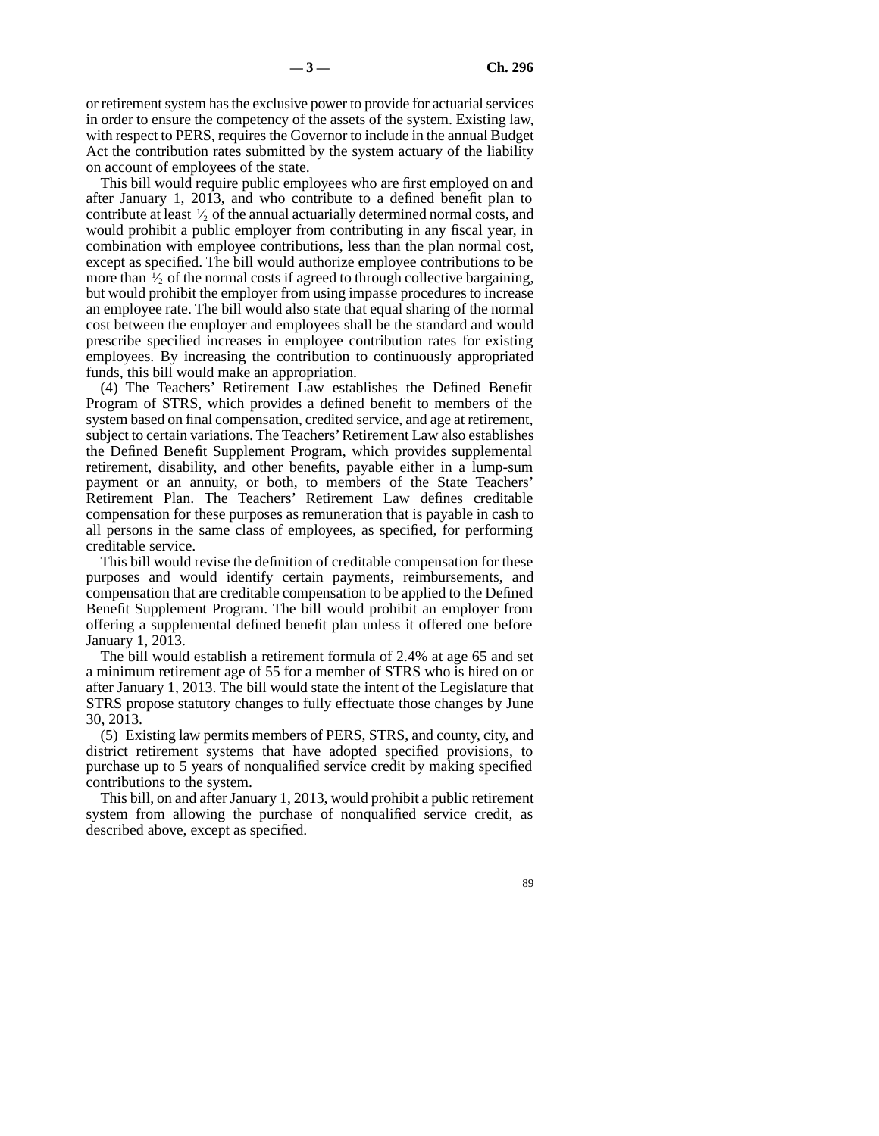or retirement system has the exclusive power to provide for actuarial services in order to ensure the competency of the assets of the system. Existing law, with respect to PERS, requires the Governor to include in the annual Budget Act the contribution rates submitted by the system actuary of the liability on account of employees of the state.

This bill would require public employees who are first employed on and after January 1, 2013, and who contribute to a defined benefit plan to contribute at least  $\frac{1}{2}$  of the annual actuarially determined normal costs, and would prohibit a public employer from contributing in any fiscal year, in combination with employee contributions, less than the plan normal cost, except as specified. The bill would authorize employee contributions to be more than  $\frac{1}{2}$  of the normal costs if agreed to through collective bargaining, but would prohibit the employer from using impasse procedures to increase an employee rate. The bill would also state that equal sharing of the normal cost between the employer and employees shall be the standard and would prescribe specified increases in employee contribution rates for existing employees. By increasing the contribution to continuously appropriated funds, this bill would make an appropriation.

(4) The Teachers' Retirement Law establishes the Defined Benefit Program of STRS, which provides a defined benefit to members of the system based on final compensation, credited service, and age at retirement, subject to certain variations. The Teachers' Retirement Law also establishes the Defined Benefit Supplement Program, which provides supplemental retirement, disability, and other benefits, payable either in a lump-sum payment or an annuity, or both, to members of the State Teachers' Retirement Plan. The Teachers' Retirement Law defines creditable compensation for these purposes as remuneration that is payable in cash to all persons in the same class of employees, as specified, for performing creditable service.

This bill would revise the definition of creditable compensation for these purposes and would identify certain payments, reimbursements, and compensation that are creditable compensation to be applied to the Defined Benefit Supplement Program. The bill would prohibit an employer from offering a supplemental defined benefit plan unless it offered one before January 1, 2013.

The bill would establish a retirement formula of 2.4% at age 65 and set a minimum retirement age of 55 for a member of STRS who is hired on or after January 1, 2013. The bill would state the intent of the Legislature that STRS propose statutory changes to fully effectuate those changes by June 30, 2013.

(5) Existing law permits members of PERS, STRS, and county, city, and district retirement systems that have adopted specified provisions, to purchase up to 5 years of nonqualified service credit by making specified contributions to the system.

This bill, on and after January 1, 2013, would prohibit a public retirement system from allowing the purchase of nonqualified service credit, as described above, except as specified.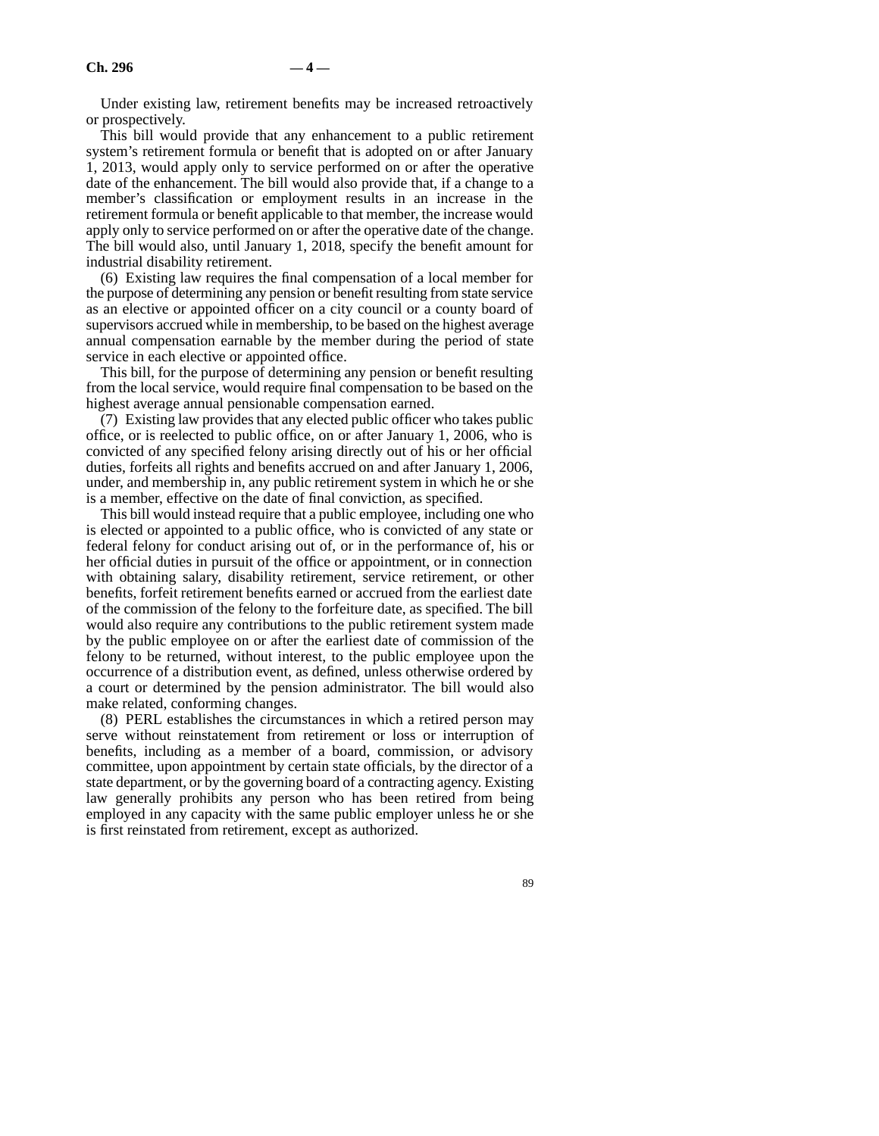Under existing law, retirement benefits may be increased retroactively or prospectively.

This bill would provide that any enhancement to a public retirement system's retirement formula or benefit that is adopted on or after January 1, 2013, would apply only to service performed on or after the operative date of the enhancement. The bill would also provide that, if a change to a member's classification or employment results in an increase in the retirement formula or benefit applicable to that member, the increase would apply only to service performed on or after the operative date of the change. The bill would also, until January 1, 2018, specify the benefit amount for industrial disability retirement.

(6) Existing law requires the final compensation of a local member for the purpose of determining any pension or benefit resulting from state service as an elective or appointed officer on a city council or a county board of supervisors accrued while in membership, to be based on the highest average annual compensation earnable by the member during the period of state service in each elective or appointed office.

This bill, for the purpose of determining any pension or benefit resulting from the local service, would require final compensation to be based on the highest average annual pensionable compensation earned.

(7) Existing law provides that any elected public officer who takes public office, or is reelected to public office, on or after January 1, 2006, who is convicted of any specified felony arising directly out of his or her official duties, forfeits all rights and benefits accrued on and after January 1, 2006, under, and membership in, any public retirement system in which he or she is a member, effective on the date of final conviction, as specified.

This bill would instead require that a public employee, including one who is elected or appointed to a public office, who is convicted of any state or federal felony for conduct arising out of, or in the performance of, his or her official duties in pursuit of the office or appointment, or in connection with obtaining salary, disability retirement, service retirement, or other benefits, forfeit retirement benefits earned or accrued from the earliest date of the commission of the felony to the forfeiture date, as specified. The bill would also require any contributions to the public retirement system made by the public employee on or after the earliest date of commission of the felony to be returned, without interest, to the public employee upon the occurrence of a distribution event, as defined, unless otherwise ordered by a court or determined by the pension administrator. The bill would also make related, conforming changes.

(8) PERL establishes the circumstances in which a retired person may serve without reinstatement from retirement or loss or interruption of benefits, including as a member of a board, commission, or advisory committee, upon appointment by certain state officials, by the director of a state department, or by the governing board of a contracting agency. Existing law generally prohibits any person who has been retired from being employed in any capacity with the same public employer unless he or she is first reinstated from retirement, except as authorized.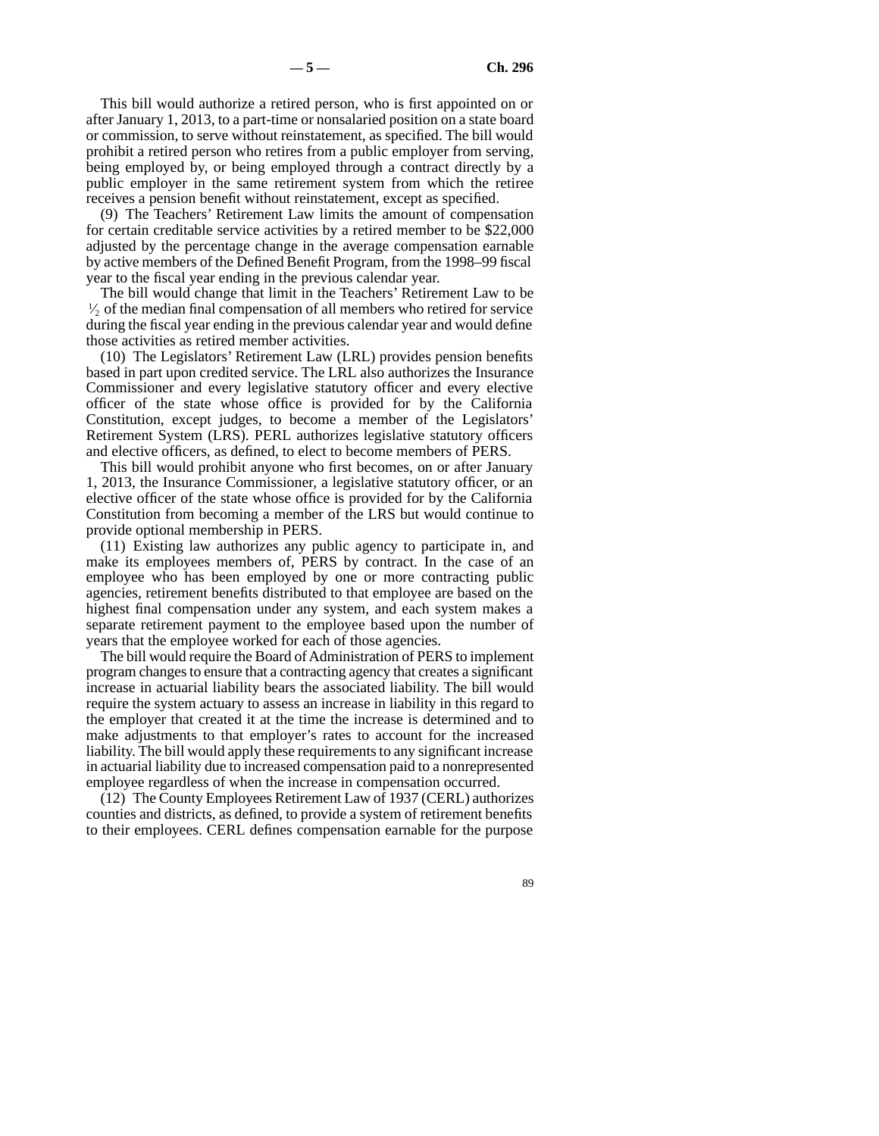This bill would authorize a retired person, who is first appointed on or after January 1, 2013, to a part-time or nonsalaried position on a state board or commission, to serve without reinstatement, as specified. The bill would prohibit a retired person who retires from a public employer from serving, being employed by, or being employed through a contract directly by a public employer in the same retirement system from which the retiree receives a pension benefit without reinstatement, except as specified.

(9) The Teachers' Retirement Law limits the amount of compensation for certain creditable service activities by a retired member to be \$22,000 adjusted by the percentage change in the average compensation earnable by active members of the Defined Benefit Program, from the 1998–99 fiscal year to the fiscal year ending in the previous calendar year.

The bill would change that limit in the Teachers' Retirement Law to be  $\frac{1}{2}$  of the median final compensation of all members who retired for service during the fiscal year ending in the previous calendar year and would define those activities as retired member activities.

(10) The Legislators' Retirement Law (LRL) provides pension benefits based in part upon credited service. The LRL also authorizes the Insurance Commissioner and every legislative statutory officer and every elective officer of the state whose office is provided for by the California Constitution, except judges, to become a member of the Legislators' Retirement System (LRS). PERL authorizes legislative statutory officers and elective officers, as defined, to elect to become members of PERS.

This bill would prohibit anyone who first becomes, on or after January 1, 2013, the Insurance Commissioner, a legislative statutory officer, or an elective officer of the state whose office is provided for by the California Constitution from becoming a member of the LRS but would continue to provide optional membership in PERS.

(11) Existing law authorizes any public agency to participate in, and make its employees members of, PERS by contract. In the case of an employee who has been employed by one or more contracting public agencies, retirement benefits distributed to that employee are based on the highest final compensation under any system, and each system makes a separate retirement payment to the employee based upon the number of years that the employee worked for each of those agencies.

The bill would require the Board of Administration of PERS to implement program changes to ensure that a contracting agency that creates a significant increase in actuarial liability bears the associated liability. The bill would require the system actuary to assess an increase in liability in this regard to the employer that created it at the time the increase is determined and to make adjustments to that employer's rates to account for the increased liability. The bill would apply these requirements to any significant increase in actuarial liability due to increased compensation paid to a nonrepresented employee regardless of when the increase in compensation occurred.

(12) The County Employees Retirement Law of 1937 (CERL) authorizes counties and districts, as defined, to provide a system of retirement benefits to their employees. CERL defines compensation earnable for the purpose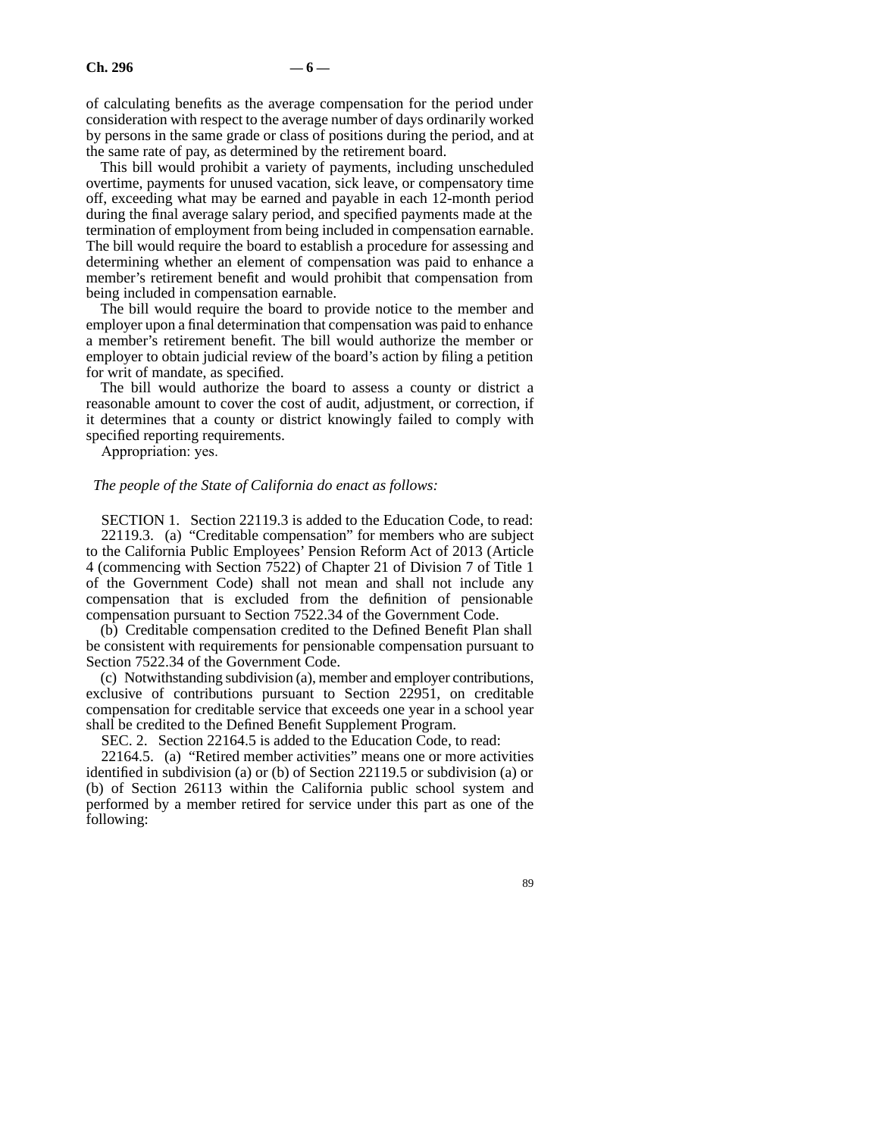of calculating benefits as the average compensation for the period under consideration with respect to the average number of days ordinarily worked by persons in the same grade or class of positions during the period, and at the same rate of pay, as determined by the retirement board.

This bill would prohibit a variety of payments, including unscheduled overtime, payments for unused vacation, sick leave, or compensatory time off, exceeding what may be earned and payable in each 12-month period during the final average salary period, and specified payments made at the termination of employment from being included in compensation earnable. The bill would require the board to establish a procedure for assessing and determining whether an element of compensation was paid to enhance a member's retirement benefit and would prohibit that compensation from being included in compensation earnable.

The bill would require the board to provide notice to the member and employer upon a final determination that compensation was paid to enhance a member's retirement benefit. The bill would authorize the member or employer to obtain judicial review of the board's action by filing a petition for writ of mandate, as specified.

The bill would authorize the board to assess a county or district a reasonable amount to cover the cost of audit, adjustment, or correction, if it determines that a county or district knowingly failed to comply with specified reporting requirements.

Appropriation: yes.

#### *The people of the State of California do enact as follows:*

SECTION 1. Section 22119.3 is added to the Education Code, to read: 22119.3. (a) "Creditable compensation" for members who are subject to the California Public Employees' Pension Reform Act of 2013 (Article 4 (commencing with Section 7522) of Chapter 21 of Division 7 of Title 1 of the Government Code) shall not mean and shall not include any compensation that is excluded from the definition of pensionable compensation pursuant to Section 7522.34 of the Government Code.

(b) Creditable compensation credited to the Defined Benefit Plan shall be consistent with requirements for pensionable compensation pursuant to Section 7522.34 of the Government Code.

(c) Notwithstanding subdivision (a), member and employer contributions, exclusive of contributions pursuant to Section 22951, on creditable compensation for creditable service that exceeds one year in a school year shall be credited to the Defined Benefit Supplement Program.

SEC. 2. Section 22164.5 is added to the Education Code, to read:

22164.5. (a) "Retired member activities" means one or more activities identified in subdivision (a) or (b) of Section 22119.5 or subdivision (a) or (b) of Section 26113 within the California public school system and performed by a member retired for service under this part as one of the following: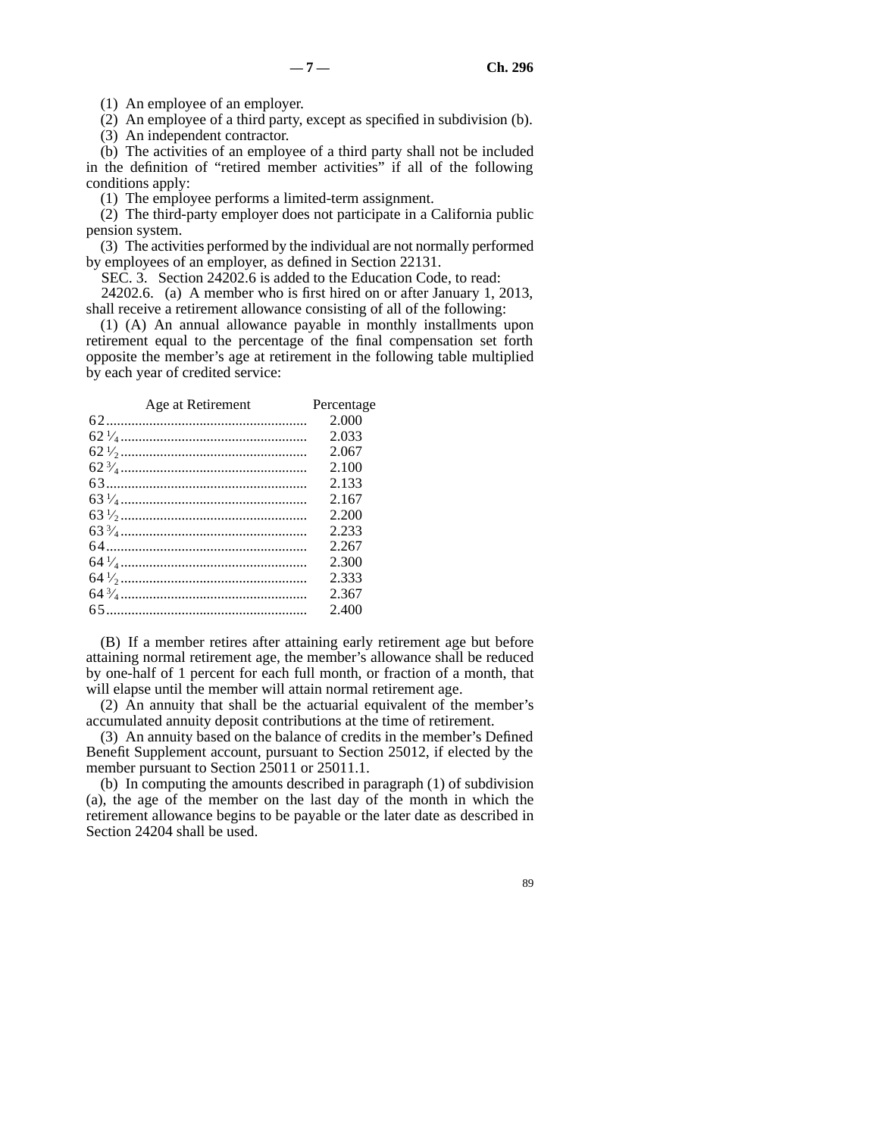(1) An employee of an employer.

(2) An employee of a third party, except as specified in subdivision (b).

(3) An independent contractor.

(b) The activities of an employee of a third party shall not be included in the definition of "retired member activities" if all of the following conditions apply:

(1) The employee performs a limited-term assignment.

(2) The third-party employer does not participate in a California public pension system.

(3) The activities performed by the individual are not normally performed by employees of an employer, as defined in Section 22131.

SEC. 3. Section 24202.6 is added to the Education Code, to read:

24202.6. (a) A member who is first hired on or after January 1, 2013, shall receive a retirement allowance consisting of all of the following:

(1) (A) An annual allowance payable in monthly installments upon retirement equal to the percentage of the final compensation set forth opposite the member's age at retirement in the following table multiplied by each year of credited service:

| Age at Retirement | Percentage |
|-------------------|------------|
|                   | 2.000      |
|                   | 2.033      |
|                   | 2.067      |
|                   | 2.100      |
|                   | 2.133      |
|                   | 2.167      |
|                   | 2.200      |
|                   | 2.233      |
|                   | 2.267      |
|                   | 2.300      |
|                   | 2.333      |
|                   | 2.367      |
|                   | 2.400      |

(B) If a member retires after attaining early retirement age but before attaining normal retirement age, the member's allowance shall be reduced by one-half of 1 percent for each full month, or fraction of a month, that will elapse until the member will attain normal retirement age.

(2) An annuity that shall be the actuarial equivalent of the member's accumulated annuity deposit contributions at the time of retirement.

(3) An annuity based on the balance of credits in the member's Defined Benefit Supplement account, pursuant to Section 25012, if elected by the member pursuant to Section 25011 or 25011.1.

(b) In computing the amounts described in paragraph (1) of subdivision (a), the age of the member on the last day of the month in which the retirement allowance begins to be payable or the later date as described in Section 24204 shall be used.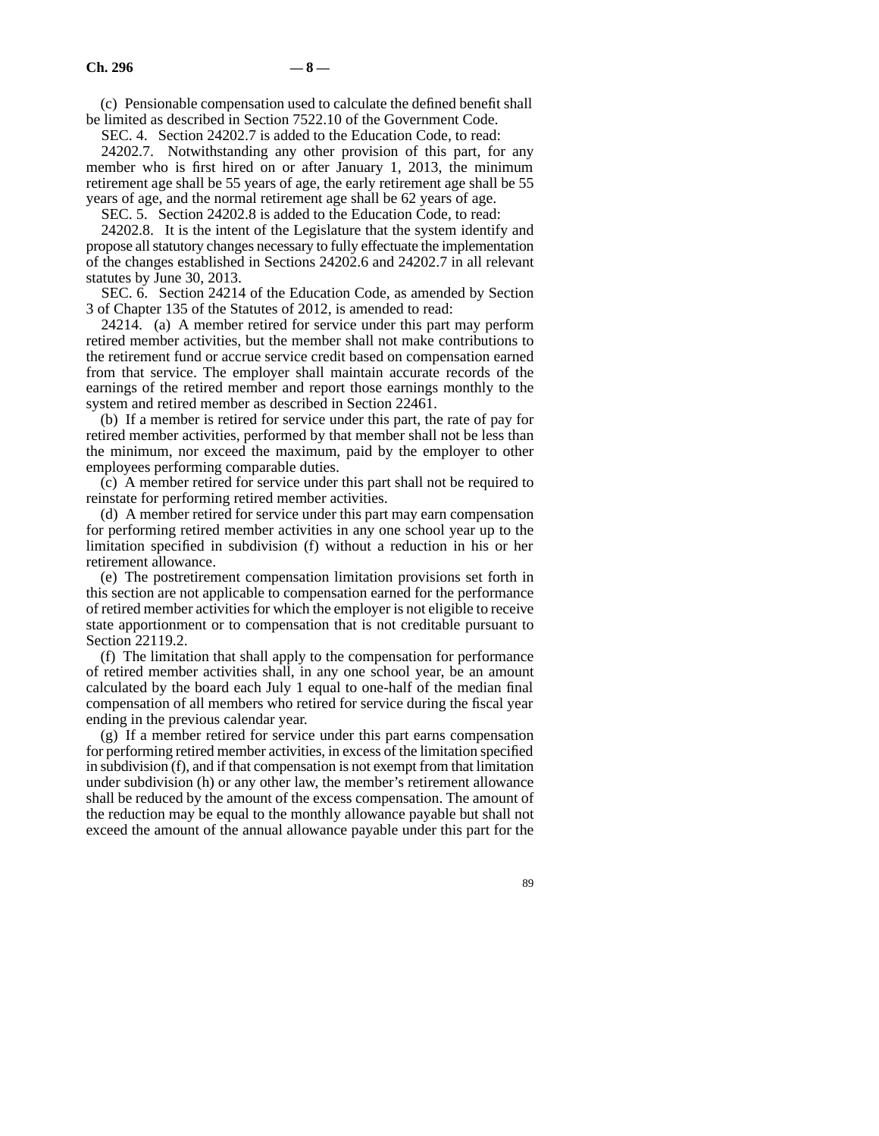(c) Pensionable compensation used to calculate the defined benefit shall be limited as described in Section 7522.10 of the Government Code.

SEC. 4. Section 24202.7 is added to the Education Code, to read:

24202.7. Notwithstanding any other provision of this part, for any member who is first hired on or after January 1, 2013, the minimum retirement age shall be 55 years of age, the early retirement age shall be 55 years of age, and the normal retirement age shall be 62 years of age.

SEC. 5. Section 24202.8 is added to the Education Code, to read:

24202.8. It is the intent of the Legislature that the system identify and propose all statutory changes necessary to fully effectuate the implementation of the changes established in Sections 24202.6 and 24202.7 in all relevant statutes by June 30, 2013.

SEC. 6. Section 24214 of the Education Code, as amended by Section 3 of Chapter 135 of the Statutes of 2012, is amended to read:

24214. (a) A member retired for service under this part may perform retired member activities, but the member shall not make contributions to the retirement fund or accrue service credit based on compensation earned from that service. The employer shall maintain accurate records of the earnings of the retired member and report those earnings monthly to the system and retired member as described in Section 22461.

(b) If a member is retired for service under this part, the rate of pay for retired member activities, performed by that member shall not be less than the minimum, nor exceed the maximum, paid by the employer to other employees performing comparable duties.

(c) A member retired for service under this part shall not be required to reinstate for performing retired member activities.

(d) A member retired for service under this part may earn compensation for performing retired member activities in any one school year up to the limitation specified in subdivision (f) without a reduction in his or her retirement allowance.

(e) The postretirement compensation limitation provisions set forth in this section are not applicable to compensation earned for the performance of retired member activities for which the employer is not eligible to receive state apportionment or to compensation that is not creditable pursuant to Section 22119.2.

(f) The limitation that shall apply to the compensation for performance of retired member activities shall, in any one school year, be an amount calculated by the board each July 1 equal to one-half of the median final compensation of all members who retired for service during the fiscal year ending in the previous calendar year.

(g) If a member retired for service under this part earns compensation for performing retired member activities, in excess of the limitation specified in subdivision (f), and if that compensation is not exempt from that limitation under subdivision (h) or any other law, the member's retirement allowance shall be reduced by the amount of the excess compensation. The amount of the reduction may be equal to the monthly allowance payable but shall not exceed the amount of the annual allowance payable under this part for the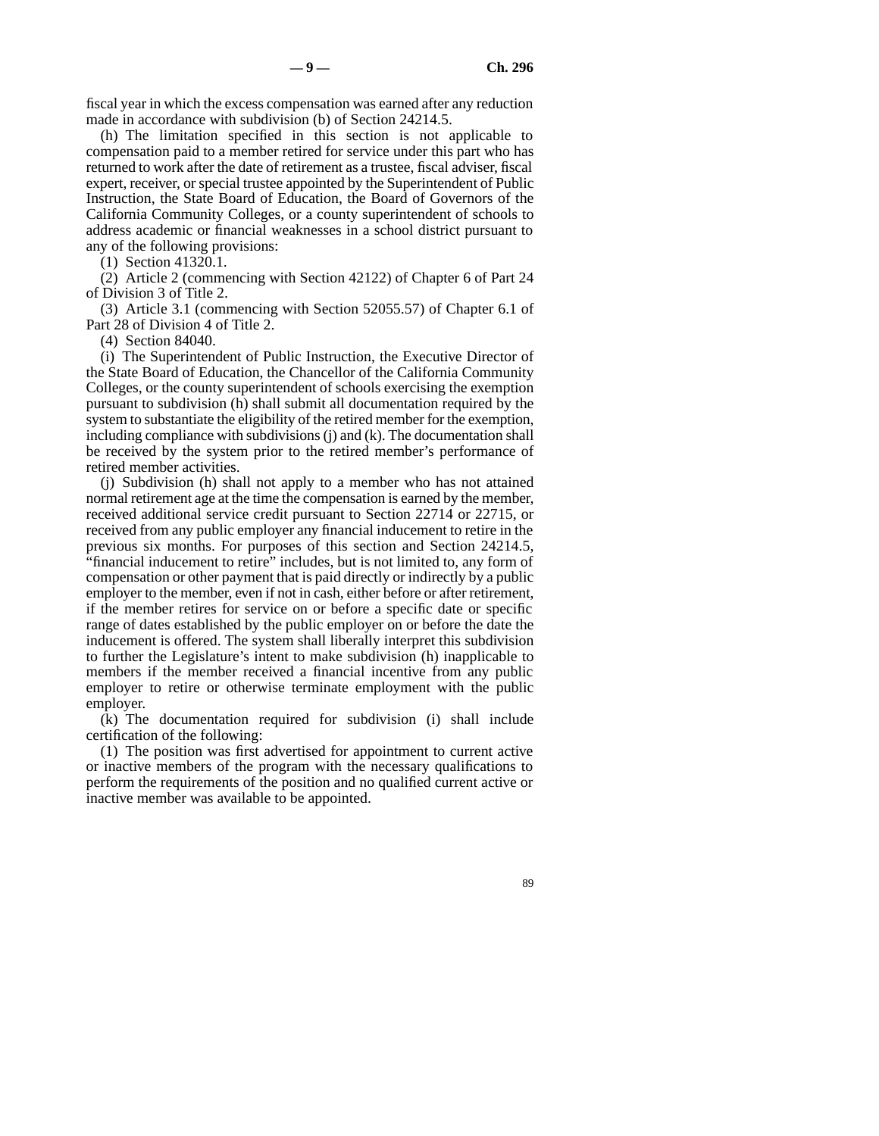fiscal year in which the excess compensation was earned after any reduction made in accordance with subdivision (b) of Section 24214.5.

(h) The limitation specified in this section is not applicable to compensation paid to a member retired for service under this part who has returned to work after the date of retirement as a trustee, fiscal adviser, fiscal expert, receiver, or special trustee appointed by the Superintendent of Public Instruction, the State Board of Education, the Board of Governors of the California Community Colleges, or a county superintendent of schools to address academic or financial weaknesses in a school district pursuant to any of the following provisions:

(1) Section 41320.1.

(2) Article 2 (commencing with Section 42122) of Chapter 6 of Part 24 of Division 3 of Title 2.

(3) Article 3.1 (commencing with Section 52055.57) of Chapter 6.1 of Part 28 of Division 4 of Title 2.

(4) Section 84040.

(i) The Superintendent of Public Instruction, the Executive Director of the State Board of Education, the Chancellor of the California Community Colleges, or the county superintendent of schools exercising the exemption pursuant to subdivision (h) shall submit all documentation required by the system to substantiate the eligibility of the retired member for the exemption, including compliance with subdivisions (j) and (k). The documentation shall be received by the system prior to the retired member's performance of retired member activities.

(j) Subdivision (h) shall not apply to a member who has not attained normal retirement age at the time the compensation is earned by the member, received additional service credit pursuant to Section 22714 or 22715, or received from any public employer any financial inducement to retire in the previous six months. For purposes of this section and Section 24214.5, "financial inducement to retire" includes, but is not limited to, any form of compensation or other payment that is paid directly or indirectly by a public employer to the member, even if not in cash, either before or after retirement, if the member retires for service on or before a specific date or specific range of dates established by the public employer on or before the date the inducement is offered. The system shall liberally interpret this subdivision to further the Legislature's intent to make subdivision (h) inapplicable to members if the member received a financial incentive from any public employer to retire or otherwise terminate employment with the public employer.

(k) The documentation required for subdivision (i) shall include certification of the following:

(1) The position was first advertised for appointment to current active or inactive members of the program with the necessary qualifications to perform the requirements of the position and no qualified current active or inactive member was available to be appointed.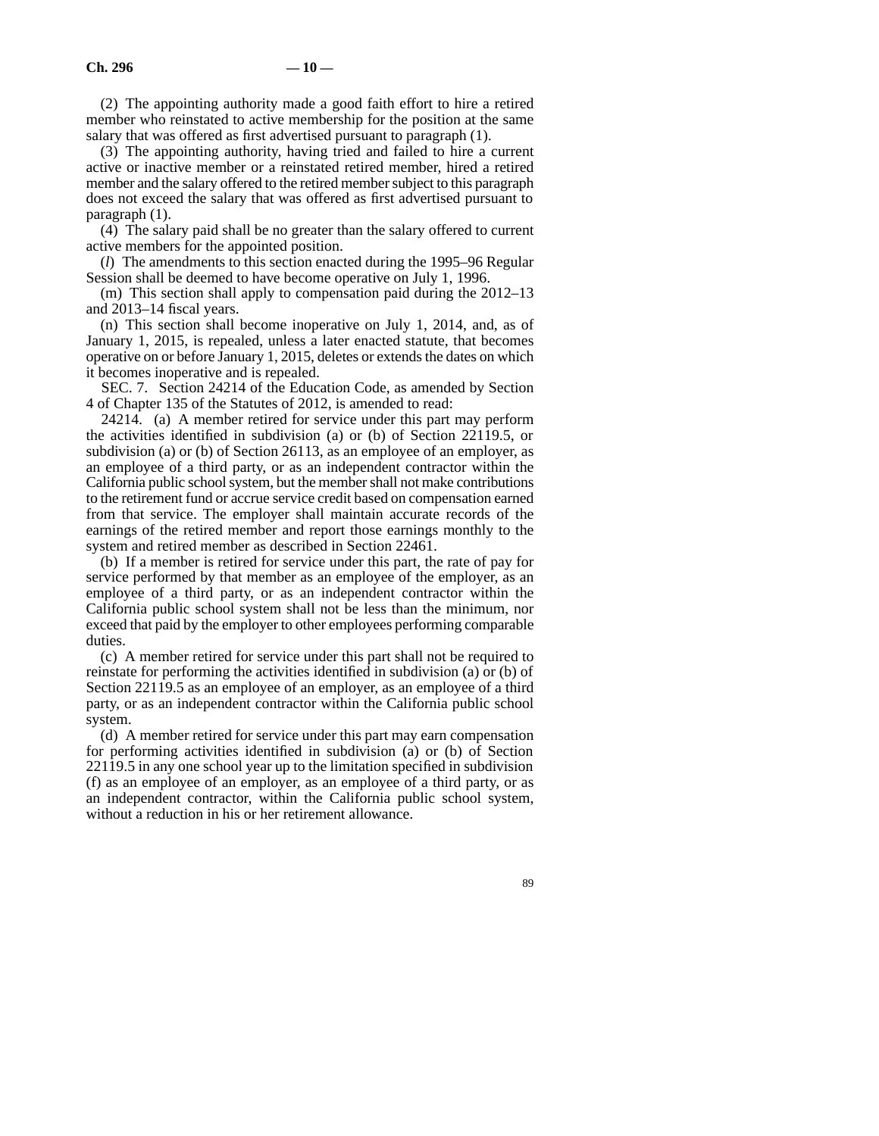(2) The appointing authority made a good faith effort to hire a retired member who reinstated to active membership for the position at the same salary that was offered as first advertised pursuant to paragraph (1).

(3) The appointing authority, having tried and failed to hire a current active or inactive member or a reinstated retired member, hired a retired member and the salary offered to the retired member subject to this paragraph does not exceed the salary that was offered as first advertised pursuant to paragraph (1).

(4) The salary paid shall be no greater than the salary offered to current active members for the appointed position.

(*l*) The amendments to this section enacted during the 1995–96 Regular Session shall be deemed to have become operative on July 1, 1996.

(m) This section shall apply to compensation paid during the 2012–13 and 2013–14 fiscal years.

(n) This section shall become inoperative on July 1, 2014, and, as of January 1, 2015, is repealed, unless a later enacted statute, that becomes operative on or before January 1, 2015, deletes or extends the dates on which it becomes inoperative and is repealed.

SEC. 7. Section 24214 of the Education Code, as amended by Section 4 of Chapter 135 of the Statutes of 2012, is amended to read:

24214. (a) A member retired for service under this part may perform the activities identified in subdivision (a) or (b) of Section 22119.5, or subdivision (a) or (b) of Section 26113, as an employee of an employer, as an employee of a third party, or as an independent contractor within the California public school system, but the member shall not make contributions to the retirement fund or accrue service credit based on compensation earned from that service. The employer shall maintain accurate records of the earnings of the retired member and report those earnings monthly to the system and retired member as described in Section 22461.

(b) If a member is retired for service under this part, the rate of pay for service performed by that member as an employee of the employer, as an employee of a third party, or as an independent contractor within the California public school system shall not be less than the minimum, nor exceed that paid by the employer to other employees performing comparable duties.

(c) A member retired for service under this part shall not be required to reinstate for performing the activities identified in subdivision (a) or (b) of Section 22119.5 as an employee of an employer, as an employee of a third party, or as an independent contractor within the California public school system.

(d) A member retired for service under this part may earn compensation for performing activities identified in subdivision (a) or (b) of Section 22119.5 in any one school year up to the limitation specified in subdivision (f) as an employee of an employer, as an employee of a third party, or as an independent contractor, within the California public school system, without a reduction in his or her retirement allowance.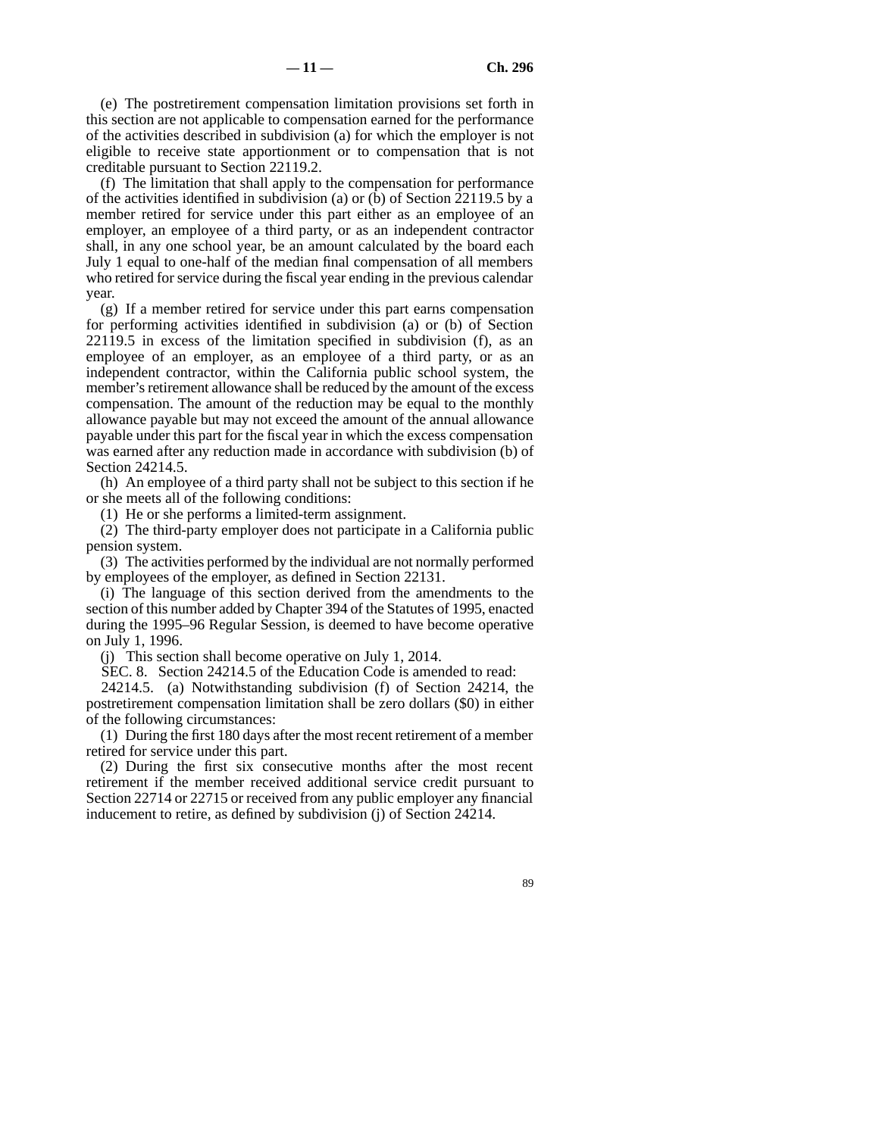(e) The postretirement compensation limitation provisions set forth in this section are not applicable to compensation earned for the performance of the activities described in subdivision (a) for which the employer is not eligible to receive state apportionment or to compensation that is not creditable pursuant to Section 22119.2.

(f) The limitation that shall apply to the compensation for performance of the activities identified in subdivision (a) or (b) of Section 22119.5 by a member retired for service under this part either as an employee of an employer, an employee of a third party, or as an independent contractor shall, in any one school year, be an amount calculated by the board each July 1 equal to one-half of the median final compensation of all members who retired for service during the fiscal year ending in the previous calendar year.

(g) If a member retired for service under this part earns compensation for performing activities identified in subdivision (a) or (b) of Section 22119.5 in excess of the limitation specified in subdivision (f), as an employee of an employer, as an employee of a third party, or as an independent contractor, within the California public school system, the member's retirement allowance shall be reduced by the amount of the excess compensation. The amount of the reduction may be equal to the monthly allowance payable but may not exceed the amount of the annual allowance payable under this part for the fiscal year in which the excess compensation was earned after any reduction made in accordance with subdivision (b) of Section 24214.5.

(h) An employee of a third party shall not be subject to this section if he or she meets all of the following conditions:

(1) He or she performs a limited-term assignment.

(2) The third-party employer does not participate in a California public pension system.

(3) The activities performed by the individual are not normally performed by employees of the employer, as defined in Section 22131.

(i) The language of this section derived from the amendments to the section of this number added by Chapter 394 of the Statutes of 1995, enacted during the 1995–96 Regular Session, is deemed to have become operative on July 1, 1996.

(j) This section shall become operative on July 1, 2014.

SEC. 8. Section 24214.5 of the Education Code is amended to read:

24214.5. (a) Notwithstanding subdivision (f) of Section 24214, the postretirement compensation limitation shall be zero dollars (\$0) in either of the following circumstances:

(1) During the first 180 days after the most recent retirement of a member retired for service under this part.

(2) During the first six consecutive months after the most recent retirement if the member received additional service credit pursuant to Section 22714 or 22715 or received from any public employer any financial inducement to retire, as defined by subdivision (j) of Section 24214.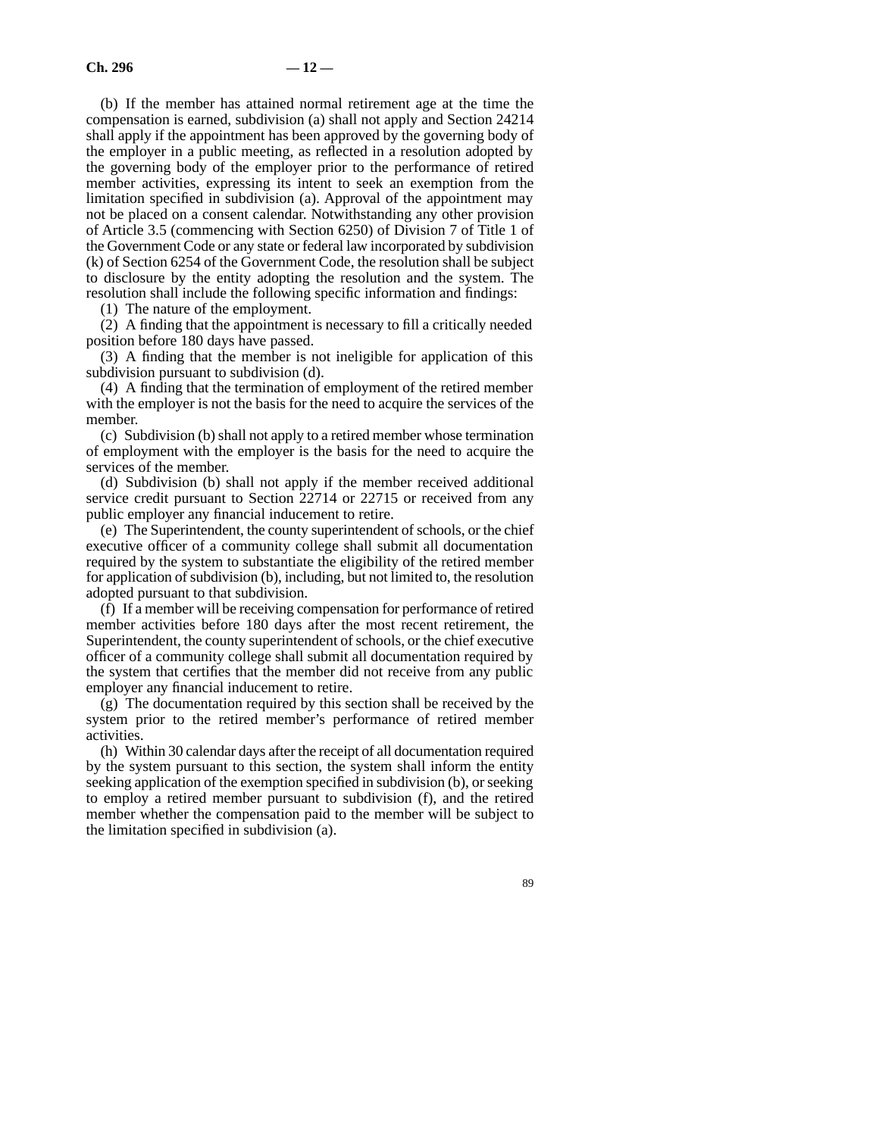(b) If the member has attained normal retirement age at the time the compensation is earned, subdivision (a) shall not apply and Section 24214 shall apply if the appointment has been approved by the governing body of the employer in a public meeting, as reflected in a resolution adopted by the governing body of the employer prior to the performance of retired member activities, expressing its intent to seek an exemption from the limitation specified in subdivision (a). Approval of the appointment may not be placed on a consent calendar. Notwithstanding any other provision of Article 3.5 (commencing with Section 6250) of Division 7 of Title 1 of the Government Code or any state or federal law incorporated by subdivision (k) of Section 6254 of the Government Code, the resolution shall be subject to disclosure by the entity adopting the resolution and the system. The resolution shall include the following specific information and findings:

(1) The nature of the employment.

(2) A finding that the appointment is necessary to fill a critically needed position before 180 days have passed.

(3) A finding that the member is not ineligible for application of this subdivision pursuant to subdivision (d).

(4) A finding that the termination of employment of the retired member with the employer is not the basis for the need to acquire the services of the member.

(c) Subdivision (b) shall not apply to a retired member whose termination of employment with the employer is the basis for the need to acquire the services of the member.

(d) Subdivision (b) shall not apply if the member received additional service credit pursuant to Section 22714 or 22715 or received from any public employer any financial inducement to retire.

(e) The Superintendent, the county superintendent of schools, or the chief executive officer of a community college shall submit all documentation required by the system to substantiate the eligibility of the retired member for application of subdivision (b), including, but not limited to, the resolution adopted pursuant to that subdivision.

(f) If a member will be receiving compensation for performance of retired member activities before 180 days after the most recent retirement, the Superintendent, the county superintendent of schools, or the chief executive officer of a community college shall submit all documentation required by the system that certifies that the member did not receive from any public employer any financial inducement to retire.

(g) The documentation required by this section shall be received by the system prior to the retired member's performance of retired member activities.

(h) Within 30 calendar days after the receipt of all documentation required by the system pursuant to this section, the system shall inform the entity seeking application of the exemption specified in subdivision (b), or seeking to employ a retired member pursuant to subdivision (f), and the retired member whether the compensation paid to the member will be subject to the limitation specified in subdivision (a).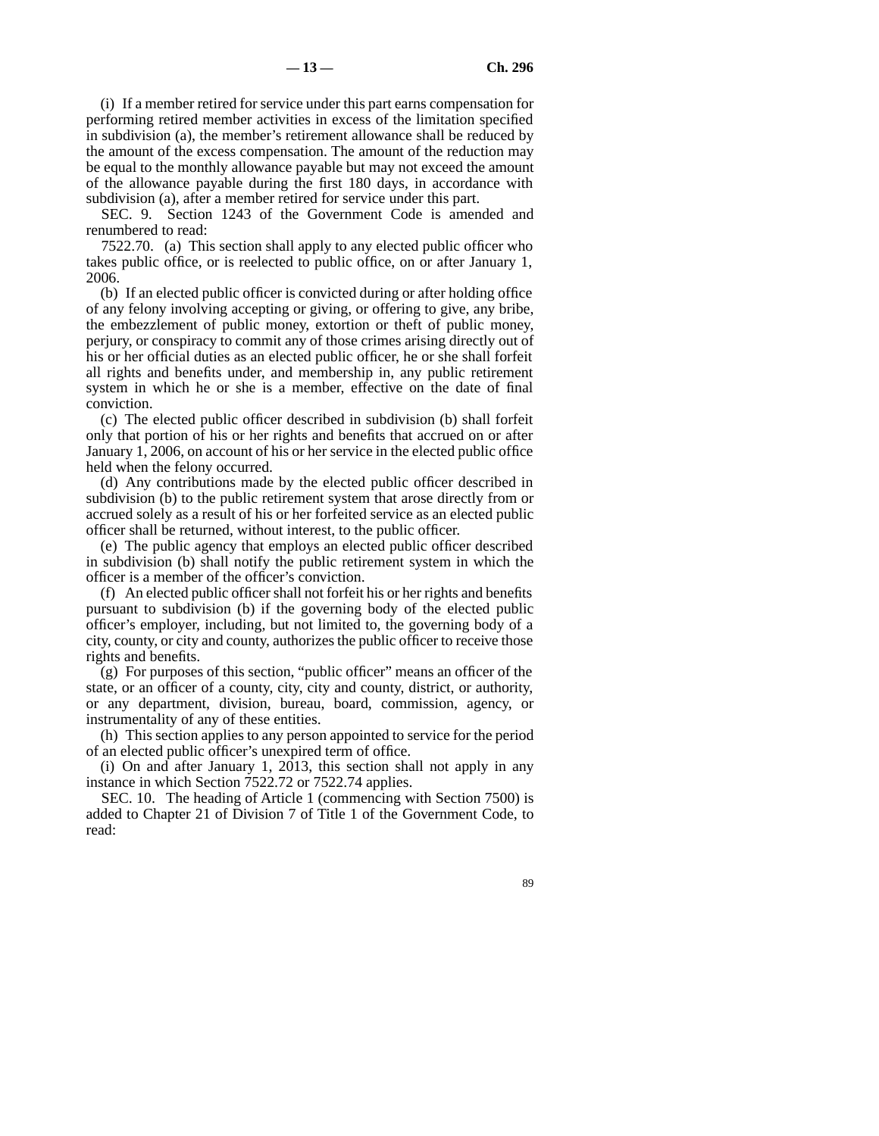(i) If a member retired for service under this part earns compensation for performing retired member activities in excess of the limitation specified in subdivision (a), the member's retirement allowance shall be reduced by the amount of the excess compensation. The amount of the reduction may be equal to the monthly allowance payable but may not exceed the amount of the allowance payable during the first 180 days, in accordance with subdivision (a), after a member retired for service under this part.

SEC. 9. Section 1243 of the Government Code is amended and renumbered to read:

7522.70. (a) This section shall apply to any elected public officer who takes public office, or is reelected to public office, on or after January 1, 2006.

(b) If an elected public officer is convicted during or after holding office of any felony involving accepting or giving, or offering to give, any bribe, the embezzlement of public money, extortion or theft of public money, perjury, or conspiracy to commit any of those crimes arising directly out of his or her official duties as an elected public officer, he or she shall forfeit all rights and benefits under, and membership in, any public retirement system in which he or she is a member, effective on the date of final conviction.

(c) The elected public officer described in subdivision (b) shall forfeit only that portion of his or her rights and benefits that accrued on or after January 1, 2006, on account of his or her service in the elected public office held when the felony occurred.

(d) Any contributions made by the elected public officer described in subdivision (b) to the public retirement system that arose directly from or accrued solely as a result of his or her forfeited service as an elected public officer shall be returned, without interest, to the public officer.

(e) The public agency that employs an elected public officer described in subdivision (b) shall notify the public retirement system in which the officer is a member of the officer's conviction.

(f) An elected public officer shall not forfeit his or her rights and benefits pursuant to subdivision (b) if the governing body of the elected public officer's employer, including, but not limited to, the governing body of a city, county, or city and county, authorizes the public officer to receive those rights and benefits.

 $(g)$  For purposes of this section, "public officer" means an officer of the state, or an officer of a county, city, city and county, district, or authority, or any department, division, bureau, board, commission, agency, or instrumentality of any of these entities.

(h) This section applies to any person appointed to service for the period of an elected public officer's unexpired term of office.

(i) On and after January 1, 2013, this section shall not apply in any instance in which Section 7522.72 or 7522.74 applies.

SEC. 10. The heading of Article 1 (commencing with Section 7500) is added to Chapter 21 of Division 7 of Title 1 of the Government Code, to read: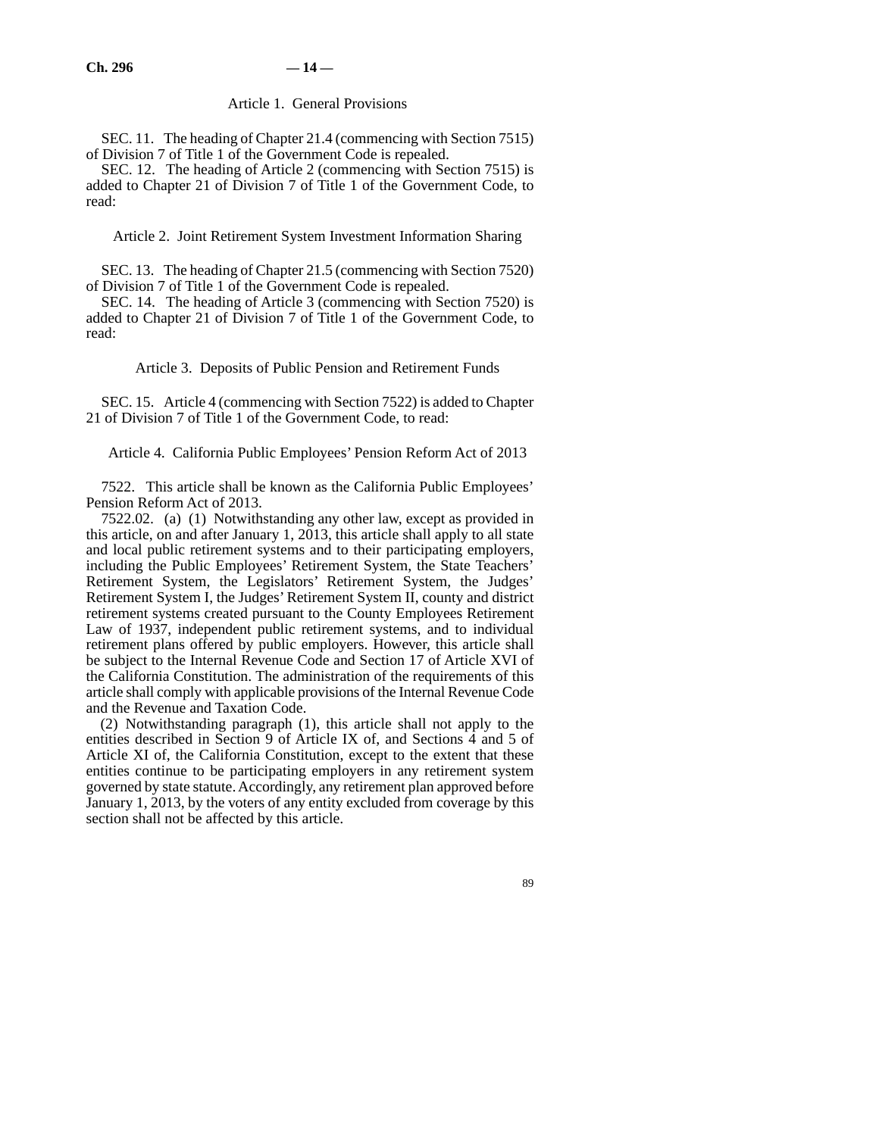### Article 1. General Provisions

SEC. 11. The heading of Chapter 21.4 (commencing with Section 7515) of Division 7 of Title 1 of the Government Code is repealed.

SEC. 12. The heading of Article 2 (commencing with Section 7515) is added to Chapter 21 of Division 7 of Title 1 of the Government Code, to read:

Article 2. Joint Retirement System Investment Information Sharing

SEC. 13. The heading of Chapter 21.5 (commencing with Section 7520) of Division 7 of Title 1 of the Government Code is repealed.

SEC. 14. The heading of Article 3 (commencing with Section 7520) is added to Chapter 21 of Division 7 of Title 1 of the Government Code, to read:

Article 3. Deposits of Public Pension and Retirement Funds

SEC. 15. Article 4 (commencing with Section 7522) is added to Chapter 21 of Division 7 of Title 1 of the Government Code, to read:

Article 4. California Public Employees' Pension Reform Act of 2013

7522. This article shall be known as the California Public Employees' Pension Reform Act of 2013.

7522.02. (a) (1) Notwithstanding any other law, except as provided in this article, on and after January 1, 2013, this article shall apply to all state and local public retirement systems and to their participating employers, including the Public Employees' Retirement System, the State Teachers' Retirement System, the Legislators' Retirement System, the Judges' Retirement System I, the Judges' Retirement System II, county and district retirement systems created pursuant to the County Employees Retirement Law of 1937, independent public retirement systems, and to individual retirement plans offered by public employers. However, this article shall be subject to the Internal Revenue Code and Section 17 of Article XVI of the California Constitution. The administration of the requirements of this article shall comply with applicable provisions of the Internal Revenue Code and the Revenue and Taxation Code.

(2) Notwithstanding paragraph (1), this article shall not apply to the entities described in Section 9 of Article IX of, and Sections 4 and 5 of Article XI of, the California Constitution, except to the extent that these entities continue to be participating employers in any retirement system governed by state statute. Accordingly, any retirement plan approved before January 1, 2013, by the voters of any entity excluded from coverage by this section shall not be affected by this article.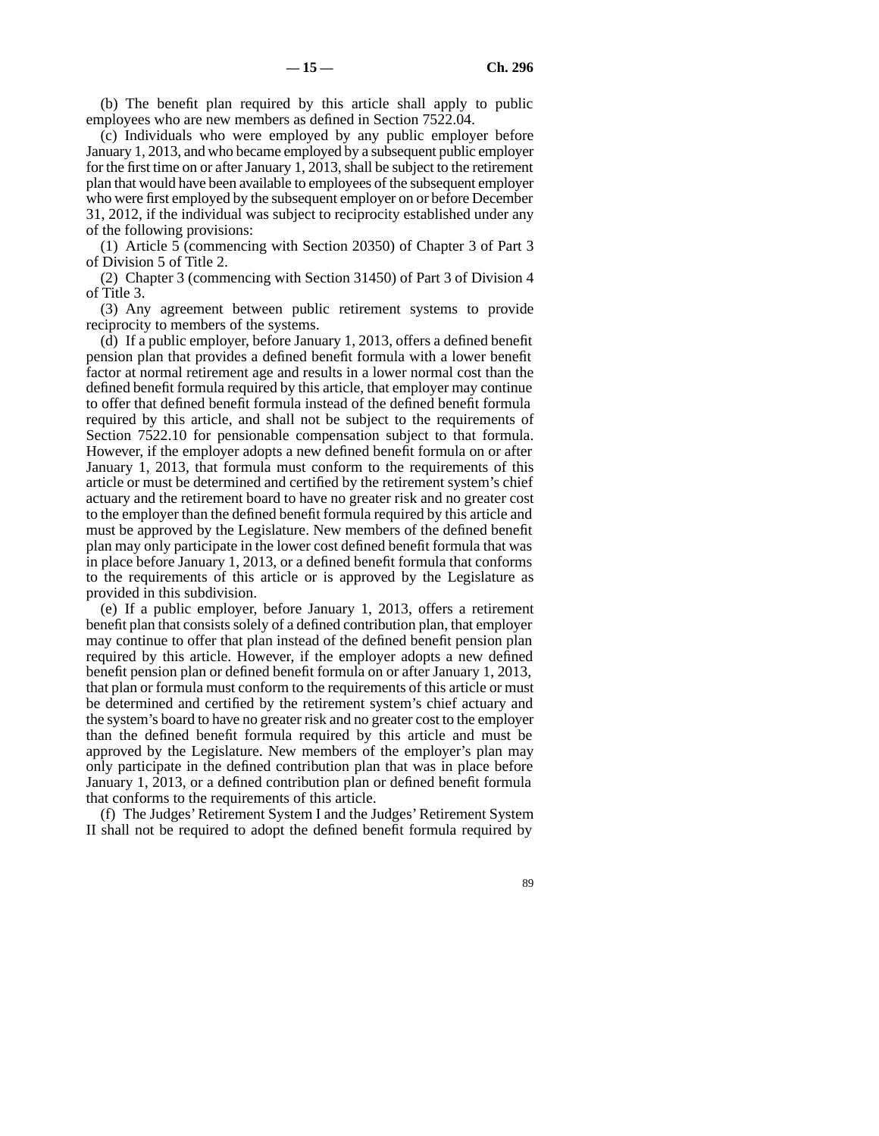(b) The benefit plan required by this article shall apply to public employees who are new members as defined in Section 7522.04.

(c) Individuals who were employed by any public employer before January 1, 2013, and who became employed by a subsequent public employer for the first time on or after January 1, 2013, shall be subject to the retirement plan that would have been available to employees of the subsequent employer who were first employed by the subsequent employer on or before December 31, 2012, if the individual was subject to reciprocity established under any of the following provisions:

(1) Article 5 (commencing with Section 20350) of Chapter 3 of Part 3 of Division 5 of Title 2.

(2) Chapter 3 (commencing with Section 31450) of Part 3 of Division 4 of Title 3.

(3) Any agreement between public retirement systems to provide reciprocity to members of the systems.

(d) If a public employer, before January 1, 2013, offers a defined benefit pension plan that provides a defined benefit formula with a lower benefit factor at normal retirement age and results in a lower normal cost than the defined benefit formula required by this article, that employer may continue to offer that defined benefit formula instead of the defined benefit formula required by this article, and shall not be subject to the requirements of Section 7522.10 for pensionable compensation subject to that formula. However, if the employer adopts a new defined benefit formula on or after January 1, 2013, that formula must conform to the requirements of this article or must be determined and certified by the retirement system's chief actuary and the retirement board to have no greater risk and no greater cost to the employer than the defined benefit formula required by this article and must be approved by the Legislature. New members of the defined benefit plan may only participate in the lower cost defined benefit formula that was in place before January 1, 2013, or a defined benefit formula that conforms to the requirements of this article or is approved by the Legislature as provided in this subdivision.

(e) If a public employer, before January 1, 2013, offers a retirement benefit plan that consists solely of a defined contribution plan, that employer may continue to offer that plan instead of the defined benefit pension plan required by this article. However, if the employer adopts a new defined benefit pension plan or defined benefit formula on or after January 1, 2013, that plan or formula must conform to the requirements of this article or must be determined and certified by the retirement system's chief actuary and the system's board to have no greater risk and no greater cost to the employer than the defined benefit formula required by this article and must be approved by the Legislature. New members of the employer's plan may only participate in the defined contribution plan that was in place before January 1, 2013, or a defined contribution plan or defined benefit formula that conforms to the requirements of this article.

(f) The Judges' Retirement System I and the Judges' Retirement System II shall not be required to adopt the defined benefit formula required by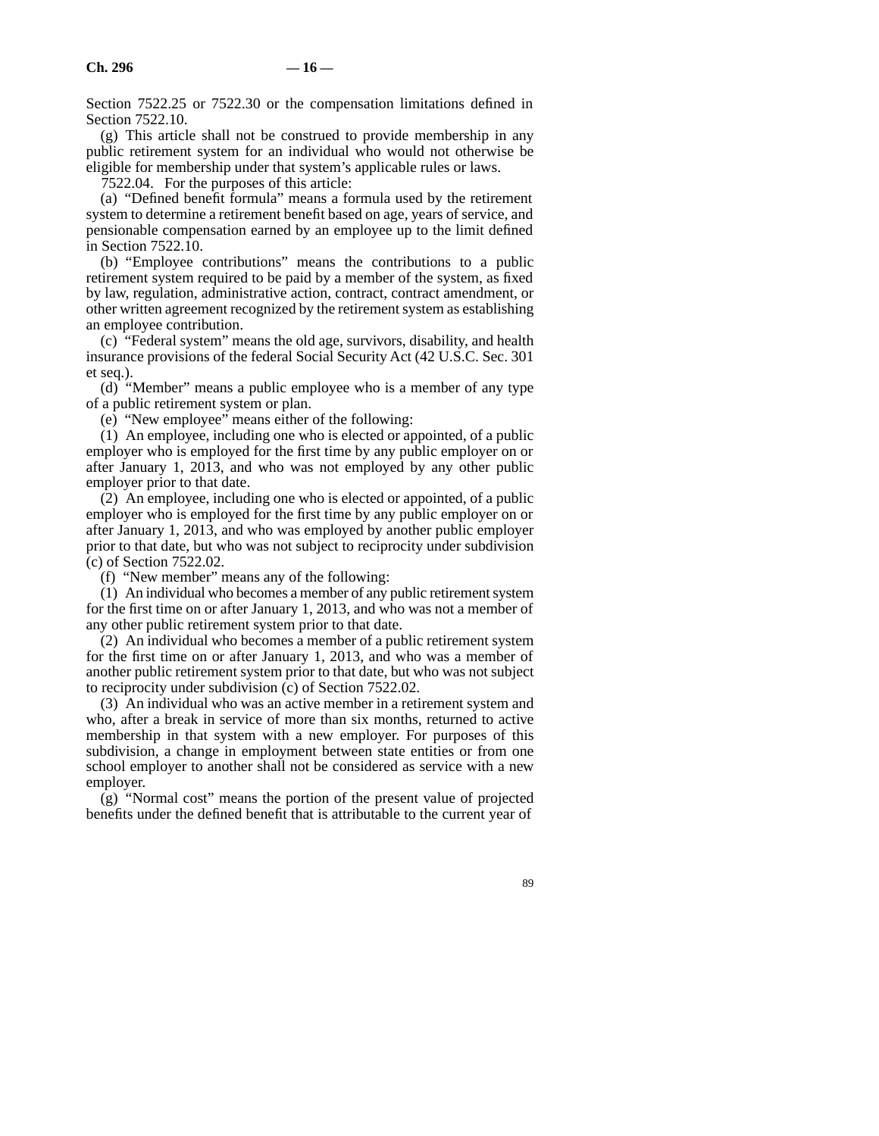Section 7522.25 or 7522.30 or the compensation limitations defined in Section 7522.10.

(g) This article shall not be construed to provide membership in any public retirement system for an individual who would not otherwise be eligible for membership under that system's applicable rules or laws.

7522.04. For the purposes of this article:

(a) "Defined benefit formula" means a formula used by the retirement system to determine a retirement benefit based on age, years of service, and pensionable compensation earned by an employee up to the limit defined in Section 7522.10.

(b) "Employee contributions" means the contributions to a public retirement system required to be paid by a member of the system, as fixed by law, regulation, administrative action, contract, contract amendment, or other written agreement recognized by the retirement system as establishing an employee contribution.

(c) "Federal system" means the old age, survivors, disability, and health insurance provisions of the federal Social Security Act (42 U.S.C. Sec. 301 et seq.).

(d) "Member" means a public employee who is a member of any type of a public retirement system or plan.

(e) "New employee" means either of the following:

(1) An employee, including one who is elected or appointed, of a public employer who is employed for the first time by any public employer on or after January 1, 2013, and who was not employed by any other public employer prior to that date.

(2) An employee, including one who is elected or appointed, of a public employer who is employed for the first time by any public employer on or after January 1, 2013, and who was employed by another public employer prior to that date, but who was not subject to reciprocity under subdivision (c) of Section 7522.02.

(f) "New member" means any of the following:

(1) An individual who becomes a member of any public retirement system for the first time on or after January 1, 2013, and who was not a member of any other public retirement system prior to that date.

(2) An individual who becomes a member of a public retirement system for the first time on or after January 1, 2013, and who was a member of another public retirement system prior to that date, but who was not subject to reciprocity under subdivision (c) of Section 7522.02.

(3) An individual who was an active member in a retirement system and who, after a break in service of more than six months, returned to active membership in that system with a new employer. For purposes of this subdivision, a change in employment between state entities or from one school employer to another shall not be considered as service with a new employer.

(g) "Normal cost" means the portion of the present value of projected benefits under the defined benefit that is attributable to the current year of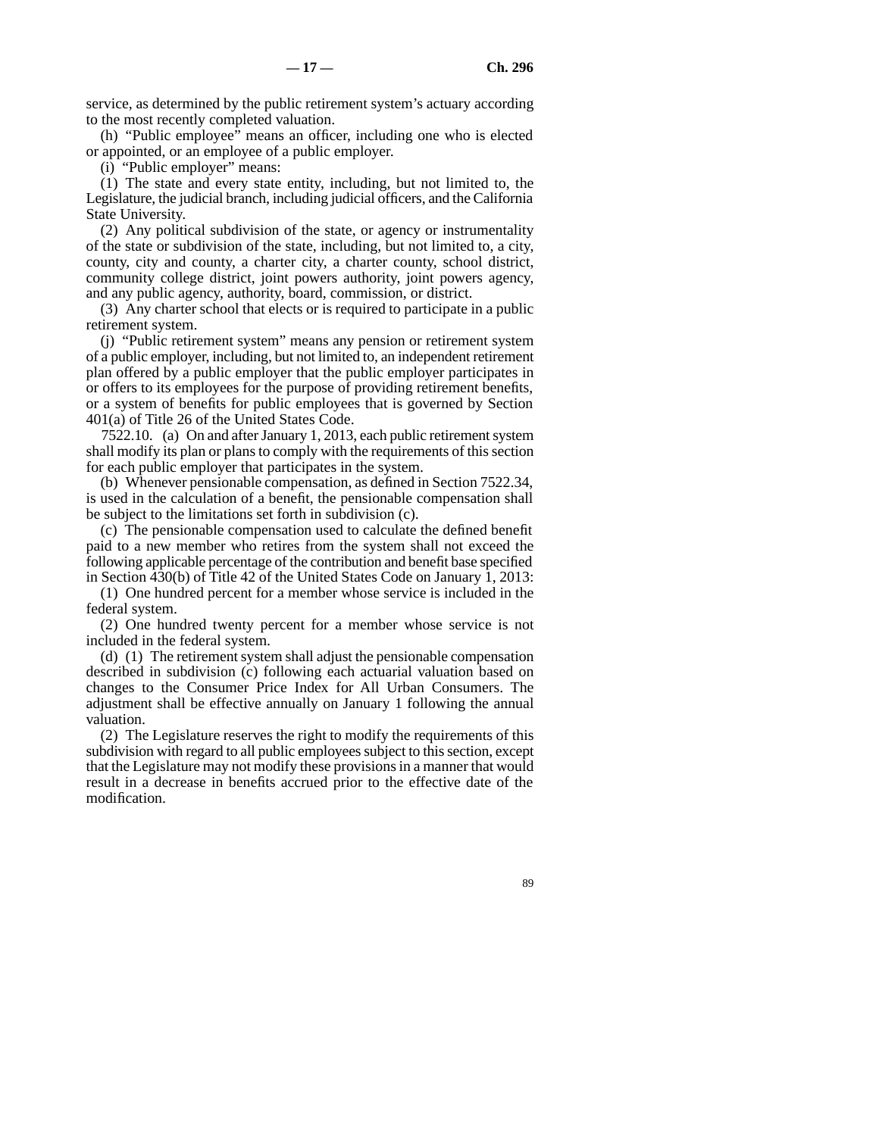service, as determined by the public retirement system's actuary according to the most recently completed valuation.

(h) "Public employee" means an officer, including one who is elected or appointed, or an employee of a public employer.

(i) "Public employer" means:

(1) The state and every state entity, including, but not limited to, the Legislature, the judicial branch, including judicial officers, and the California State University.

(2) Any political subdivision of the state, or agency or instrumentality of the state or subdivision of the state, including, but not limited to, a city, county, city and county, a charter city, a charter county, school district, community college district, joint powers authority, joint powers agency, and any public agency, authority, board, commission, or district.

(3) Any charter school that elects or is required to participate in a public retirement system.

(j) "Public retirement system" means any pension or retirement system of a public employer, including, but not limited to, an independent retirement plan offered by a public employer that the public employer participates in or offers to its employees for the purpose of providing retirement benefits, or a system of benefits for public employees that is governed by Section 401(a) of Title 26 of the United States Code.

7522.10. (a) On and after January 1, 2013, each public retirement system shall modify its plan or plans to comply with the requirements of this section for each public employer that participates in the system.

(b) Whenever pensionable compensation, as defined in Section 7522.34, is used in the calculation of a benefit, the pensionable compensation shall be subject to the limitations set forth in subdivision (c).

(c) The pensionable compensation used to calculate the defined benefit paid to a new member who retires from the system shall not exceed the following applicable percentage of the contribution and benefit base specified in Section 430(b) of Title 42 of the United States Code on January 1, 2013:

(1) One hundred percent for a member whose service is included in the federal system.

(2) One hundred twenty percent for a member whose service is not included in the federal system.

(d) (1) The retirement system shall adjust the pensionable compensation described in subdivision (c) following each actuarial valuation based on changes to the Consumer Price Index for All Urban Consumers. The adjustment shall be effective annually on January 1 following the annual valuation.

(2) The Legislature reserves the right to modify the requirements of this subdivision with regard to all public employees subject to this section, except that the Legislature may not modify these provisions in a manner that would result in a decrease in benefits accrued prior to the effective date of the modification.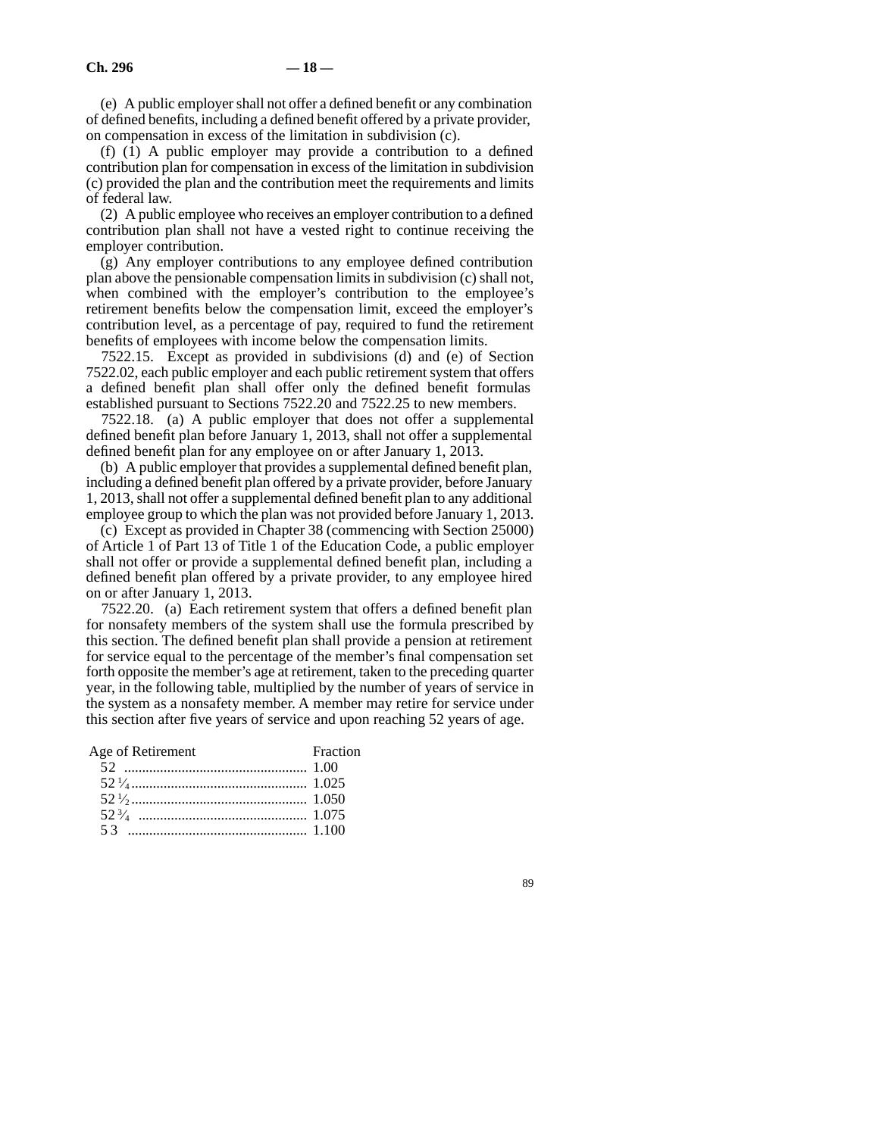(e) A public employer shall not offer a defined benefit or any combination of defined benefits, including a defined benefit offered by a private provider, on compensation in excess of the limitation in subdivision (c).

(f) (1) A public employer may provide a contribution to a defined contribution plan for compensation in excess of the limitation in subdivision (c) provided the plan and the contribution meet the requirements and limits of federal law.

(2) A public employee who receives an employer contribution to a defined contribution plan shall not have a vested right to continue receiving the employer contribution.

(g) Any employer contributions to any employee defined contribution plan above the pensionable compensation limits in subdivision (c) shall not, when combined with the employer's contribution to the employee's retirement benefits below the compensation limit, exceed the employer's contribution level, as a percentage of pay, required to fund the retirement benefits of employees with income below the compensation limits.

7522.15. Except as provided in subdivisions (d) and (e) of Section 7522.02, each public employer and each public retirement system that offers a defined benefit plan shall offer only the defined benefit formulas established pursuant to Sections 7522.20 and 7522.25 to new members.

7522.18. (a) A public employer that does not offer a supplemental defined benefit plan before January 1, 2013, shall not offer a supplemental defined benefit plan for any employee on or after January 1, 2013.

(b) A public employer that provides a supplemental defined benefit plan, including a defined benefit plan offered by a private provider, before January 1, 2013, shall not offer a supplemental defined benefit plan to any additional employee group to which the plan was not provided before January 1, 2013.

(c) Except as provided in Chapter 38 (commencing with Section 25000) of Article 1 of Part 13 of Title 1 of the Education Code, a public employer shall not offer or provide a supplemental defined benefit plan, including a defined benefit plan offered by a private provider, to any employee hired on or after January 1, 2013.

7522.20. (a) Each retirement system that offers a defined benefit plan for nonsafety members of the system shall use the formula prescribed by this section. The defined benefit plan shall provide a pension at retirement for service equal to the percentage of the member's final compensation set forth opposite the member's age at retirement, taken to the preceding quarter year, in the following table, multiplied by the number of years of service in the system as a nonsafety member. A member may retire for service under this section after five years of service and upon reaching 52 years of age.

| Age of Retirement | Fraction |
|-------------------|----------|
|                   |          |
|                   |          |
|                   |          |
|                   |          |
|                   |          |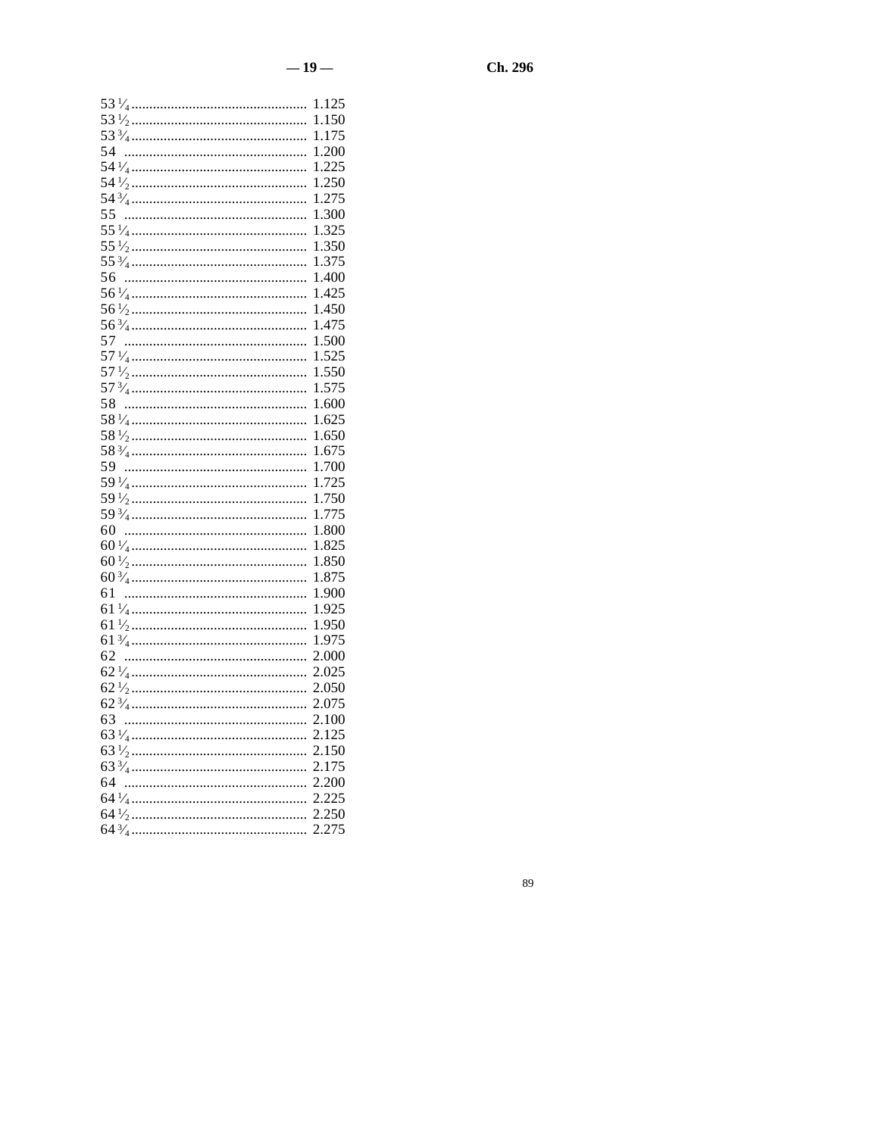|    | 1.125 |
|----|-------|
|    | 1.150 |
|    | 1.175 |
| 54 | 1.200 |
|    | 1.225 |
|    | 1.250 |
|    | 1.275 |
| 55 | 1.300 |
|    | 1.325 |
|    | 1.350 |
|    | 1.375 |
| 56 | 1.400 |
|    | 1.425 |
|    | 1.450 |
|    | 1.475 |
| 57 | 1.500 |
|    | 1.525 |
|    | 1.550 |
|    | 1.575 |
| 58 | 1.600 |
|    | 1.625 |
|    | 1.650 |
|    | 1.675 |
| 59 | 1.700 |
|    | 1.725 |
|    | 1.750 |
|    | 1.775 |
| 60 | 1.800 |
|    | 1.825 |
|    | 1.850 |
|    | 1.875 |
| 61 | 1.900 |
|    | 1.925 |
|    | 1.950 |
|    | 1.975 |
| 62 | 2.000 |
|    | 2.025 |
|    | 2.050 |
|    | 2.075 |
|    | 2.100 |
|    | 2.125 |
|    | 2.150 |
|    | 2.175 |
|    | 2.200 |
|    | 2.225 |
|    | 2.250 |
|    | 2.275 |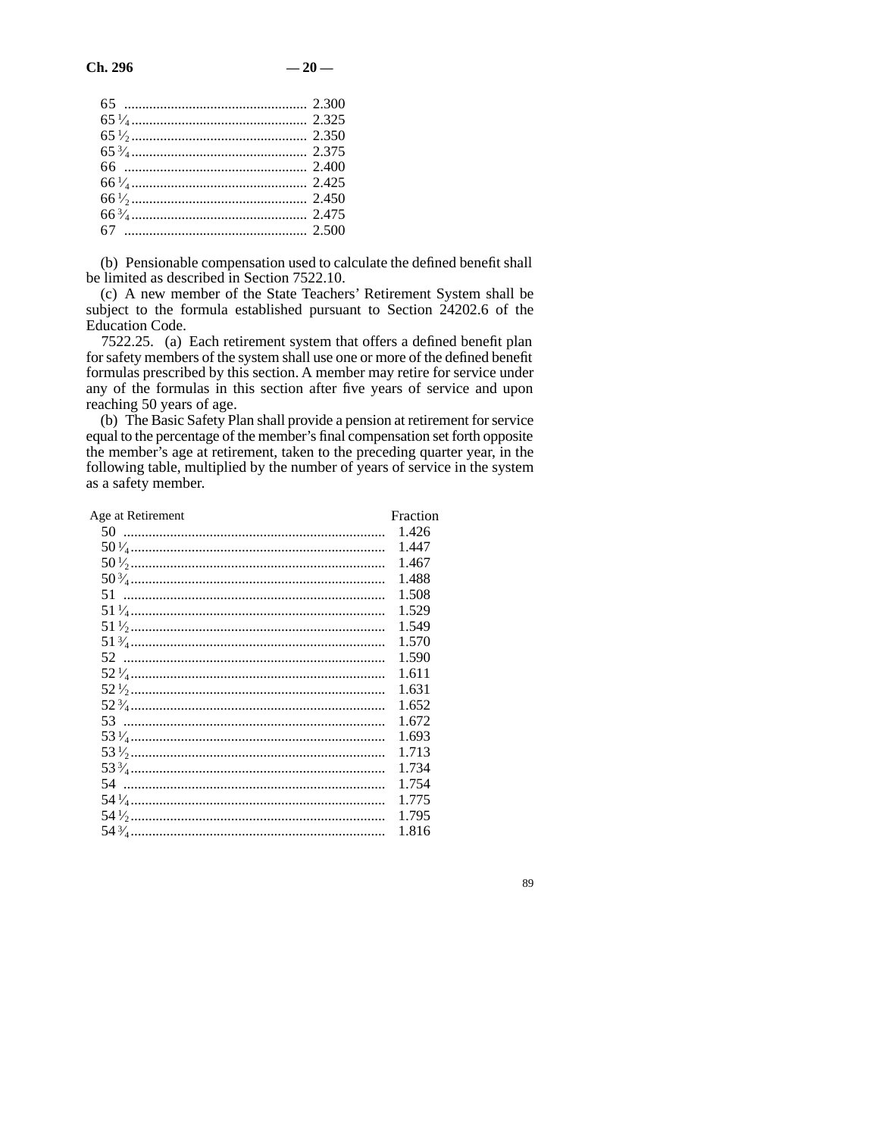(b) Pensionable compensation used to calculate the defined benefit shall be limited as described in Section 7522.10.

(c) A new member of the State Teachers' Retirement System shall be subject to the formula established pursuant to Section 24202.6 of the Education Code.

7522.25. (a) Each retirement system that offers a defined benefit plan for safety members of the system shall use one or more of the defined benefit formulas prescribed by this section. A member may retire for service under any of the formulas in this section after five years of service and upon reaching 50 years of age.

(b) The Basic Safety Plan shall provide a pension at retirement for service equal to the percentage of the member's final compensation set forth opposite the member's age at retirement, taken to the preceding quarter year, in the following table, multiplied by the number of years of service in the system as a safety member.

| Age at Retirement | Fraction |
|-------------------|----------|
|                   | 1.426    |
|                   | 1.447    |
|                   | 1.467    |
|                   | 1.488    |
|                   | 1.508    |
|                   | 1.529    |
|                   | 1.549    |
|                   | 1.570    |
|                   | 1.590    |
|                   | 1.611    |
|                   | 1.631    |
|                   | 1.652    |
|                   | 1.672    |
|                   | 1.693    |
|                   | 1.713    |
|                   | 1.734    |
|                   | 1.754    |
|                   | 1.775    |
|                   | 1.795    |
|                   | 1.816    |
|                   |          |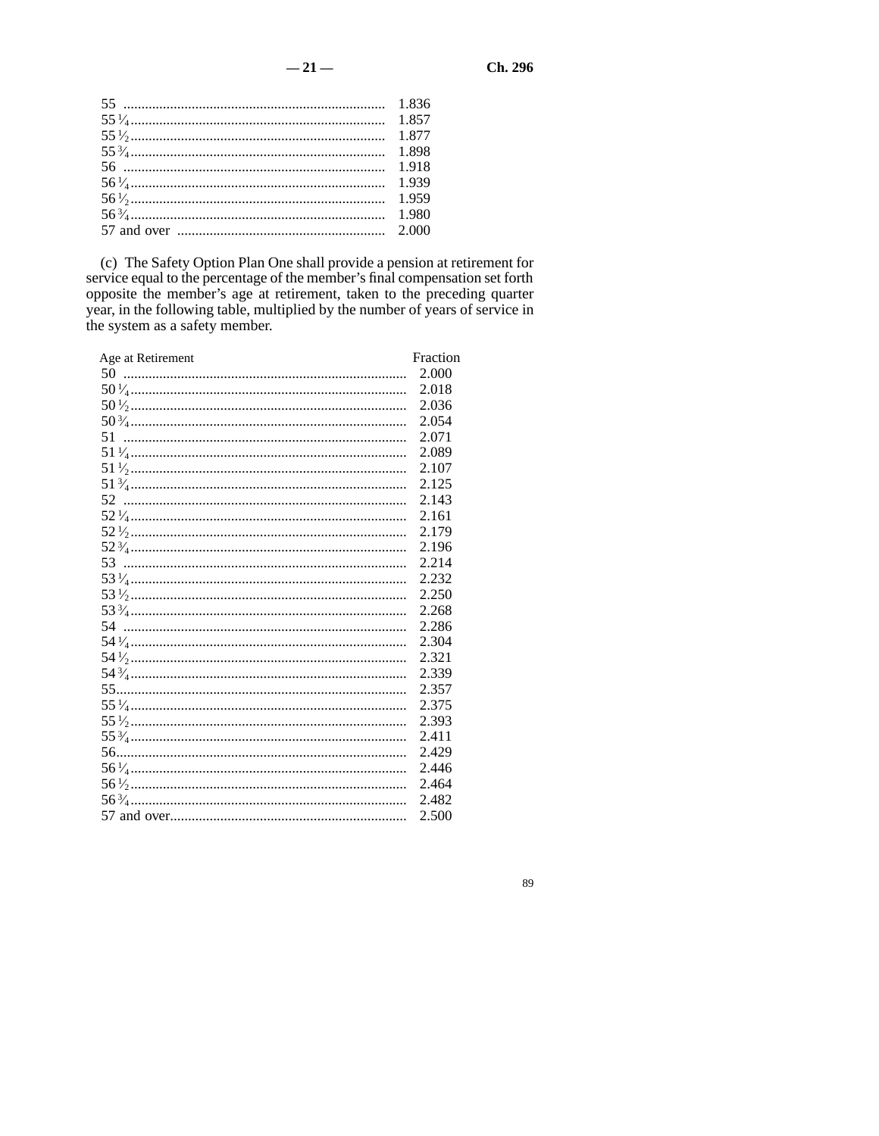(c) The Safety Option Plan One shall provide a pension at retirement for service equal to the percentage of the member's final compensation set forth opposite the member's age at retirement, taken to the preceding quarter

| Age at Retirement | Fraction |
|-------------------|----------|
|                   | 2.000    |
|                   | 2.018    |
|                   | 2.036    |
|                   | 2.054    |
|                   | 2.071    |
|                   | 2.089    |
|                   | 2.107    |
|                   | 2.125    |
|                   | 2.143    |
|                   | 2.161    |
|                   | 2.179    |
|                   | 2.196    |
|                   | 2.214    |
|                   | 2.232    |
|                   | 2.250    |
|                   | 2.268    |
| 54                | 2.286    |
|                   | 2.304    |
|                   | 2.321    |
|                   | 2.339    |
|                   | 2.357    |
|                   | 2.375    |
|                   | 2.393    |
|                   | 2.411    |
|                   | 2.429    |
|                   | 2.446    |
|                   | 2.464    |
|                   | 2.482    |
|                   | 2.500    |
|                   |          |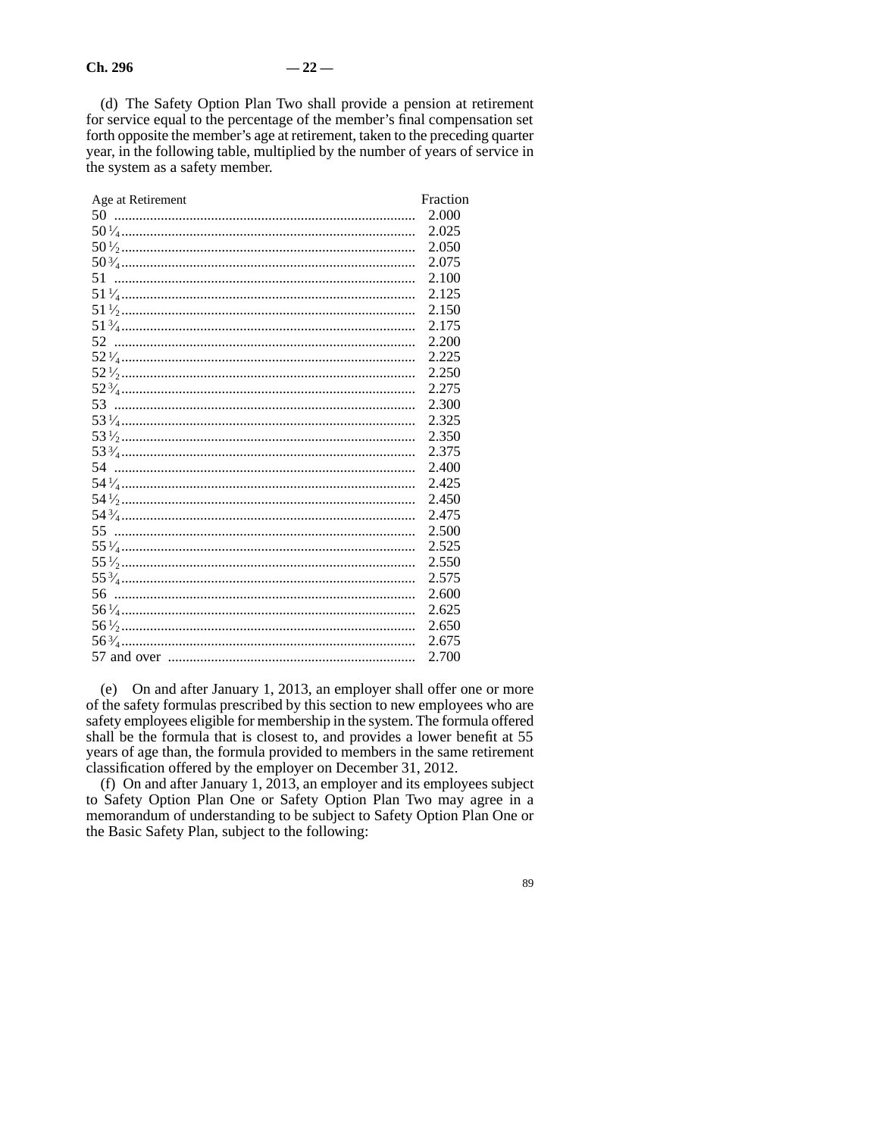(d) The Safety Option Plan Two shall provide a pension at retirement for service equal to the percentage of the member's final compensation set forth opposite the member's age at retirement, taken to the preceding quarter year, in the following table, multiplied by the number of years of service in the system as a safety member.

| Age at Retirement | Fraction |
|-------------------|----------|
|                   | 2.000    |
|                   | 2.025    |
|                   | 2.050    |
|                   | 2.075    |
|                   | 2.100    |
|                   | 2.125    |
|                   | 2.150    |
|                   | 2.175    |
|                   | 2.200    |
|                   | 2.225    |
|                   | 2.250    |
|                   | 2.275    |
|                   | 2.300    |
|                   | 2.325    |
|                   | 2.350    |
|                   | 2.375    |
|                   | 2.400    |
|                   | 2.425    |
|                   | 2.450    |
|                   | 2.475    |
|                   | 2.500    |
|                   | 2.525    |
|                   | 2.550    |
|                   | 2.575    |
|                   | 2.600    |
|                   | 2.625    |
|                   | 2.650    |
|                   | 2.675    |
|                   | 2.700    |
|                   |          |

(e) On and after January 1, 2013, an employer shall offer one or more of the safety formulas prescribed by this section to new employees who are safety employees eligible for membership in the system. The formula offered shall be the formula that is closest to, and provides a lower benefit at 55 years of age than, the formula provided to members in the same retirement classification offered by the employer on December 31, 2012.

(f) On and after January 1, 2013, an employer and its employees subject to Safety Option Plan One or Safety Option Plan Two may agree in a memorandum of understanding to be subject to Safety Option Plan One or the Basic Safety Plan, subject to the following: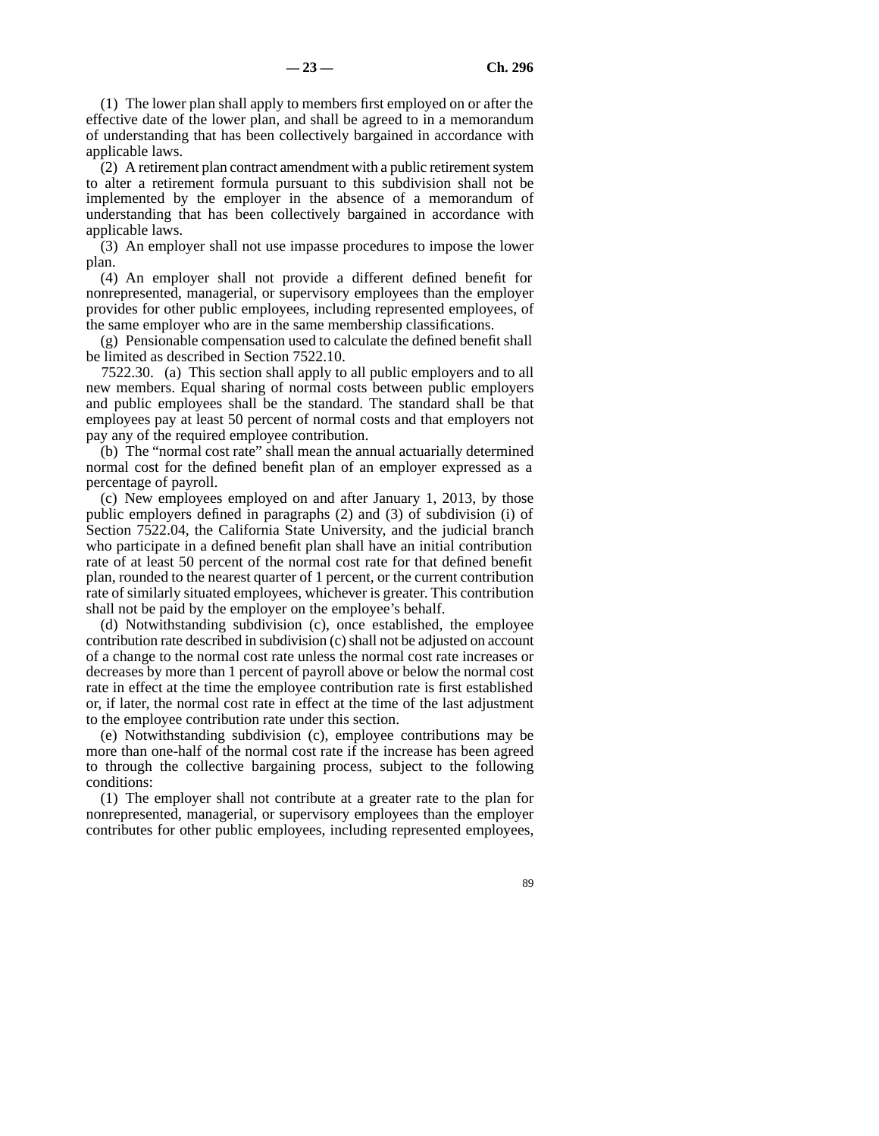(1) The lower plan shall apply to members first employed on or after the effective date of the lower plan, and shall be agreed to in a memorandum of understanding that has been collectively bargained in accordance with applicable laws.

(2) A retirement plan contract amendment with a public retirement system to alter a retirement formula pursuant to this subdivision shall not be implemented by the employer in the absence of a memorandum of understanding that has been collectively bargained in accordance with applicable laws.

(3) An employer shall not use impasse procedures to impose the lower plan.

(4) An employer shall not provide a different defined benefit for nonrepresented, managerial, or supervisory employees than the employer provides for other public employees, including represented employees, of the same employer who are in the same membership classifications.

(g) Pensionable compensation used to calculate the defined benefit shall be limited as described in Section 7522.10.

7522.30. (a) This section shall apply to all public employers and to all new members. Equal sharing of normal costs between public employers and public employees shall be the standard. The standard shall be that employees pay at least 50 percent of normal costs and that employers not pay any of the required employee contribution.

(b) The "normal cost rate" shall mean the annual actuarially determined normal cost for the defined benefit plan of an employer expressed as a percentage of payroll.

(c) New employees employed on and after January 1, 2013, by those public employers defined in paragraphs (2) and (3) of subdivision (i) of Section 7522.04, the California State University, and the judicial branch who participate in a defined benefit plan shall have an initial contribution rate of at least 50 percent of the normal cost rate for that defined benefit plan, rounded to the nearest quarter of 1 percent, or the current contribution rate of similarly situated employees, whichever is greater. This contribution shall not be paid by the employer on the employee's behalf.

(d) Notwithstanding subdivision (c), once established, the employee contribution rate described in subdivision (c) shall not be adjusted on account of a change to the normal cost rate unless the normal cost rate increases or decreases by more than 1 percent of payroll above or below the normal cost rate in effect at the time the employee contribution rate is first established or, if later, the normal cost rate in effect at the time of the last adjustment to the employee contribution rate under this section.

(e) Notwithstanding subdivision (c), employee contributions may be more than one-half of the normal cost rate if the increase has been agreed to through the collective bargaining process, subject to the following conditions:

(1) The employer shall not contribute at a greater rate to the plan for nonrepresented, managerial, or supervisory employees than the employer contributes for other public employees, including represented employees,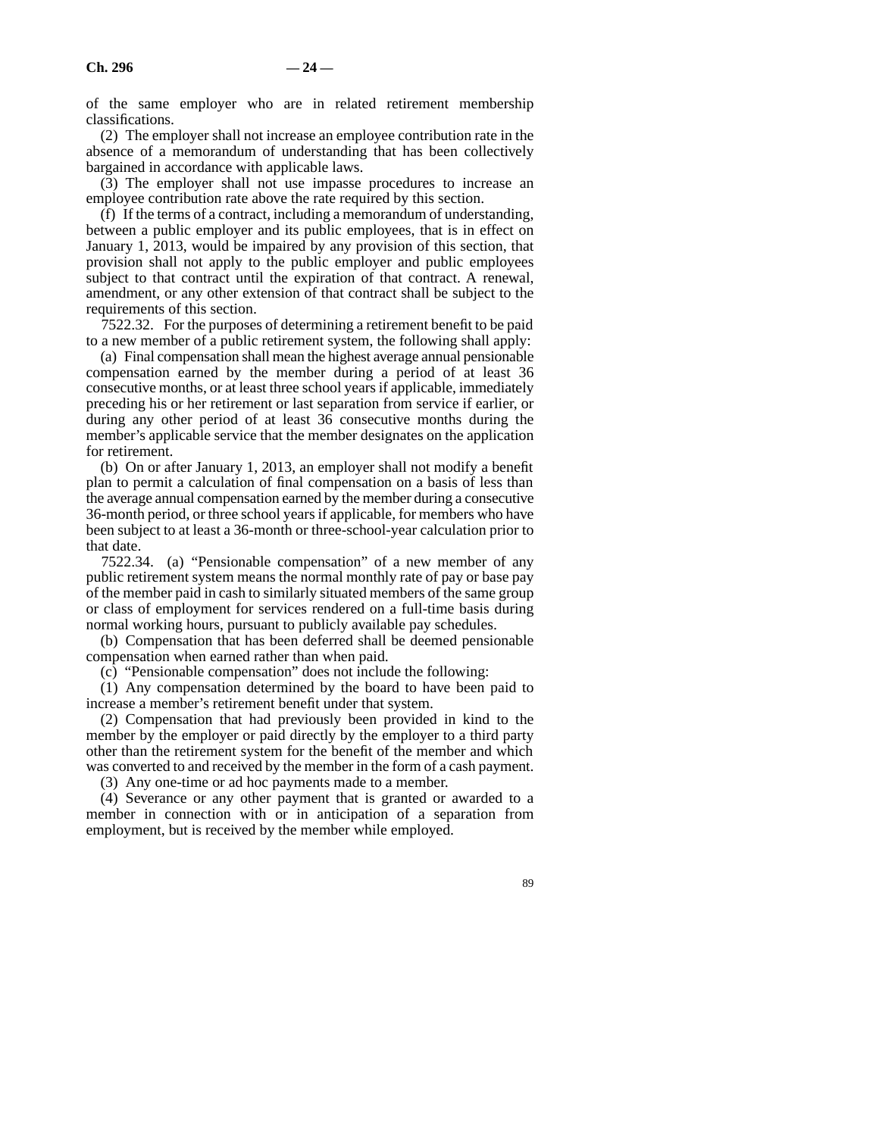of the same employer who are in related retirement membership classifications.

(2) The employer shall not increase an employee contribution rate in the absence of a memorandum of understanding that has been collectively bargained in accordance with applicable laws.

(3) The employer shall not use impasse procedures to increase an employee contribution rate above the rate required by this section.

(f) If the terms of a contract, including a memorandum of understanding, between a public employer and its public employees, that is in effect on January 1, 2013, would be impaired by any provision of this section, that provision shall not apply to the public employer and public employees subject to that contract until the expiration of that contract. A renewal, amendment, or any other extension of that contract shall be subject to the requirements of this section.

7522.32. For the purposes of determining a retirement benefit to be paid to a new member of a public retirement system, the following shall apply:

(a) Final compensation shall mean the highest average annual pensionable compensation earned by the member during a period of at least 36 consecutive months, or at least three school years if applicable, immediately preceding his or her retirement or last separation from service if earlier, or during any other period of at least 36 consecutive months during the member's applicable service that the member designates on the application for retirement.

(b) On or after January 1, 2013, an employer shall not modify a benefit plan to permit a calculation of final compensation on a basis of less than the average annual compensation earned by the member during a consecutive 36-month period, or three school years if applicable, for members who have been subject to at least a 36-month or three-school-year calculation prior to that date.

7522.34. (a) "Pensionable compensation" of a new member of any public retirement system means the normal monthly rate of pay or base pay of the member paid in cash to similarly situated members of the same group or class of employment for services rendered on a full-time basis during normal working hours, pursuant to publicly available pay schedules.

(b) Compensation that has been deferred shall be deemed pensionable compensation when earned rather than when paid.

(c) "Pensionable compensation" does not include the following:

(1) Any compensation determined by the board to have been paid to increase a member's retirement benefit under that system.

(2) Compensation that had previously been provided in kind to the member by the employer or paid directly by the employer to a third party other than the retirement system for the benefit of the member and which was converted to and received by the member in the form of a cash payment.

(3) Any one-time or ad hoc payments made to a member.

(4) Severance or any other payment that is granted or awarded to a member in connection with or in anticipation of a separation from employment, but is received by the member while employed.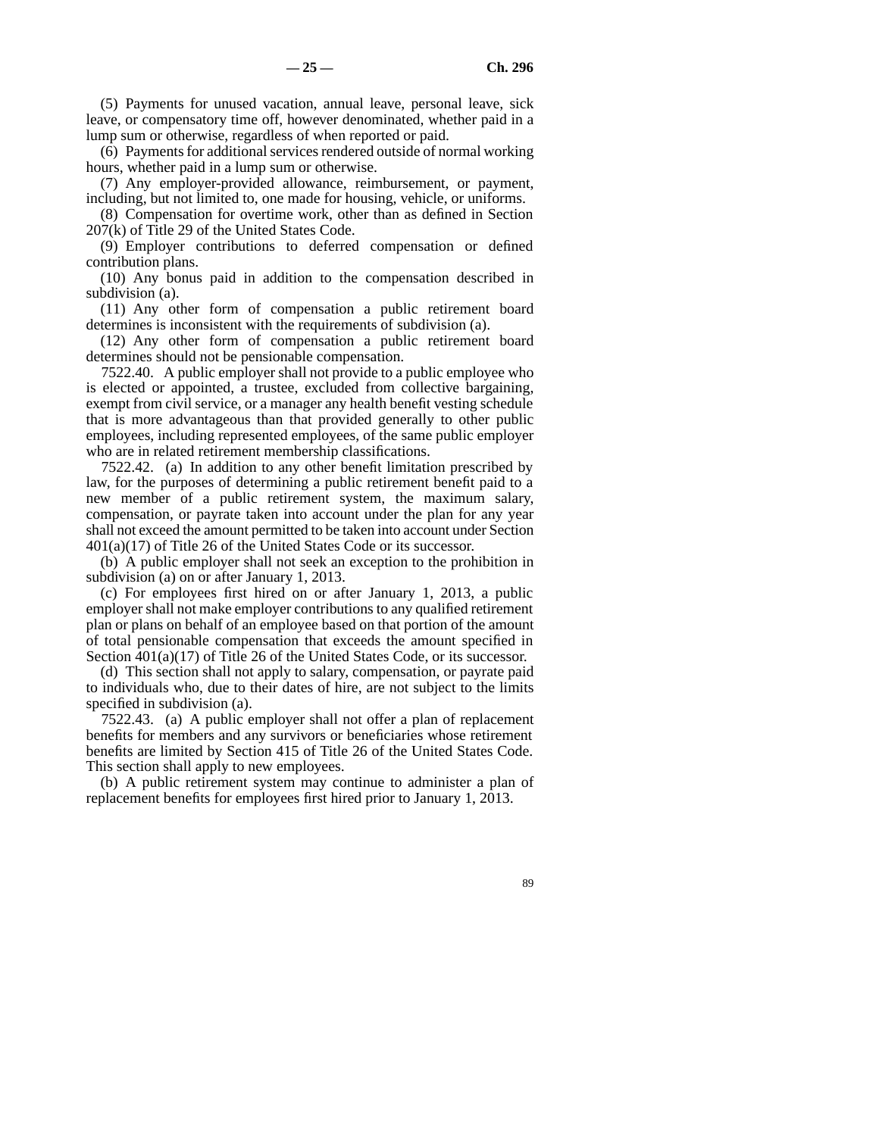(5) Payments for unused vacation, annual leave, personal leave, sick leave, or compensatory time off, however denominated, whether paid in a lump sum or otherwise, regardless of when reported or paid.

(6) Payments for additional services rendered outside of normal working hours, whether paid in a lump sum or otherwise.

(7) Any employer-provided allowance, reimbursement, or payment, including, but not limited to, one made for housing, vehicle, or uniforms.

(8) Compensation for overtime work, other than as defined in Section 207(k) of Title 29 of the United States Code.

(9) Employer contributions to deferred compensation or defined contribution plans.

(10) Any bonus paid in addition to the compensation described in subdivision (a).

(11) Any other form of compensation a public retirement board determines is inconsistent with the requirements of subdivision (a).

(12) Any other form of compensation a public retirement board determines should not be pensionable compensation.

7522.40. A public employer shall not provide to a public employee who is elected or appointed, a trustee, excluded from collective bargaining, exempt from civil service, or a manager any health benefit vesting schedule that is more advantageous than that provided generally to other public employees, including represented employees, of the same public employer who are in related retirement membership classifications.

7522.42. (a) In addition to any other benefit limitation prescribed by law, for the purposes of determining a public retirement benefit paid to a new member of a public retirement system, the maximum salary, compensation, or payrate taken into account under the plan for any year shall not exceed the amount permitted to be taken into account under Section 401(a)(17) of Title 26 of the United States Code or its successor.

(b) A public employer shall not seek an exception to the prohibition in subdivision (a) on or after January 1, 2013.

(c) For employees first hired on or after January 1, 2013, a public employer shall not make employer contributions to any qualified retirement plan or plans on behalf of an employee based on that portion of the amount of total pensionable compensation that exceeds the amount specified in Section  $401(a)(17)$  of Title 26 of the United States Code, or its successor.

(d) This section shall not apply to salary, compensation, or payrate paid to individuals who, due to their dates of hire, are not subject to the limits specified in subdivision (a).

7522.43. (a) A public employer shall not offer a plan of replacement benefits for members and any survivors or beneficiaries whose retirement benefits are limited by Section 415 of Title 26 of the United States Code. This section shall apply to new employees.

(b) A public retirement system may continue to administer a plan of replacement benefits for employees first hired prior to January 1, 2013.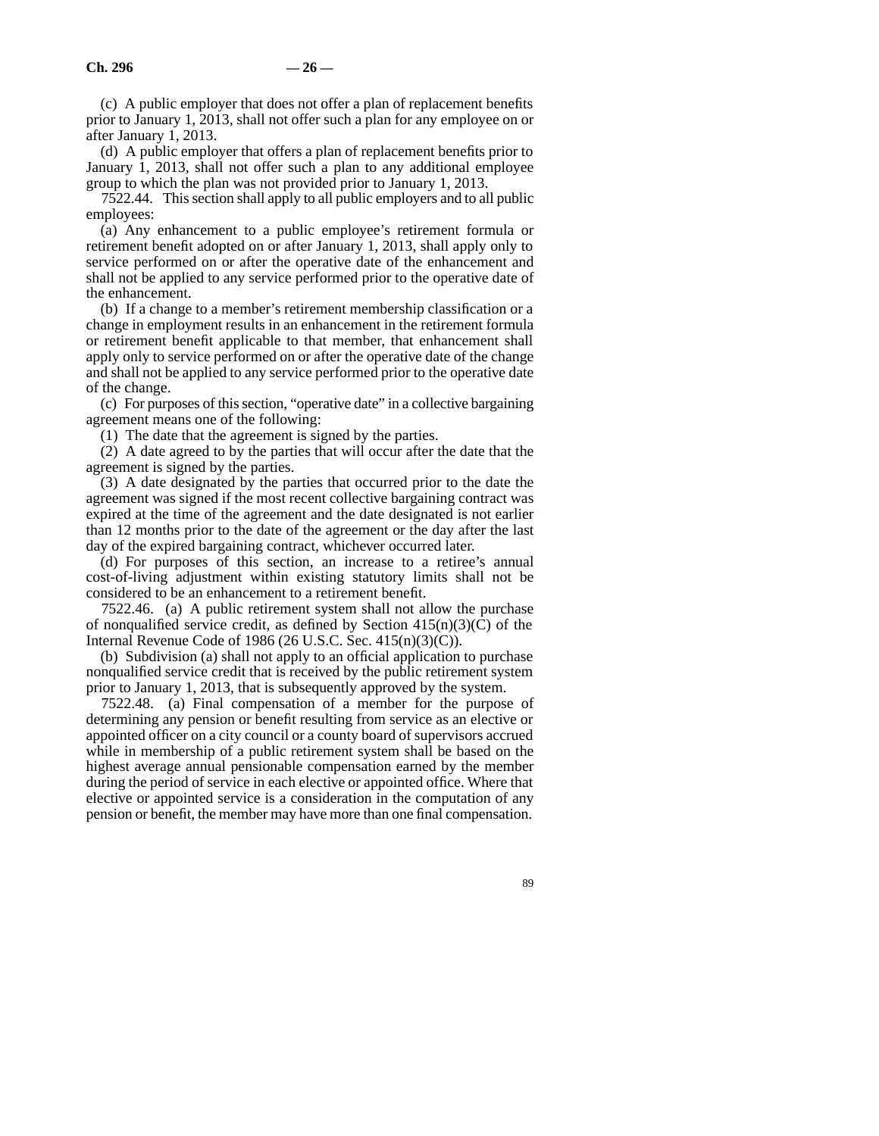(c) A public employer that does not offer a plan of replacement benefits prior to January 1, 2013, shall not offer such a plan for any employee on or after January 1, 2013.

(d) A public employer that offers a plan of replacement benefits prior to January 1, 2013, shall not offer such a plan to any additional employee group to which the plan was not provided prior to January 1, 2013.

7522.44. This section shall apply to all public employers and to all public employees:

(a) Any enhancement to a public employee's retirement formula or retirement benefit adopted on or after January 1, 2013, shall apply only to service performed on or after the operative date of the enhancement and shall not be applied to any service performed prior to the operative date of the enhancement.

(b) If a change to a member's retirement membership classification or a change in employment results in an enhancement in the retirement formula or retirement benefit applicable to that member, that enhancement shall apply only to service performed on or after the operative date of the change and shall not be applied to any service performed prior to the operative date of the change.

(c) For purposes of this section, "operative date" in a collective bargaining agreement means one of the following:

(1) The date that the agreement is signed by the parties.

(2) A date agreed to by the parties that will occur after the date that the agreement is signed by the parties.

(3) A date designated by the parties that occurred prior to the date the agreement was signed if the most recent collective bargaining contract was expired at the time of the agreement and the date designated is not earlier than 12 months prior to the date of the agreement or the day after the last day of the expired bargaining contract, whichever occurred later.

(d) For purposes of this section, an increase to a retiree's annual cost-of-living adjustment within existing statutory limits shall not be considered to be an enhancement to a retirement benefit.

7522.46. (a) A public retirement system shall not allow the purchase of nonqualified service credit, as defined by Section  $415(n)(3)(C)$  of the Internal Revenue Code of 1986 (26 U.S.C. Sec. 415(n)(3)(C)).

(b) Subdivision (a) shall not apply to an official application to purchase nonqualified service credit that is received by the public retirement system prior to January 1, 2013, that is subsequently approved by the system.

7522.48. (a) Final compensation of a member for the purpose of determining any pension or benefit resulting from service as an elective or appointed officer on a city council or a county board of supervisors accrued while in membership of a public retirement system shall be based on the highest average annual pensionable compensation earned by the member during the period of service in each elective or appointed office. Where that elective or appointed service is a consideration in the computation of any pension or benefit, the member may have more than one final compensation.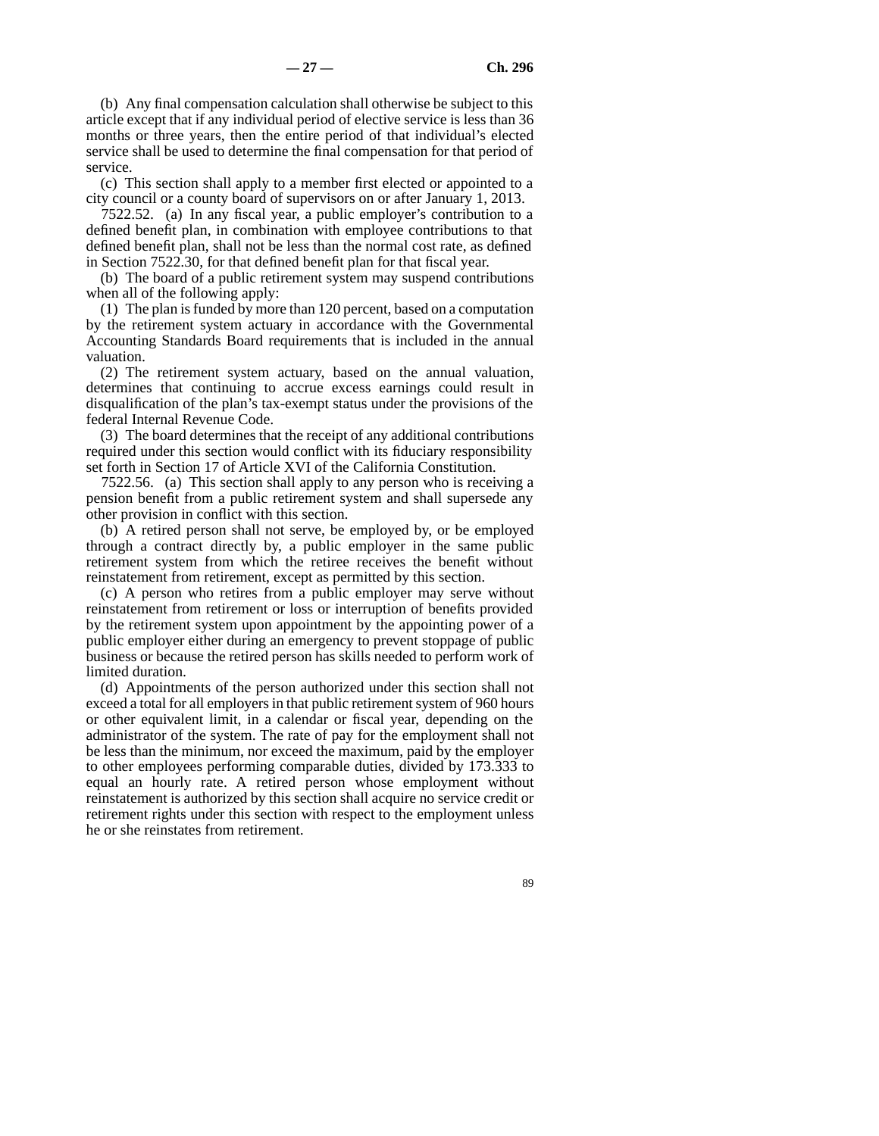(b) Any final compensation calculation shall otherwise be subject to this article except that if any individual period of elective service is less than 36 months or three years, then the entire period of that individual's elected service shall be used to determine the final compensation for that period of service.

(c) This section shall apply to a member first elected or appointed to a city council or a county board of supervisors on or after January 1, 2013.

7522.52. (a) In any fiscal year, a public employer's contribution to a defined benefit plan, in combination with employee contributions to that defined benefit plan, shall not be less than the normal cost rate, as defined in Section 7522.30, for that defined benefit plan for that fiscal year.

(b) The board of a public retirement system may suspend contributions when all of the following apply:

(1) The plan is funded by more than 120 percent, based on a computation by the retirement system actuary in accordance with the Governmental Accounting Standards Board requirements that is included in the annual valuation.

(2) The retirement system actuary, based on the annual valuation, determines that continuing to accrue excess earnings could result in disqualification of the plan's tax-exempt status under the provisions of the federal Internal Revenue Code.

(3) The board determines that the receipt of any additional contributions required under this section would conflict with its fiduciary responsibility set forth in Section 17 of Article XVI of the California Constitution.

7522.56. (a) This section shall apply to any person who is receiving a pension benefit from a public retirement system and shall supersede any other provision in conflict with this section.

(b) A retired person shall not serve, be employed by, or be employed through a contract directly by, a public employer in the same public retirement system from which the retiree receives the benefit without reinstatement from retirement, except as permitted by this section.

(c) A person who retires from a public employer may serve without reinstatement from retirement or loss or interruption of benefits provided by the retirement system upon appointment by the appointing power of a public employer either during an emergency to prevent stoppage of public business or because the retired person has skills needed to perform work of limited duration.

(d) Appointments of the person authorized under this section shall not exceed a total for all employers in that public retirement system of 960 hours or other equivalent limit, in a calendar or fiscal year, depending on the administrator of the system. The rate of pay for the employment shall not be less than the minimum, nor exceed the maximum, paid by the employer to other employees performing comparable duties, divided by 173.333 to equal an hourly rate. A retired person whose employment without reinstatement is authorized by this section shall acquire no service credit or retirement rights under this section with respect to the employment unless he or she reinstates from retirement.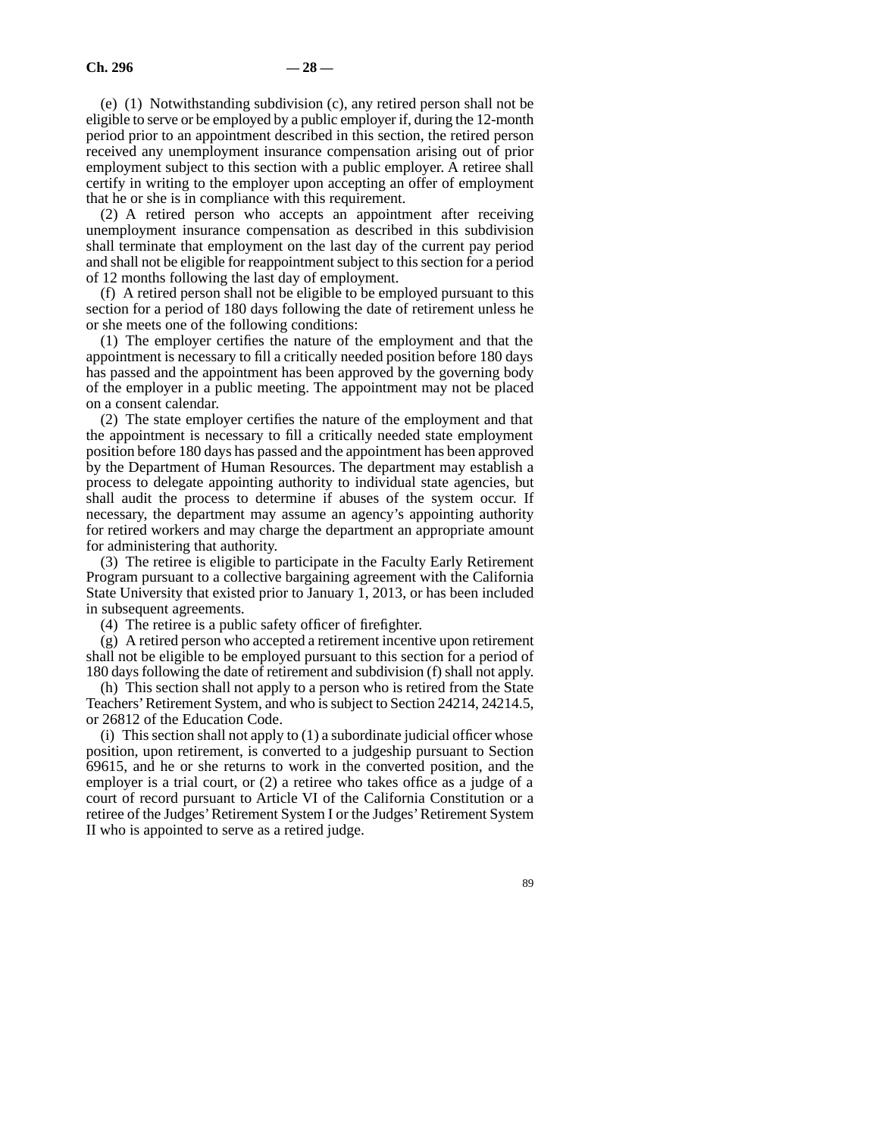(e) (1) Notwithstanding subdivision (c), any retired person shall not be eligible to serve or be employed by a public employer if, during the 12-month period prior to an appointment described in this section, the retired person received any unemployment insurance compensation arising out of prior employment subject to this section with a public employer. A retiree shall certify in writing to the employer upon accepting an offer of employment that he or she is in compliance with this requirement.

(2) A retired person who accepts an appointment after receiving unemployment insurance compensation as described in this subdivision shall terminate that employment on the last day of the current pay period and shall not be eligible for reappointment subject to this section for a period of 12 months following the last day of employment.

(f) A retired person shall not be eligible to be employed pursuant to this section for a period of 180 days following the date of retirement unless he or she meets one of the following conditions:

(1) The employer certifies the nature of the employment and that the appointment is necessary to fill a critically needed position before 180 days has passed and the appointment has been approved by the governing body of the employer in a public meeting. The appointment may not be placed on a consent calendar.

(2) The state employer certifies the nature of the employment and that the appointment is necessary to fill a critically needed state employment position before 180 days has passed and the appointment has been approved by the Department of Human Resources. The department may establish a process to delegate appointing authority to individual state agencies, but shall audit the process to determine if abuses of the system occur. If necessary, the department may assume an agency's appointing authority for retired workers and may charge the department an appropriate amount for administering that authority.

(3) The retiree is eligible to participate in the Faculty Early Retirement Program pursuant to a collective bargaining agreement with the California State University that existed prior to January 1, 2013, or has been included in subsequent agreements.

(4) The retiree is a public safety officer of firefighter.

(g) A retired person who accepted a retirement incentive upon retirement shall not be eligible to be employed pursuant to this section for a period of 180 days following the date of retirement and subdivision (f) shall not apply.

(h) This section shall not apply to a person who is retired from the State Teachers' Retirement System, and who is subject to Section 24214, 24214.5, or 26812 of the Education Code.

(i) This section shall not apply to (1) a subordinate judicial officer whose position, upon retirement, is converted to a judgeship pursuant to Section 69615, and he or she returns to work in the converted position, and the employer is a trial court, or (2) a retiree who takes office as a judge of a court of record pursuant to Article VI of the California Constitution or a retiree of the Judges' Retirement System I or the Judges' Retirement System II who is appointed to serve as a retired judge.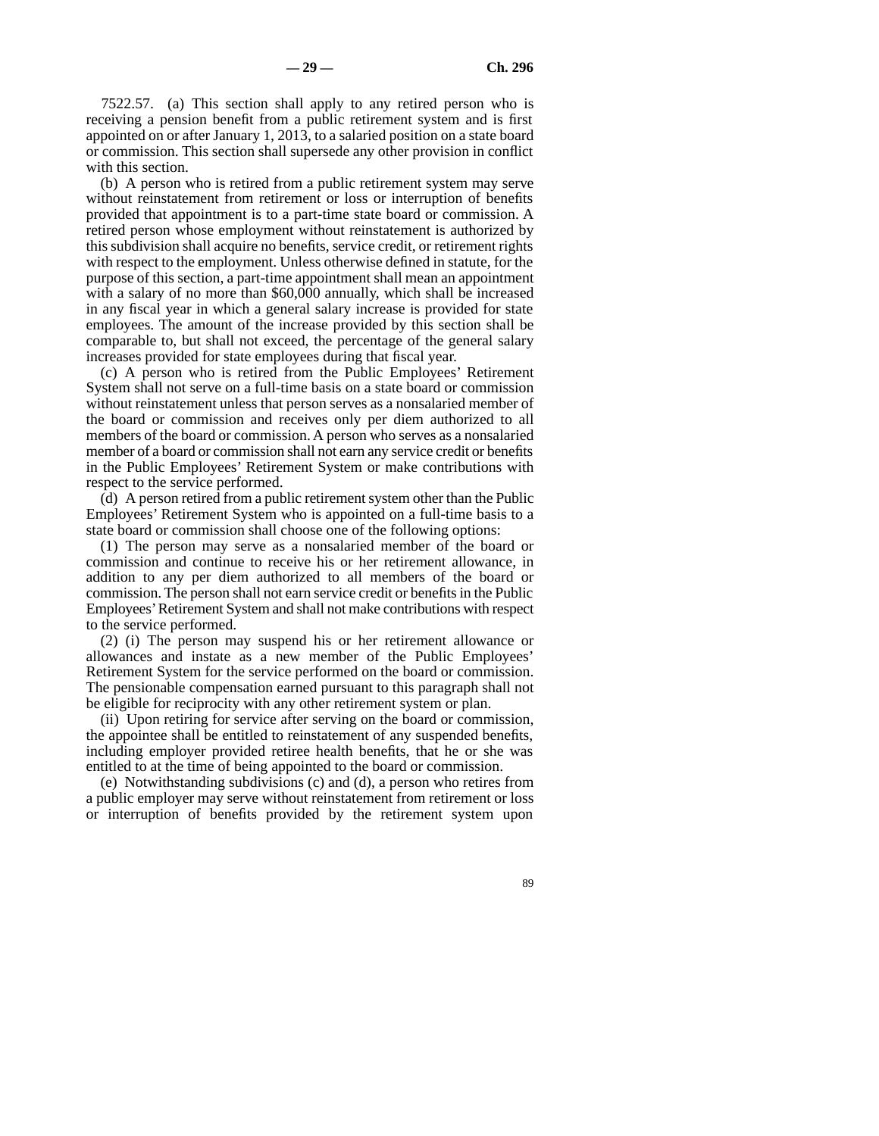7522.57. (a) This section shall apply to any retired person who is receiving a pension benefit from a public retirement system and is first appointed on or after January 1, 2013, to a salaried position on a state board or commission. This section shall supersede any other provision in conflict with this section.

(b) A person who is retired from a public retirement system may serve without reinstatement from retirement or loss or interruption of benefits provided that appointment is to a part-time state board or commission. A retired person whose employment without reinstatement is authorized by this subdivision shall acquire no benefits, service credit, or retirement rights with respect to the employment. Unless otherwise defined in statute, for the purpose of this section, a part-time appointment shall mean an appointment with a salary of no more than \$60,000 annually, which shall be increased in any fiscal year in which a general salary increase is provided for state employees. The amount of the increase provided by this section shall be comparable to, but shall not exceed, the percentage of the general salary increases provided for state employees during that fiscal year.

(c) A person who is retired from the Public Employees' Retirement System shall not serve on a full-time basis on a state board or commission without reinstatement unless that person serves as a nonsalaried member of the board or commission and receives only per diem authorized to all members of the board or commission. A person who serves as a nonsalaried member of a board or commission shall not earn any service credit or benefits in the Public Employees' Retirement System or make contributions with respect to the service performed.

(d) A person retired from a public retirement system other than the Public Employees' Retirement System who is appointed on a full-time basis to a state board or commission shall choose one of the following options:

(1) The person may serve as a nonsalaried member of the board or commission and continue to receive his or her retirement allowance, in addition to any per diem authorized to all members of the board or commission. The person shall not earn service credit or benefits in the Public Employees' Retirement System and shall not make contributions with respect to the service performed.

(2) (i) The person may suspend his or her retirement allowance or allowances and instate as a new member of the Public Employees' Retirement System for the service performed on the board or commission. The pensionable compensation earned pursuant to this paragraph shall not be eligible for reciprocity with any other retirement system or plan.

(ii) Upon retiring for service after serving on the board or commission, the appointee shall be entitled to reinstatement of any suspended benefits, including employer provided retiree health benefits, that he or she was entitled to at the time of being appointed to the board or commission.

(e) Notwithstanding subdivisions (c) and (d), a person who retires from a public employer may serve without reinstatement from retirement or loss or interruption of benefits provided by the retirement system upon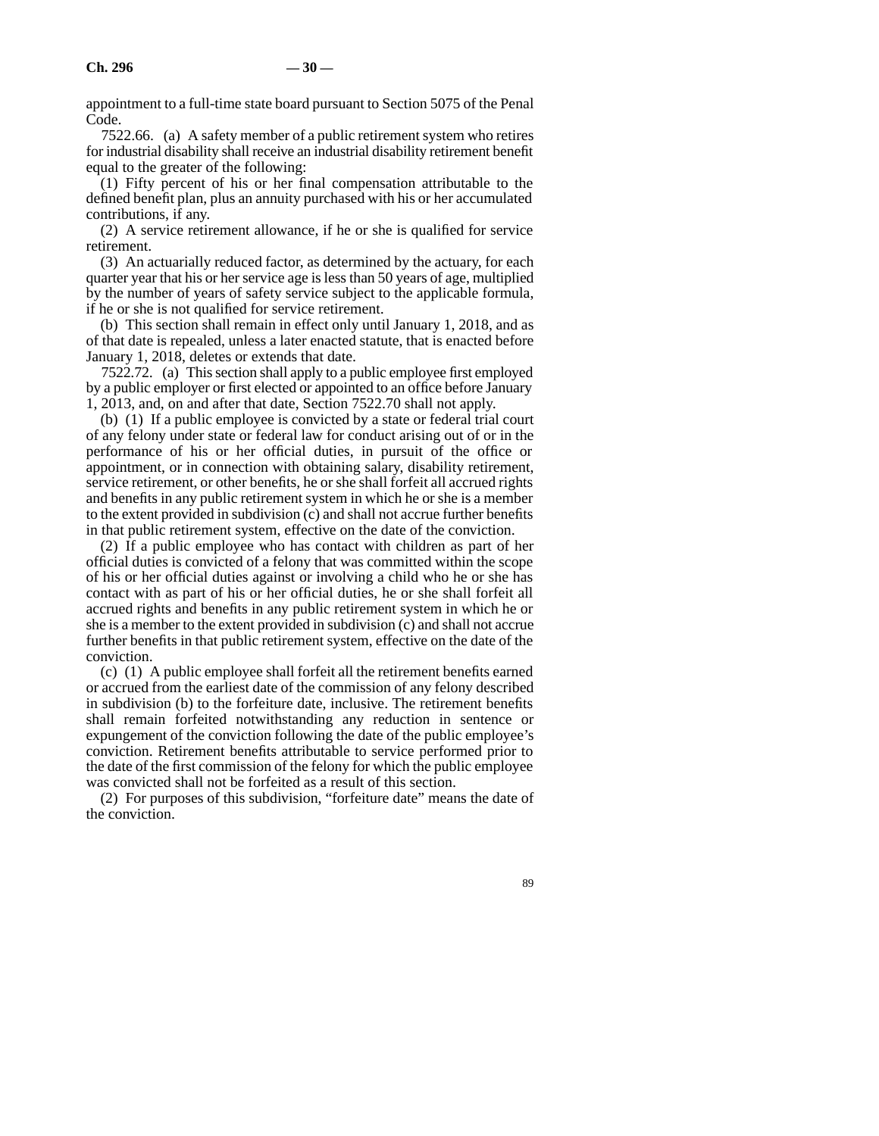appointment to a full-time state board pursuant to Section 5075 of the Penal Code.

7522.66. (a) A safety member of a public retirement system who retires for industrial disability shall receive an industrial disability retirement benefit equal to the greater of the following:

(1) Fifty percent of his or her final compensation attributable to the defined benefit plan, plus an annuity purchased with his or her accumulated contributions, if any.

(2) A service retirement allowance, if he or she is qualified for service retirement.

(3) An actuarially reduced factor, as determined by the actuary, for each quarter year that his or her service age is less than 50 years of age, multiplied by the number of years of safety service subject to the applicable formula, if he or she is not qualified for service retirement.

(b) This section shall remain in effect only until January 1, 2018, and as of that date is repealed, unless a later enacted statute, that is enacted before January 1, 2018, deletes or extends that date.

7522.72. (a) This section shall apply to a public employee first employed by a public employer or first elected or appointed to an office before January 1, 2013, and, on and after that date, Section 7522.70 shall not apply.

(b) (1) If a public employee is convicted by a state or federal trial court of any felony under state or federal law for conduct arising out of or in the performance of his or her official duties, in pursuit of the office or appointment, or in connection with obtaining salary, disability retirement, service retirement, or other benefits, he or she shall forfeit all accrued rights and benefits in any public retirement system in which he or she is a member to the extent provided in subdivision (c) and shall not accrue further benefits in that public retirement system, effective on the date of the conviction.

(2) If a public employee who has contact with children as part of her official duties is convicted of a felony that was committed within the scope of his or her official duties against or involving a child who he or she has contact with as part of his or her official duties, he or she shall forfeit all accrued rights and benefits in any public retirement system in which he or she is a member to the extent provided in subdivision (c) and shall not accrue further benefits in that public retirement system, effective on the date of the conviction.

(c) (1) A public employee shall forfeit all the retirement benefits earned or accrued from the earliest date of the commission of any felony described in subdivision (b) to the forfeiture date, inclusive. The retirement benefits shall remain forfeited notwithstanding any reduction in sentence or expungement of the conviction following the date of the public employee's conviction. Retirement benefits attributable to service performed prior to the date of the first commission of the felony for which the public employee was convicted shall not be forfeited as a result of this section.

(2) For purposes of this subdivision, "forfeiture date" means the date of the conviction.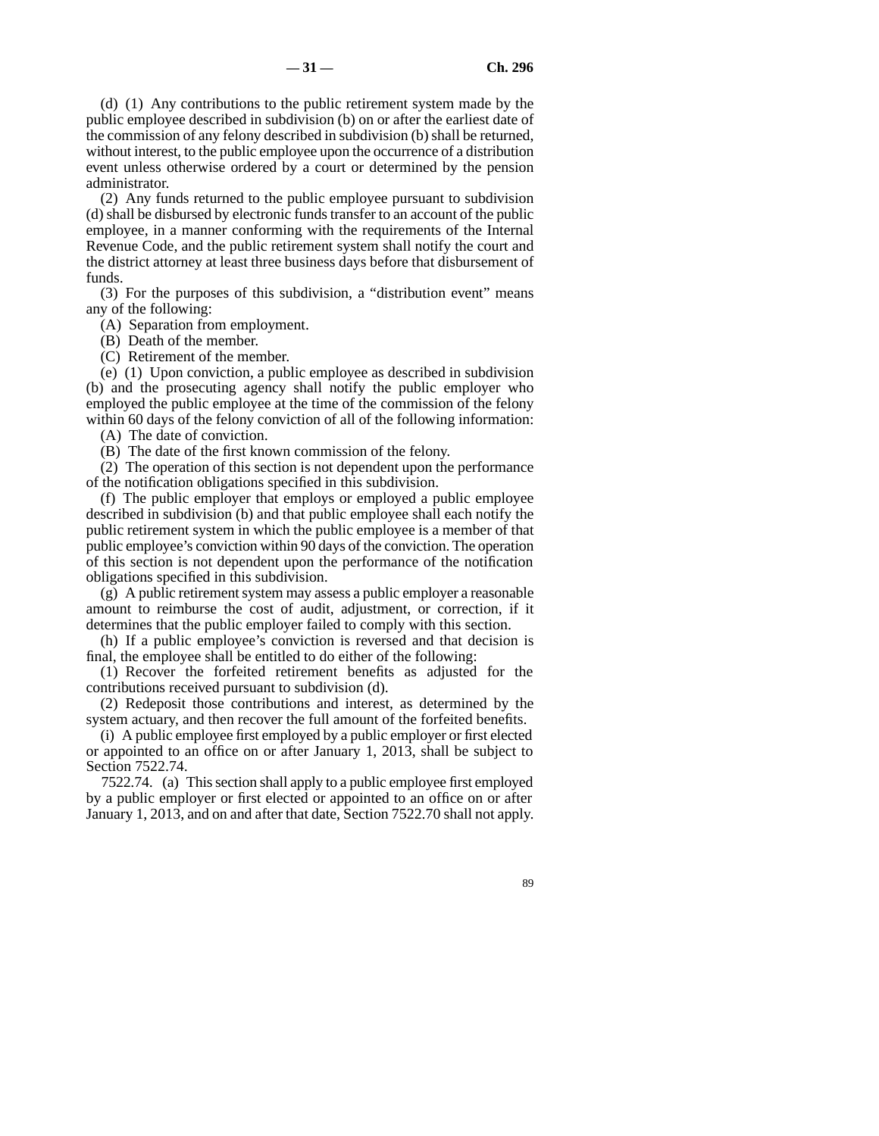(d) (1) Any contributions to the public retirement system made by the public employee described in subdivision (b) on or after the earliest date of the commission of any felony described in subdivision (b) shall be returned, without interest, to the public employee upon the occurrence of a distribution event unless otherwise ordered by a court or determined by the pension administrator.

(2) Any funds returned to the public employee pursuant to subdivision (d) shall be disbursed by electronic funds transfer to an account of the public employee, in a manner conforming with the requirements of the Internal Revenue Code, and the public retirement system shall notify the court and the district attorney at least three business days before that disbursement of funds.

(3) For the purposes of this subdivision, a "distribution event" means any of the following:

(A) Separation from employment.

(B) Death of the member.

(C) Retirement of the member.

(e) (1) Upon conviction, a public employee as described in subdivision (b) and the prosecuting agency shall notify the public employer who employed the public employee at the time of the commission of the felony within 60 days of the felony conviction of all of the following information:

(A) The date of conviction.

(B) The date of the first known commission of the felony.

(2) The operation of this section is not dependent upon the performance of the notification obligations specified in this subdivision.

(f) The public employer that employs or employed a public employee described in subdivision (b) and that public employee shall each notify the public retirement system in which the public employee is a member of that public employee's conviction within 90 days of the conviction. The operation of this section is not dependent upon the performance of the notification obligations specified in this subdivision.

(g) A public retirement system may assess a public employer a reasonable amount to reimburse the cost of audit, adjustment, or correction, if it determines that the public employer failed to comply with this section.

(h) If a public employee's conviction is reversed and that decision is final, the employee shall be entitled to do either of the following:

(1) Recover the forfeited retirement benefits as adjusted for the contributions received pursuant to subdivision (d).

(2) Redeposit those contributions and interest, as determined by the system actuary, and then recover the full amount of the forfeited benefits.

(i) A public employee first employed by a public employer or first elected or appointed to an office on or after January 1, 2013, shall be subject to Section 7522.74.

7522.74. (a) This section shall apply to a public employee first employed by a public employer or first elected or appointed to an office on or after January 1, 2013, and on and after that date, Section 7522.70 shall not apply.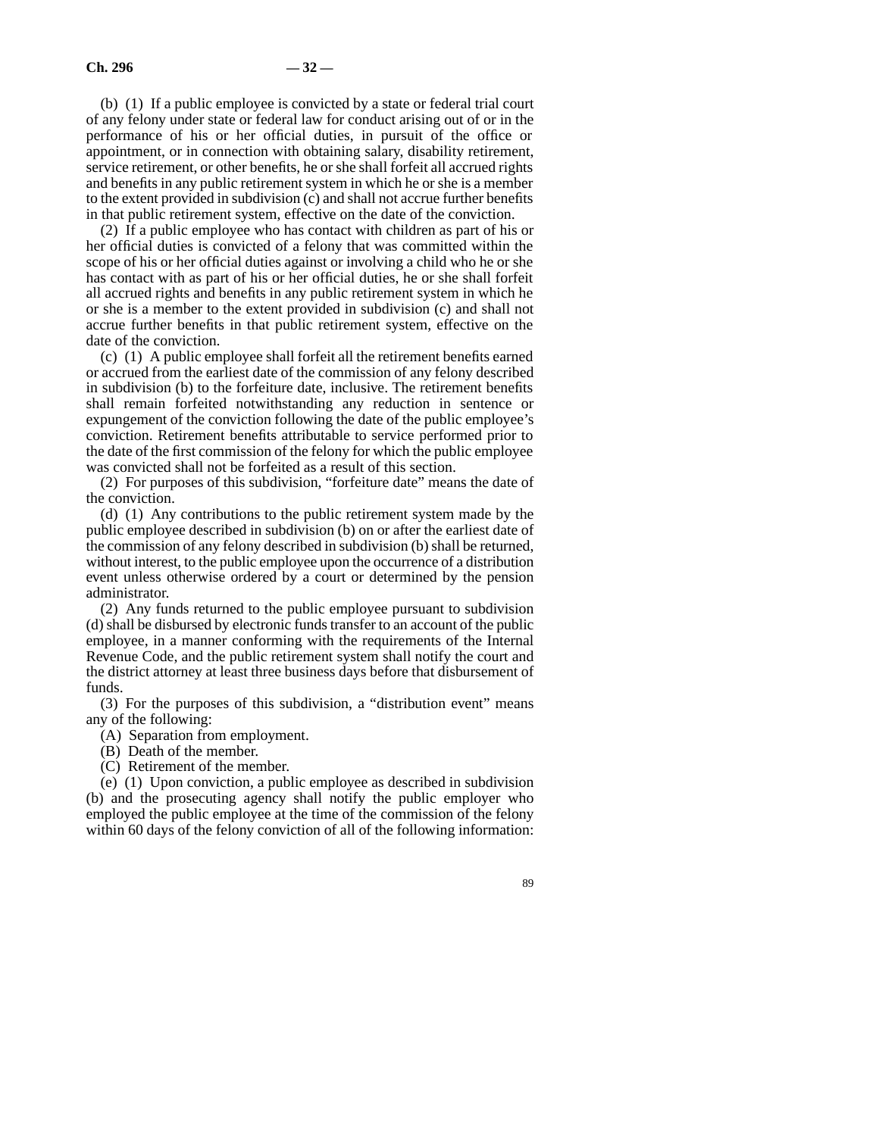(b) (1) If a public employee is convicted by a state or federal trial court of any felony under state or federal law for conduct arising out of or in the performance of his or her official duties, in pursuit of the office or appointment, or in connection with obtaining salary, disability retirement, service retirement, or other benefits, he or she shall forfeit all accrued rights and benefits in any public retirement system in which he or she is a member to the extent provided in subdivision (c) and shall not accrue further benefits in that public retirement system, effective on the date of the conviction.

(2) If a public employee who has contact with children as part of his or her official duties is convicted of a felony that was committed within the scope of his or her official duties against or involving a child who he or she has contact with as part of his or her official duties, he or she shall forfeit all accrued rights and benefits in any public retirement system in which he or she is a member to the extent provided in subdivision (c) and shall not accrue further benefits in that public retirement system, effective on the date of the conviction.

(c) (1) A public employee shall forfeit all the retirement benefits earned or accrued from the earliest date of the commission of any felony described in subdivision (b) to the forfeiture date, inclusive. The retirement benefits shall remain forfeited notwithstanding any reduction in sentence or expungement of the conviction following the date of the public employee's conviction. Retirement benefits attributable to service performed prior to the date of the first commission of the felony for which the public employee was convicted shall not be forfeited as a result of this section.

(2) For purposes of this subdivision, "forfeiture date" means the date of the conviction.

(d) (1) Any contributions to the public retirement system made by the public employee described in subdivision (b) on or after the earliest date of the commission of any felony described in subdivision (b) shall be returned, without interest, to the public employee upon the occurrence of a distribution event unless otherwise ordered by a court or determined by the pension administrator.

(2) Any funds returned to the public employee pursuant to subdivision (d) shall be disbursed by electronic funds transfer to an account of the public employee, in a manner conforming with the requirements of the Internal Revenue Code, and the public retirement system shall notify the court and the district attorney at least three business days before that disbursement of funds.

(3) For the purposes of this subdivision, a "distribution event" means any of the following:

- (A) Separation from employment.
- (B) Death of the member.
- (C) Retirement of the member.

(e) (1) Upon conviction, a public employee as described in subdivision (b) and the prosecuting agency shall notify the public employer who employed the public employee at the time of the commission of the felony within 60 days of the felony conviction of all of the following information: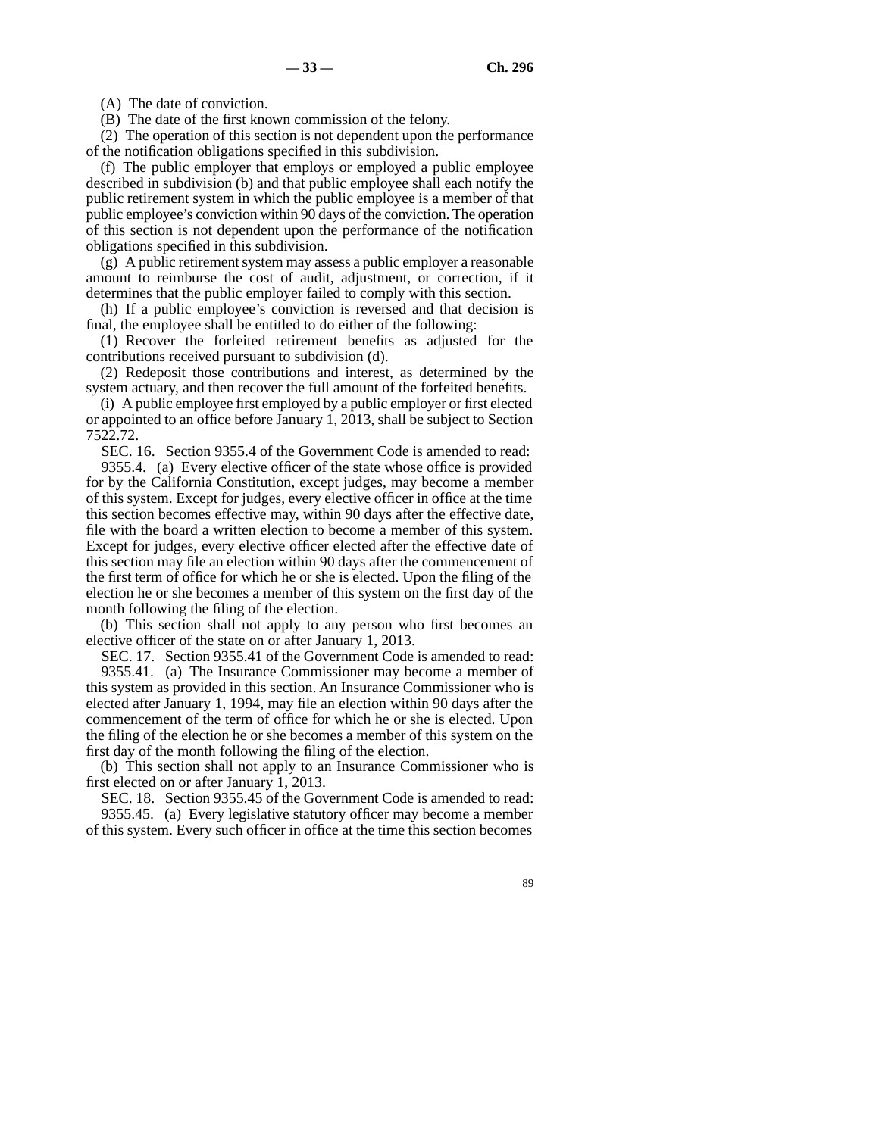(A) The date of conviction.

(B) The date of the first known commission of the felony.

(2) The operation of this section is not dependent upon the performance of the notification obligations specified in this subdivision.

(f) The public employer that employs or employed a public employee described in subdivision (b) and that public employee shall each notify the public retirement system in which the public employee is a member of that public employee's conviction within 90 days of the conviction. The operation of this section is not dependent upon the performance of the notification obligations specified in this subdivision.

(g) A public retirement system may assess a public employer a reasonable amount to reimburse the cost of audit, adjustment, or correction, if it determines that the public employer failed to comply with this section.

(h) If a public employee's conviction is reversed and that decision is final, the employee shall be entitled to do either of the following:

(1) Recover the forfeited retirement benefits as adjusted for the contributions received pursuant to subdivision (d).

(2) Redeposit those contributions and interest, as determined by the system actuary, and then recover the full amount of the forfeited benefits.

(i) A public employee first employed by a public employer or first elected or appointed to an office before January 1, 2013, shall be subject to Section 7522.72.

SEC. 16. Section 9355.4 of the Government Code is amended to read:

9355.4. (a) Every elective officer of the state whose office is provided for by the California Constitution, except judges, may become a member of this system. Except for judges, every elective officer in office at the time this section becomes effective may, within 90 days after the effective date, file with the board a written election to become a member of this system. Except for judges, every elective officer elected after the effective date of this section may file an election within 90 days after the commencement of the first term of office for which he or she is elected. Upon the filing of the election he or she becomes a member of this system on the first day of the month following the filing of the election.

(b) This section shall not apply to any person who first becomes an elective officer of the state on or after January 1, 2013.

SEC. 17. Section 9355.41 of the Government Code is amended to read: 9355.41. (a) The Insurance Commissioner may become a member of this system as provided in this section. An Insurance Commissioner who is elected after January 1, 1994, may file an election within 90 days after the commencement of the term of office for which he or she is elected. Upon the filing of the election he or she becomes a member of this system on the first day of the month following the filing of the election.

(b) This section shall not apply to an Insurance Commissioner who is first elected on or after January 1, 2013.

SEC. 18. Section 9355.45 of the Government Code is amended to read: 9355.45. (a) Every legislative statutory officer may become a member of this system. Every such officer in office at the time this section becomes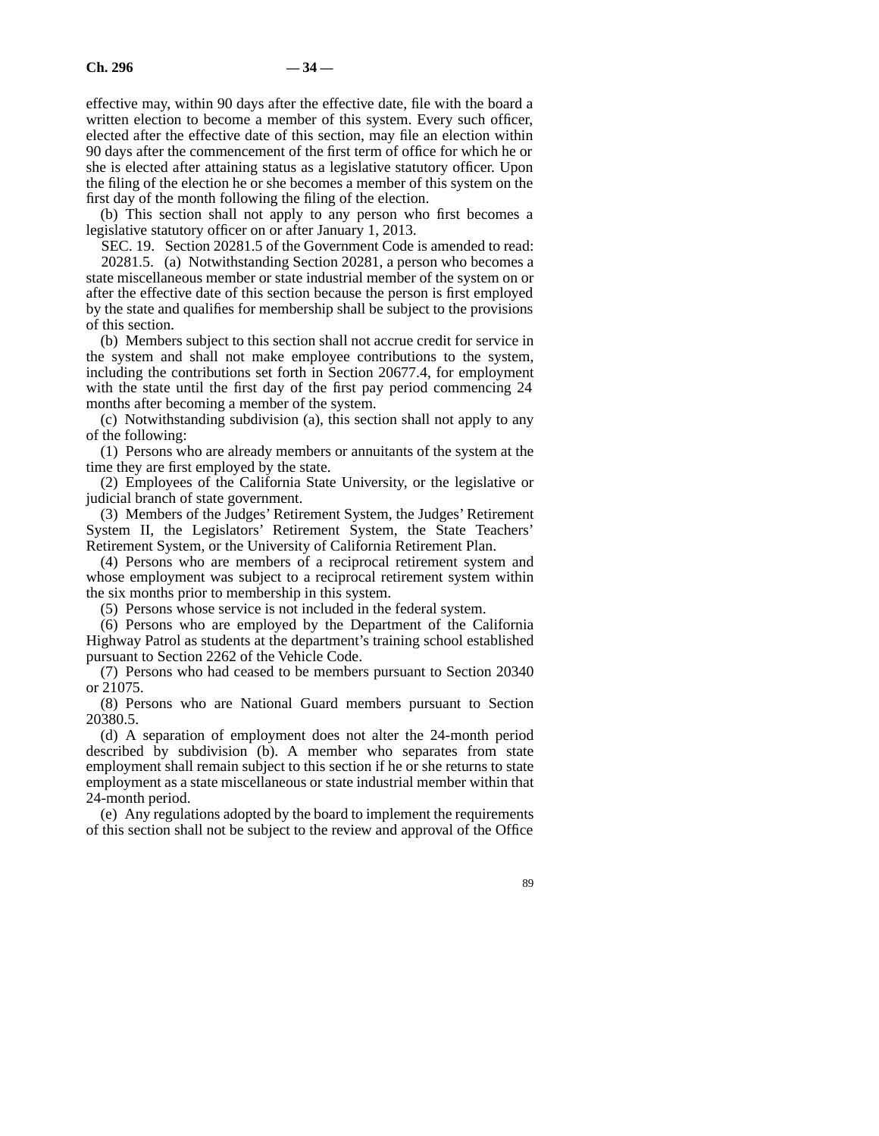effective may, within 90 days after the effective date, file with the board a written election to become a member of this system. Every such officer, elected after the effective date of this section, may file an election within 90 days after the commencement of the first term of office for which he or she is elected after attaining status as a legislative statutory officer. Upon the filing of the election he or she becomes a member of this system on the first day of the month following the filing of the election.

(b) This section shall not apply to any person who first becomes a legislative statutory officer on or after January 1, 2013.

SEC. 19. Section 20281.5 of the Government Code is amended to read: 20281.5. (a) Notwithstanding Section 20281, a person who becomes a state miscellaneous member or state industrial member of the system on or after the effective date of this section because the person is first employed by the state and qualifies for membership shall be subject to the provisions of this section.

(b) Members subject to this section shall not accrue credit for service in the system and shall not make employee contributions to the system, including the contributions set forth in Section 20677.4, for employment with the state until the first day of the first pay period commencing 24 months after becoming a member of the system.

(c) Notwithstanding subdivision (a), this section shall not apply to any of the following:

(1) Persons who are already members or annuitants of the system at the time they are first employed by the state.

(2) Employees of the California State University, or the legislative or judicial branch of state government.

(3) Members of the Judges' Retirement System, the Judges' Retirement System II, the Legislators' Retirement System, the State Teachers' Retirement System, or the University of California Retirement Plan.

(4) Persons who are members of a reciprocal retirement system and whose employment was subject to a reciprocal retirement system within the six months prior to membership in this system.

(5) Persons whose service is not included in the federal system.

(6) Persons who are employed by the Department of the California Highway Patrol as students at the department's training school established pursuant to Section 2262 of the Vehicle Code.

(7) Persons who had ceased to be members pursuant to Section 20340 or 21075.

(8) Persons who are National Guard members pursuant to Section 20380.5.

(d) A separation of employment does not alter the 24-month period described by subdivision (b). A member who separates from state employment shall remain subject to this section if he or she returns to state employment as a state miscellaneous or state industrial member within that 24-month period.

(e) Any regulations adopted by the board to implement the requirements of this section shall not be subject to the review and approval of the Office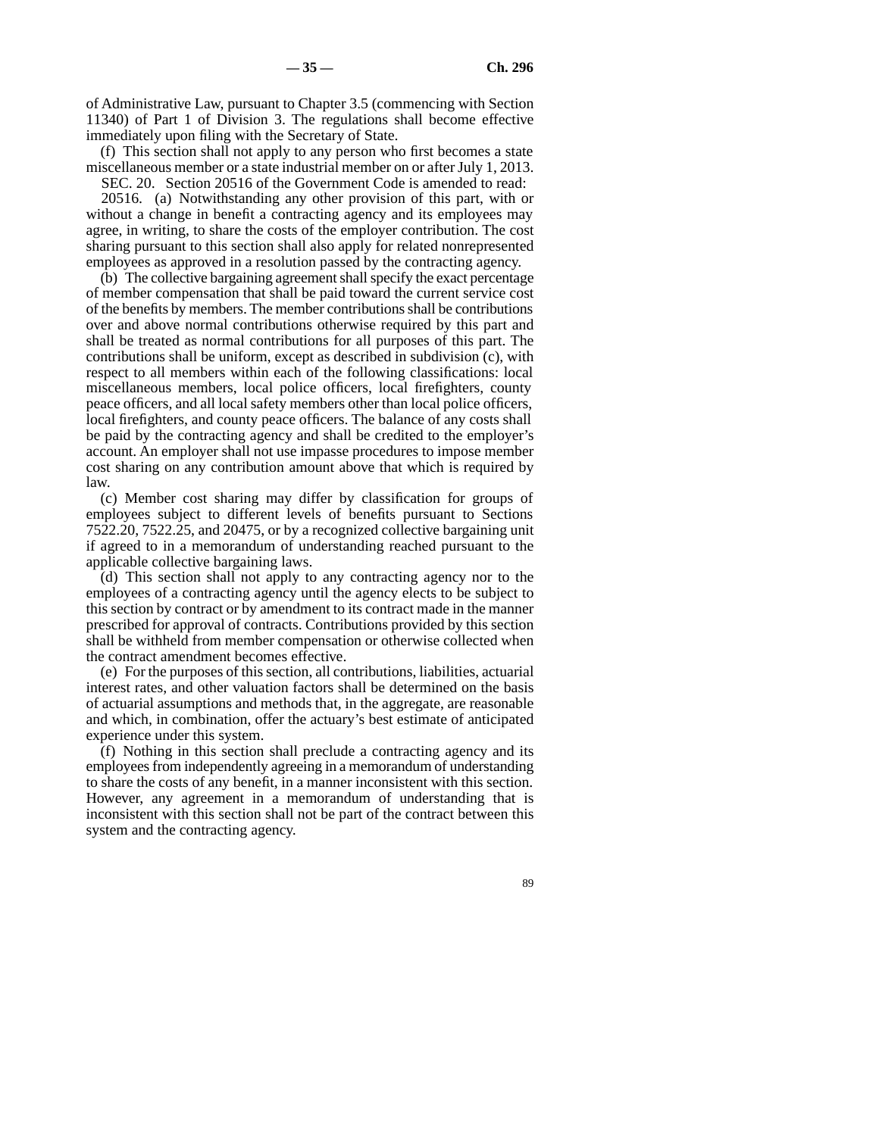of Administrative Law, pursuant to Chapter 3.5 (commencing with Section 11340) of Part 1 of Division 3. The regulations shall become effective immediately upon filing with the Secretary of State.

(f) This section shall not apply to any person who first becomes a state miscellaneous member or a state industrial member on or after July 1, 2013.

SEC. 20. Section 20516 of the Government Code is amended to read: 20516. (a) Notwithstanding any other provision of this part, with or without a change in benefit a contracting agency and its employees may agree, in writing, to share the costs of the employer contribution. The cost sharing pursuant to this section shall also apply for related nonrepresented employees as approved in a resolution passed by the contracting agency.

(b) The collective bargaining agreement shall specify the exact percentage of member compensation that shall be paid toward the current service cost of the benefits by members. The member contributions shall be contributions over and above normal contributions otherwise required by this part and shall be treated as normal contributions for all purposes of this part. The contributions shall be uniform, except as described in subdivision (c), with respect to all members within each of the following classifications: local miscellaneous members, local police officers, local firefighters, county peace officers, and all local safety members other than local police officers, local firefighters, and county peace officers. The balance of any costs shall be paid by the contracting agency and shall be credited to the employer's account. An employer shall not use impasse procedures to impose member cost sharing on any contribution amount above that which is required by law.

(c) Member cost sharing may differ by classification for groups of employees subject to different levels of benefits pursuant to Sections 7522.20, 7522.25, and 20475, or by a recognized collective bargaining unit if agreed to in a memorandum of understanding reached pursuant to the applicable collective bargaining laws.

(d) This section shall not apply to any contracting agency nor to the employees of a contracting agency until the agency elects to be subject to this section by contract or by amendment to its contract made in the manner prescribed for approval of contracts. Contributions provided by this section shall be withheld from member compensation or otherwise collected when the contract amendment becomes effective.

(e) For the purposes of this section, all contributions, liabilities, actuarial interest rates, and other valuation factors shall be determined on the basis of actuarial assumptions and methods that, in the aggregate, are reasonable and which, in combination, offer the actuary's best estimate of anticipated experience under this system.

(f) Nothing in this section shall preclude a contracting agency and its employees from independently agreeing in a memorandum of understanding to share the costs of any benefit, in a manner inconsistent with this section. However, any agreement in a memorandum of understanding that is inconsistent with this section shall not be part of the contract between this system and the contracting agency.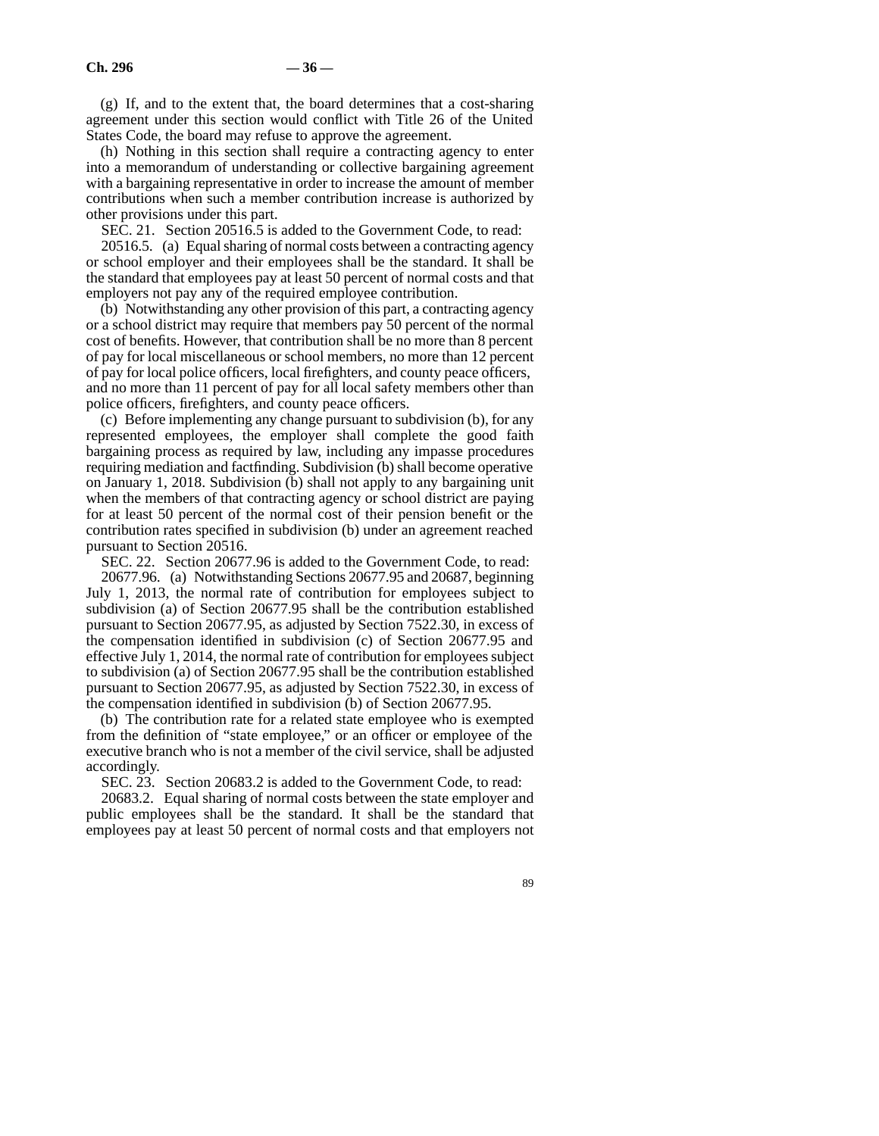(g) If, and to the extent that, the board determines that a cost-sharing agreement under this section would conflict with Title 26 of the United States Code, the board may refuse to approve the agreement.

(h) Nothing in this section shall require a contracting agency to enter into a memorandum of understanding or collective bargaining agreement with a bargaining representative in order to increase the amount of member contributions when such a member contribution increase is authorized by other provisions under this part.

SEC. 21. Section 20516.5 is added to the Government Code, to read:

20516.5. (a) Equal sharing of normal costs between a contracting agency or school employer and their employees shall be the standard. It shall be the standard that employees pay at least 50 percent of normal costs and that employers not pay any of the required employee contribution.

(b) Notwithstanding any other provision of this part, a contracting agency or a school district may require that members pay 50 percent of the normal cost of benefits. However, that contribution shall be no more than 8 percent of pay for local miscellaneous or school members, no more than 12 percent of pay for local police officers, local firefighters, and county peace officers, and no more than 11 percent of pay for all local safety members other than police officers, firefighters, and county peace officers.

(c) Before implementing any change pursuant to subdivision (b), for any represented employees, the employer shall complete the good faith bargaining process as required by law, including any impasse procedures requiring mediation and factfinding. Subdivision (b) shall become operative on January 1, 2018. Subdivision (b) shall not apply to any bargaining unit when the members of that contracting agency or school district are paying for at least 50 percent of the normal cost of their pension benefit or the contribution rates specified in subdivision (b) under an agreement reached pursuant to Section 20516.

SEC. 22. Section 20677.96 is added to the Government Code, to read: 20677.96. (a) Notwithstanding Sections 20677.95 and 20687, beginning July 1, 2013, the normal rate of contribution for employees subject to subdivision (a) of Section 20677.95 shall be the contribution established pursuant to Section 20677.95, as adjusted by Section 7522.30, in excess of the compensation identified in subdivision (c) of Section 20677.95 and effective July 1, 2014, the normal rate of contribution for employees subject to subdivision (a) of Section 20677.95 shall be the contribution established pursuant to Section 20677.95, as adjusted by Section 7522.30, in excess of the compensation identified in subdivision (b) of Section 20677.95.

(b) The contribution rate for a related state employee who is exempted from the definition of "state employee," or an officer or employee of the executive branch who is not a member of the civil service, shall be adjusted accordingly.

SEC. 23. Section 20683.2 is added to the Government Code, to read:

20683.2. Equal sharing of normal costs between the state employer and public employees shall be the standard. It shall be the standard that employees pay at least 50 percent of normal costs and that employers not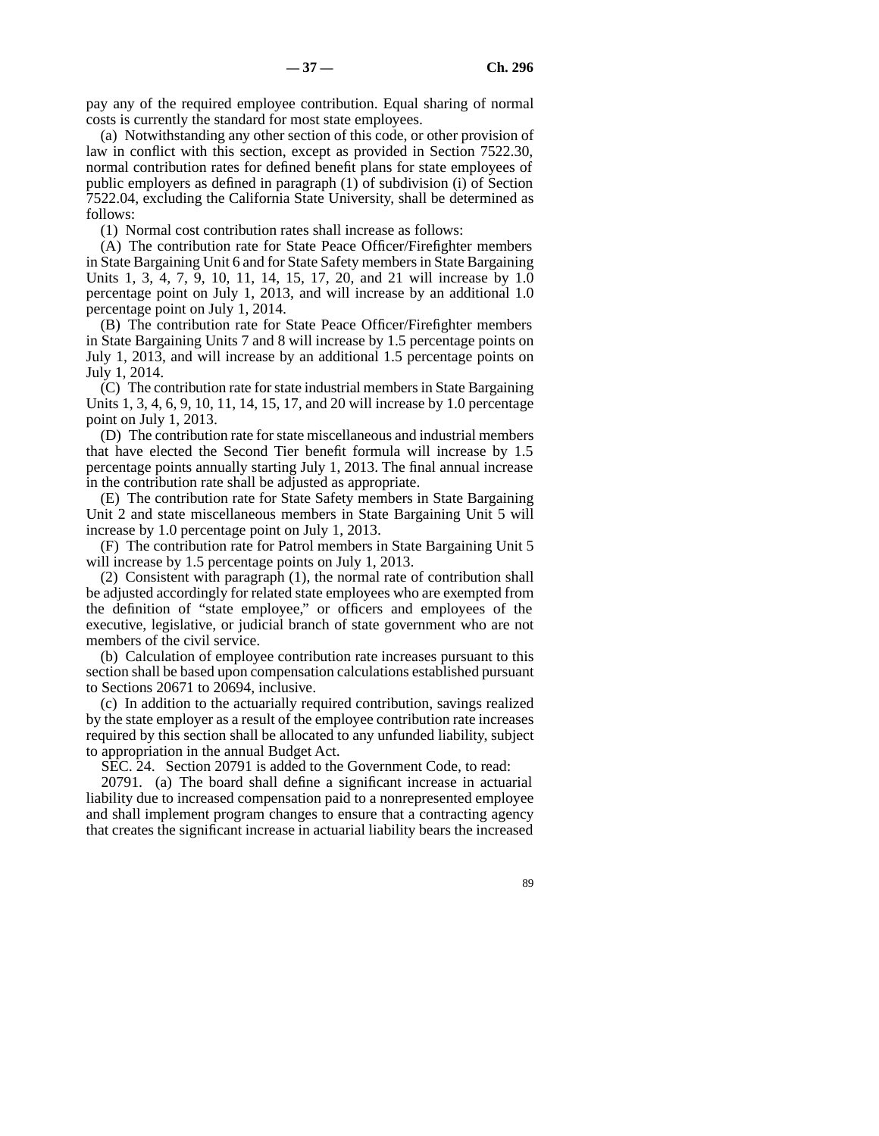pay any of the required employee contribution. Equal sharing of normal costs is currently the standard for most state employees.

(a) Notwithstanding any other section of this code, or other provision of law in conflict with this section, except as provided in Section 7522.30, normal contribution rates for defined benefit plans for state employees of public employers as defined in paragraph (1) of subdivision (i) of Section 7522.04, excluding the California State University, shall be determined as follows:

(1) Normal cost contribution rates shall increase as follows:

(A) The contribution rate for State Peace Officer/Firefighter members in State Bargaining Unit 6 and for State Safety members in State Bargaining Units 1, 3, 4, 7, 9, 10, 11, 14, 15, 17, 20, and 21 will increase by 1.0 percentage point on July 1, 2013, and will increase by an additional 1.0 percentage point on July 1, 2014.

(B) The contribution rate for State Peace Officer/Firefighter members in State Bargaining Units 7 and 8 will increase by 1.5 percentage points on July 1, 2013, and will increase by an additional 1.5 percentage points on July 1, 2014.

(C) The contribution rate for state industrial members in State Bargaining Units 1, 3, 4, 6, 9, 10, 11, 14, 15, 17, and 20 will increase by 1.0 percentage point on July 1, 2013.

(D) The contribution rate for state miscellaneous and industrial members that have elected the Second Tier benefit formula will increase by 1.5 percentage points annually starting July 1, 2013. The final annual increase in the contribution rate shall be adjusted as appropriate.

(E) The contribution rate for State Safety members in State Bargaining Unit 2 and state miscellaneous members in State Bargaining Unit 5 will increase by 1.0 percentage point on July 1, 2013.

(F) The contribution rate for Patrol members in State Bargaining Unit 5 will increase by 1.5 percentage points on July 1, 2013.

(2) Consistent with paragraph (1), the normal rate of contribution shall be adjusted accordingly for related state employees who are exempted from the definition of "state employee," or officers and employees of the executive, legislative, or judicial branch of state government who are not members of the civil service.

(b) Calculation of employee contribution rate increases pursuant to this section shall be based upon compensation calculations established pursuant to Sections 20671 to 20694, inclusive.

(c) In addition to the actuarially required contribution, savings realized by the state employer as a result of the employee contribution rate increases required by this section shall be allocated to any unfunded liability, subject to appropriation in the annual Budget Act.

SEC. 24. Section 20791 is added to the Government Code, to read:

20791. (a) The board shall define a significant increase in actuarial liability due to increased compensation paid to a nonrepresented employee and shall implement program changes to ensure that a contracting agency that creates the significant increase in actuarial liability bears the increased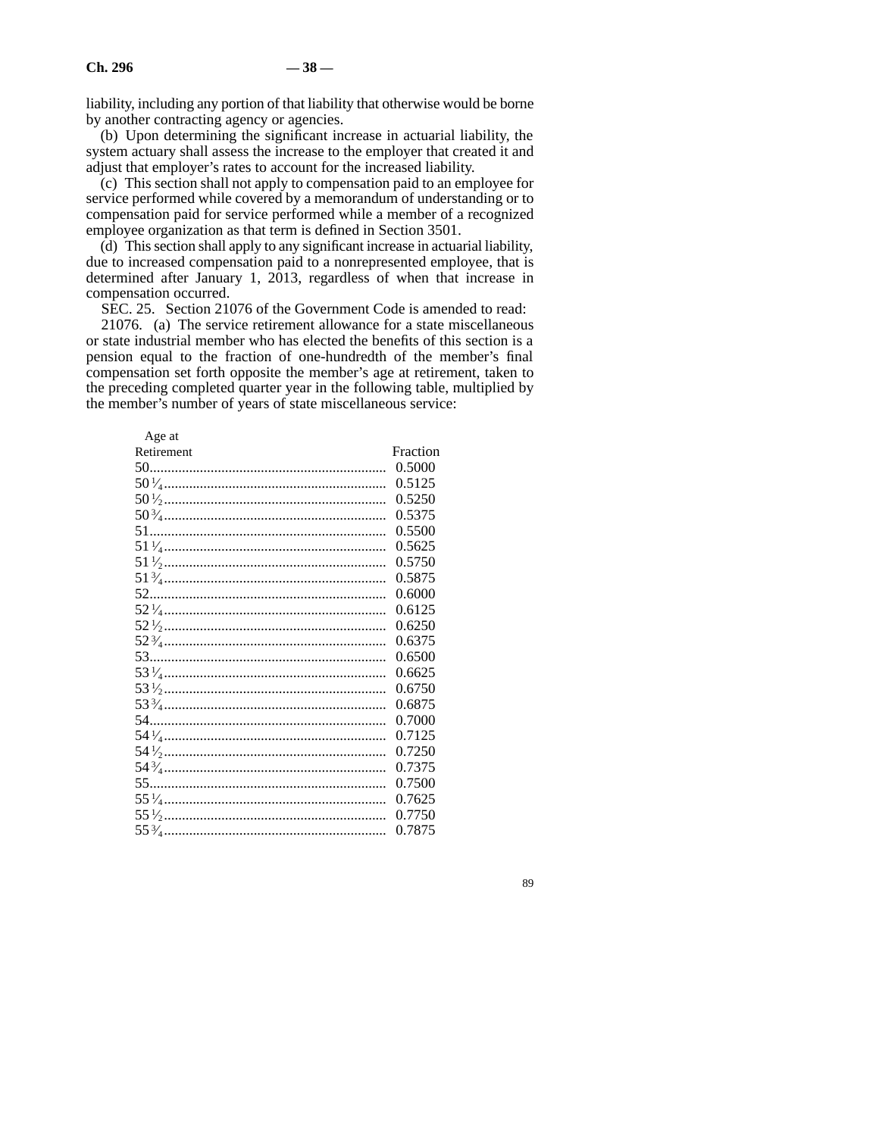liability, including any portion of that liability that otherwise would be borne by another contracting agency or agencies.

(b) Upon determining the significant increase in actuarial liability, the system actuary shall assess the increase to the employer that created it and adjust that employer's rates to account for the increased liability.

(c) This section shall not apply to compensation paid to an employee for service performed while covered by a memorandum of understanding or to compensation paid for service performed while a member of a recognized employee organization as that term is defined in Section 3501.

(d) This section shall apply to any significant increase in actuarial liability, due to increased compensation paid to a nonrepresented employee, that is determined after January 1, 2013, regardless of when that increase in compensation occurred.

SEC. 25. Section 21076 of the Government Code is amended to read:

21076. (a) The service retirement allowance for a state miscellaneous or state industrial member who has elected the benefits of this section is a pension equal to the fraction of one-hundredth of the member's final compensation set forth opposite the member's age at retirement, taken to the preceding completed quarter year in the following table, multiplied by the member's number of years of state miscellaneous service:

| Age at     |          |
|------------|----------|
| Retirement | Fraction |
|            | 0.5000   |
|            | 0.5125   |
|            | 0.5250   |
|            | 0.5375   |
|            | 0.5500   |
|            | 0.5625   |
|            | 0.5750   |
|            | 0.5875   |
|            | 0.6000   |
|            | 0.6125   |
|            | 0.6250   |
|            | 0.6375   |
|            | 0.6500   |
|            | 0.6625   |
|            | 0.6750   |
|            | 0.6875   |
|            | 0.7000   |
|            | 0.7125   |
|            | 0.7250   |
|            | 0.7375   |
|            | 0.7500   |
|            | 0.7625   |
|            | 0.7750   |
|            | 0.7875   |
|            |          |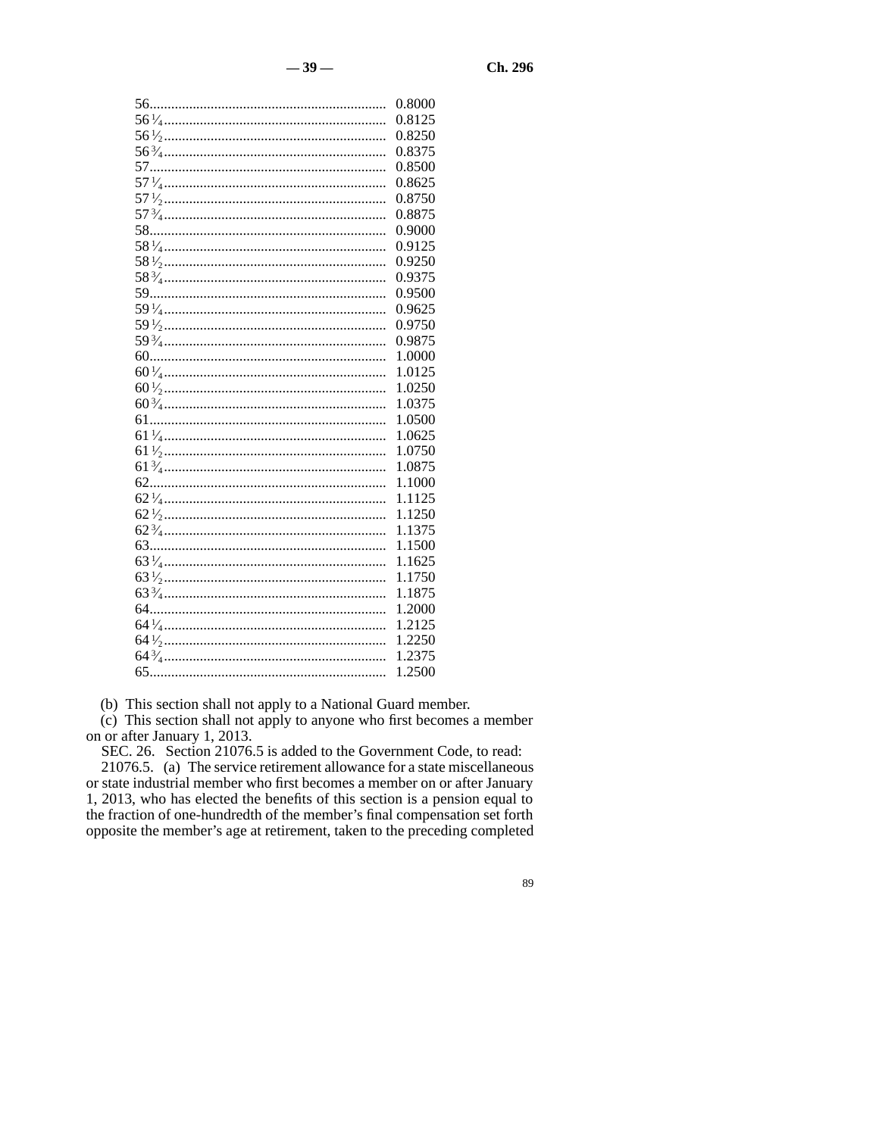| 0.8000 |
|--------|
| 0.8125 |
| 0.8250 |
| 0.8375 |
| 0.8500 |
| 0.8625 |
| 0.8750 |
| 0.8875 |
| 0.9000 |
| 0.9125 |
| 0.9250 |
| 0.9375 |
| 0.9500 |
| 0.9625 |
| 0.9750 |
| 0.9875 |
| 1.0000 |
| 1.0125 |
| 1.0250 |
| 1.0375 |
| 1.0500 |
| 1.0625 |
| 1.0750 |
| 1.0875 |
| 1.1000 |
| 1.1125 |
| 1.1250 |
| 1.1375 |
| 1.1500 |
| 1.1625 |
| 1.1750 |
| 1.1875 |
| 1.2000 |
| 1.2125 |
| 1.2250 |
| 1.2375 |
| 1.2500 |

(b) This section shall not apply to a National Guard member.

(c) This section shall not apply to anyone who first becomes a member on or after January 1, 2013.

SEC. 26. Section 21076.5 is added to the Government Code, to read: 21076.5. (a) The service retirement allowance for a state miscellaneous or state industrial member who first becomes a member on or after January 1, 2013, who has elected the benefits of this section is a pension equal to the fraction of one-hundredth of the member's final compensation set forth opposite the member's age at retirement, taken to the preceding completed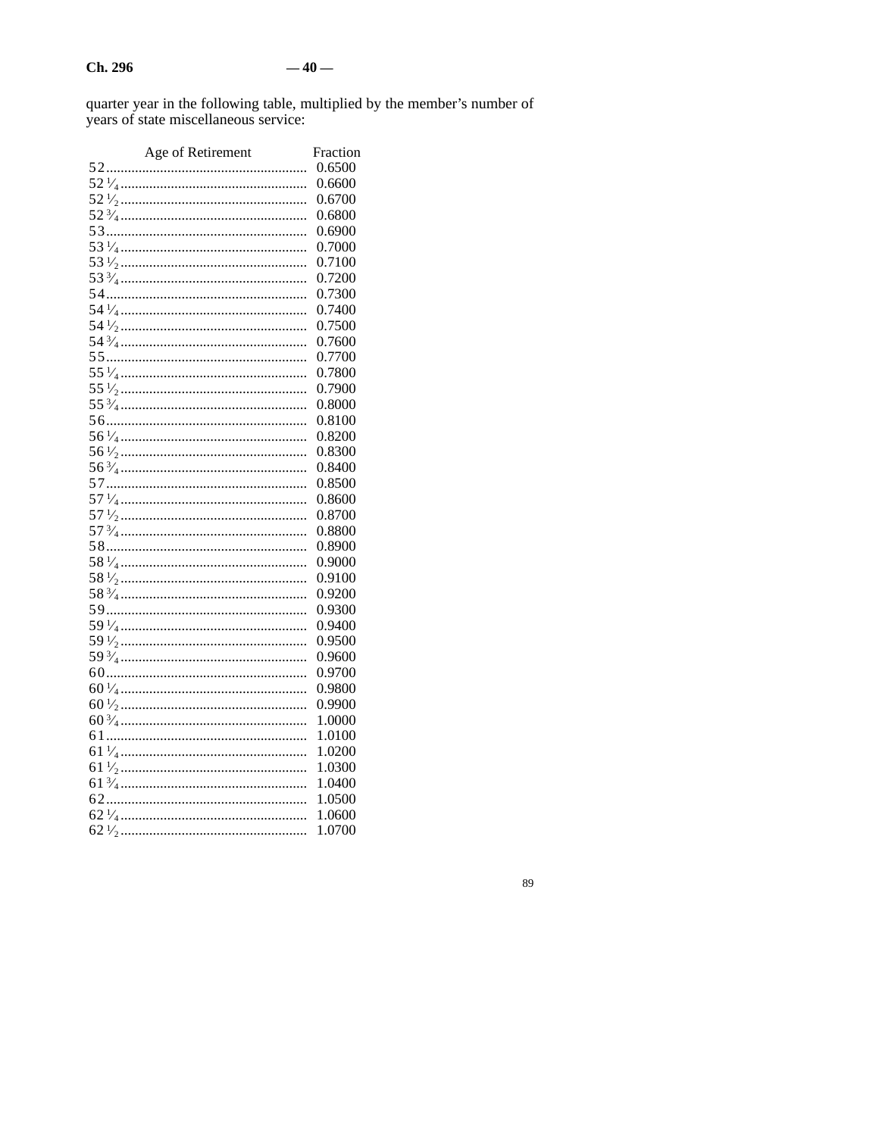quarter year in the following table, multiplied by the member's number of years of state miscellaneous service:

| Age of Retirement | Fraction |
|-------------------|----------|
|                   | 0.6500   |
|                   | 0.6600   |
|                   | 0.6700   |
|                   | 0.6800   |
|                   | 0.6900   |
|                   | 0.7000   |
|                   | 0.7100   |
|                   | 0.7200   |
|                   | 0.7300   |
|                   | 0.7400   |
|                   | 0.7500   |
|                   | 0.7600   |
|                   | 0.7700   |
|                   | 0.7800   |
|                   | 0.7900   |
|                   | 0.8000   |
|                   | 0.8100   |
|                   | 0.8200   |
|                   | 0.8300   |
|                   | 0.8400   |
|                   | 0.8500   |
|                   | 0.8600   |
|                   | 0.8700   |
|                   | 0.8800   |
|                   | 0.8900   |
|                   | 0.9000   |
|                   | 0.9100   |
|                   | 0.9200   |
|                   | 0.9300   |
|                   | 0.9400   |
|                   | 0.9500   |
|                   | 0.9600   |
|                   | 0.9700   |
|                   | 0.9800   |
|                   | 0.9900   |
|                   | 1.0000   |
|                   | 1.0100   |
|                   | 1.0200   |
|                   | 1.0300   |
|                   | 1.0400   |
|                   | 1.0500   |
|                   | 1.0600   |
|                   | 1.0700   |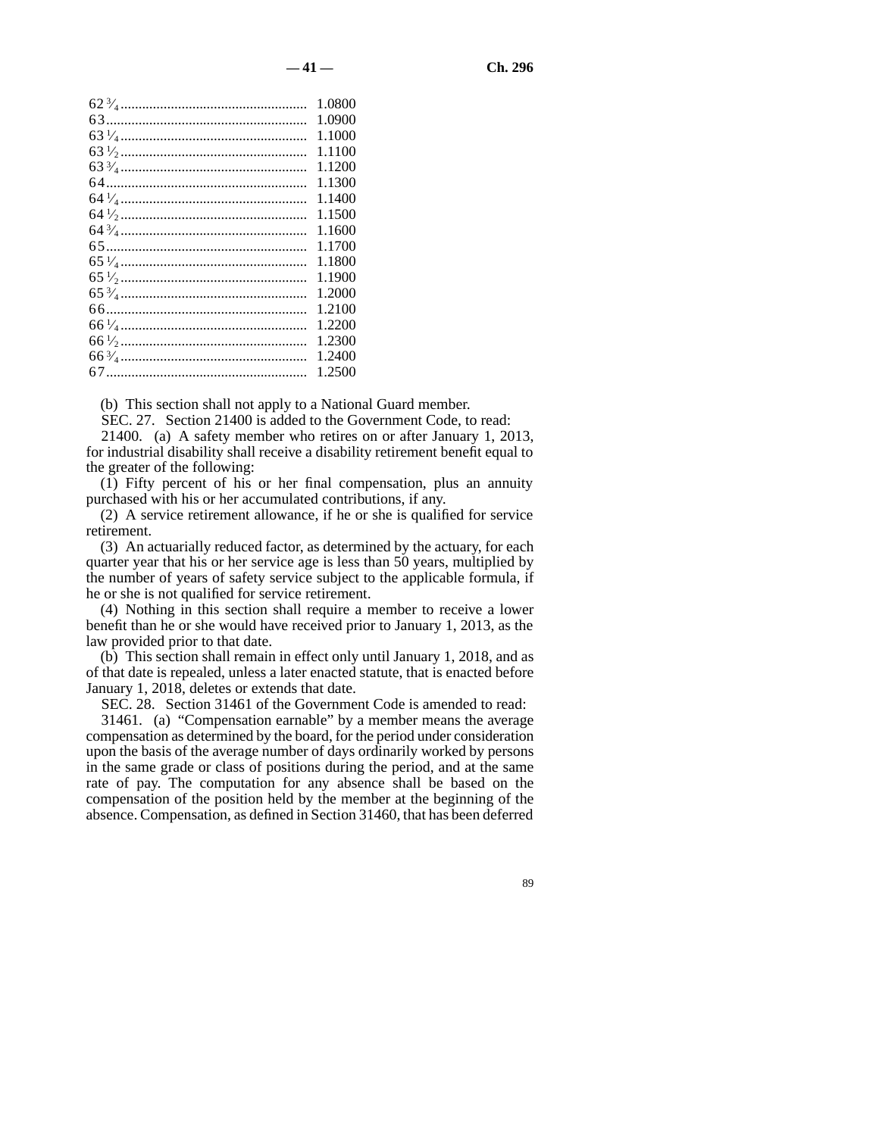| 1.0800 |
|--------|
| 1.0900 |
| 1.1000 |
| 1.1100 |
| 1.1200 |
| 1.1300 |
| 1.1400 |
| 1.1500 |
| 1.1600 |
| 1.1700 |
| 1.1800 |
| 1.1900 |
| 1.2000 |
| 1.2100 |
| 1.2200 |
| 1.2300 |
| 1.2400 |
| 1.2500 |
|        |

(b) This section shall not apply to a National Guard member.

SEC. 27. Section 21400 is added to the Government Code, to read:

21400. (a) A safety member who retires on or after January 1, 2013, for industrial disability shall receive a disability retirement benefit equal to the greater of the following:

(1) Fifty percent of his or her final compensation, plus an annuity purchased with his or her accumulated contributions, if any.

(2) A service retirement allowance, if he or she is qualified for service retirement.

(3) An actuarially reduced factor, as determined by the actuary, for each quarter year that his or her service age is less than 50 years, multiplied by the number of years of safety service subject to the applicable formula, if he or she is not qualified for service retirement.

(4) Nothing in this section shall require a member to receive a lower benefit than he or she would have received prior to January 1, 2013, as the law provided prior to that date.

(b) This section shall remain in effect only until January 1, 2018, and as of that date is repealed, unless a later enacted statute, that is enacted before January 1, 2018, deletes or extends that date.

SEC. 28. Section 31461 of the Government Code is amended to read:

31461. (a) "Compensation earnable" by a member means the average compensation as determined by the board, for the period under consideration upon the basis of the average number of days ordinarily worked by persons in the same grade or class of positions during the period, and at the same rate of pay. The computation for any absence shall be based on the compensation of the position held by the member at the beginning of the absence. Compensation, as defined in Section 31460, that has been deferred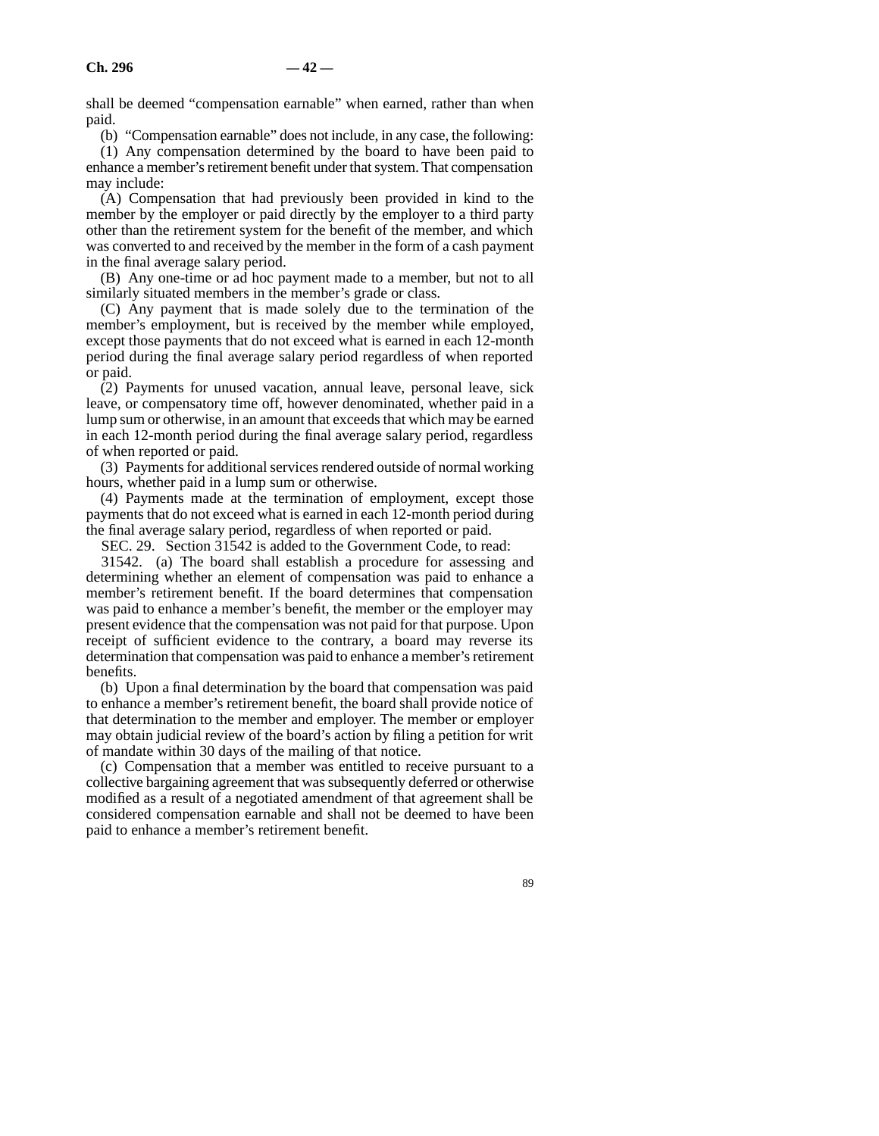shall be deemed "compensation earnable" when earned, rather than when paid.

(b) "Compensation earnable" does not include, in any case, the following:

(1) Any compensation determined by the board to have been paid to enhance a member's retirement benefit under that system. That compensation may include:

(A) Compensation that had previously been provided in kind to the member by the employer or paid directly by the employer to a third party other than the retirement system for the benefit of the member, and which was converted to and received by the member in the form of a cash payment in the final average salary period.

(B) Any one-time or ad hoc payment made to a member, but not to all similarly situated members in the member's grade or class.

(C) Any payment that is made solely due to the termination of the member's employment, but is received by the member while employed, except those payments that do not exceed what is earned in each 12-month period during the final average salary period regardless of when reported or paid.

(2) Payments for unused vacation, annual leave, personal leave, sick leave, or compensatory time off, however denominated, whether paid in a lump sum or otherwise, in an amount that exceeds that which may be earned in each 12-month period during the final average salary period, regardless of when reported or paid.

(3) Payments for additional services rendered outside of normal working hours, whether paid in a lump sum or otherwise.

(4) Payments made at the termination of employment, except those payments that do not exceed what is earned in each 12-month period during the final average salary period, regardless of when reported or paid.

SEC. 29. Section 31542 is added to the Government Code, to read:

31542. (a) The board shall establish a procedure for assessing and determining whether an element of compensation was paid to enhance a member's retirement benefit. If the board determines that compensation was paid to enhance a member's benefit, the member or the employer may present evidence that the compensation was not paid for that purpose. Upon receipt of sufficient evidence to the contrary, a board may reverse its determination that compensation was paid to enhance a member's retirement benefits.

(b) Upon a final determination by the board that compensation was paid to enhance a member's retirement benefit, the board shall provide notice of that determination to the member and employer. The member or employer may obtain judicial review of the board's action by filing a petition for writ of mandate within 30 days of the mailing of that notice.

(c) Compensation that a member was entitled to receive pursuant to a collective bargaining agreement that was subsequently deferred or otherwise modified as a result of a negotiated amendment of that agreement shall be considered compensation earnable and shall not be deemed to have been paid to enhance a member's retirement benefit.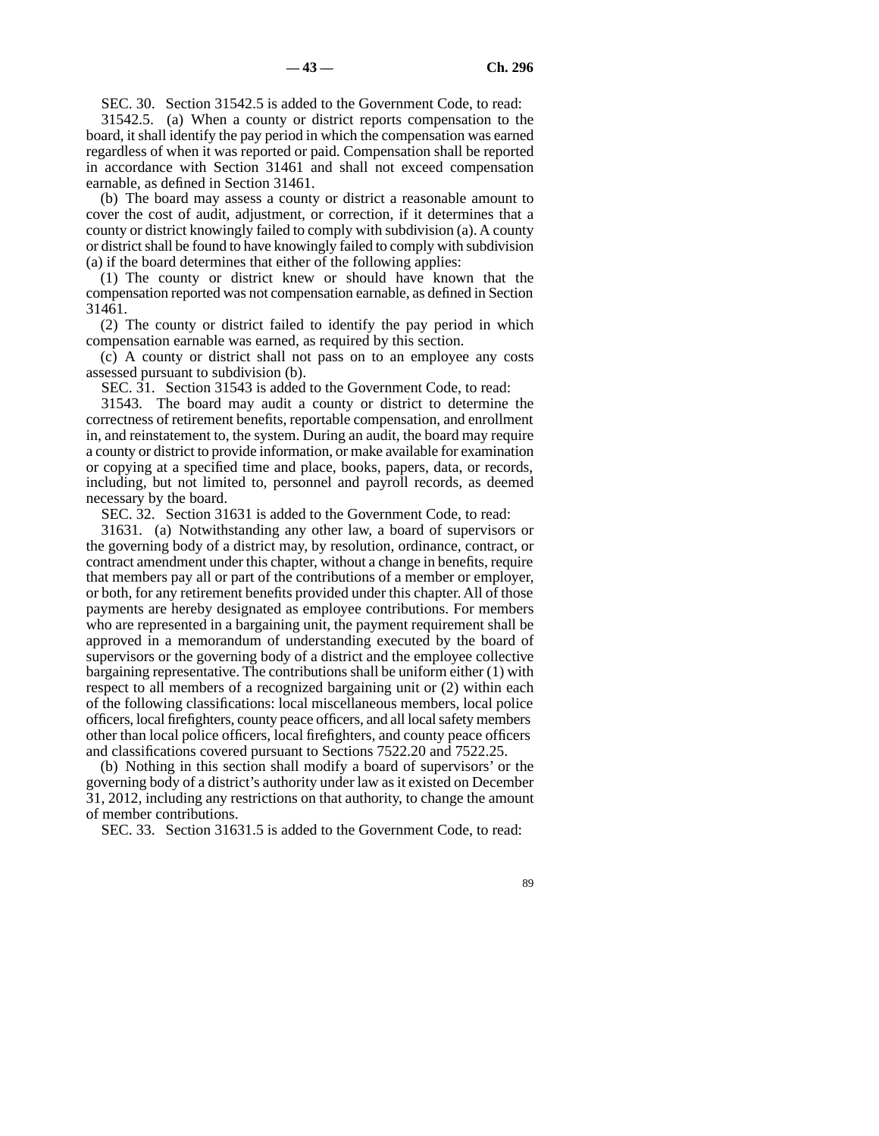SEC. 30. Section 31542.5 is added to the Government Code, to read:

31542.5. (a) When a county or district reports compensation to the board, it shall identify the pay period in which the compensation was earned regardless of when it was reported or paid. Compensation shall be reported in accordance with Section 31461 and shall not exceed compensation earnable, as defined in Section 31461.

(b) The board may assess a county or district a reasonable amount to cover the cost of audit, adjustment, or correction, if it determines that a county or district knowingly failed to comply with subdivision (a). A county or district shall be found to have knowingly failed to comply with subdivision (a) if the board determines that either of the following applies:

(1) The county or district knew or should have known that the compensation reported was not compensation earnable, as defined in Section 31461.

(2) The county or district failed to identify the pay period in which compensation earnable was earned, as required by this section.

(c) A county or district shall not pass on to an employee any costs assessed pursuant to subdivision (b).

SEC. 31. Section 31543 is added to the Government Code, to read:

31543. The board may audit a county or district to determine the correctness of retirement benefits, reportable compensation, and enrollment in, and reinstatement to, the system. During an audit, the board may require a county or district to provide information, or make available for examination or copying at a specified time and place, books, papers, data, or records, including, but not limited to, personnel and payroll records, as deemed necessary by the board.

SEC. 32. Section 31631 is added to the Government Code, to read:

31631. (a) Notwithstanding any other law, a board of supervisors or the governing body of a district may, by resolution, ordinance, contract, or contract amendment under this chapter, without a change in benefits, require that members pay all or part of the contributions of a member or employer, or both, for any retirement benefits provided under this chapter. All of those payments are hereby designated as employee contributions. For members who are represented in a bargaining unit, the payment requirement shall be approved in a memorandum of understanding executed by the board of supervisors or the governing body of a district and the employee collective bargaining representative. The contributions shall be uniform either (1) with respect to all members of a recognized bargaining unit or (2) within each of the following classifications: local miscellaneous members, local police officers, local firefighters, county peace officers, and all local safety members other than local police officers, local firefighters, and county peace officers and classifications covered pursuant to Sections 7522.20 and 7522.25.

(b) Nothing in this section shall modify a board of supervisors' or the governing body of a district's authority under law as it existed on December 31, 2012, including any restrictions on that authority, to change the amount of member contributions.

SEC. 33. Section 31631.5 is added to the Government Code, to read: